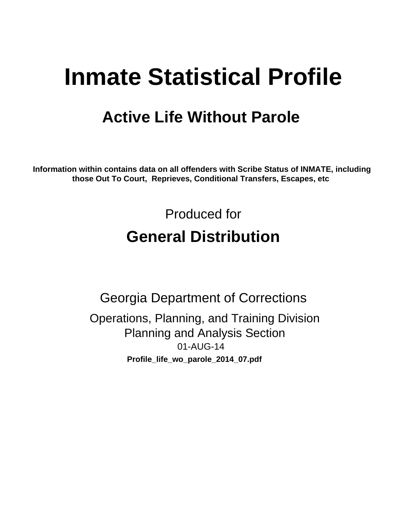# **Inmate Statistical Profile**

# **Active Life Without Parole**

Information within contains data on all offenders with Scribe Status of INMATE, including those Out To Court, Reprieves, Conditional Transfers, Escapes, etc

> Produced for **General Distribution**

**Georgia Department of Corrections** Operations, Planning, and Training Division **Planning and Analysis Section** 01-AUG-14 Profile\_life\_wo\_parole\_2014\_07.pdf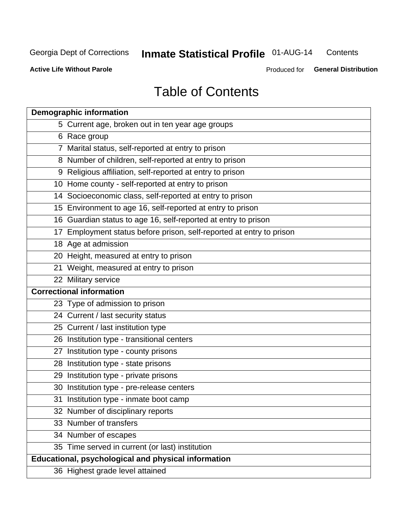#### **Inmate Statistical Profile 01-AUG-14** Contents

**Active Life Without Parole** 

Produced for General Distribution

# **Table of Contents**

| <b>Demographic information</b>                                       |
|----------------------------------------------------------------------|
| 5 Current age, broken out in ten year age groups                     |
| 6 Race group                                                         |
| 7 Marital status, self-reported at entry to prison                   |
| 8 Number of children, self-reported at entry to prison               |
| 9 Religious affiliation, self-reported at entry to prison            |
| 10 Home county - self-reported at entry to prison                    |
| 14 Socioeconomic class, self-reported at entry to prison             |
| 15 Environment to age 16, self-reported at entry to prison           |
| 16 Guardian status to age 16, self-reported at entry to prison       |
| 17 Employment status before prison, self-reported at entry to prison |
| 18 Age at admission                                                  |
| 20 Height, measured at entry to prison                               |
| 21 Weight, measured at entry to prison                               |
| 22 Military service                                                  |
| <b>Correctional information</b>                                      |
| 23 Type of admission to prison                                       |
| 24 Current / last security status                                    |
| 25 Current / last institution type                                   |
| 26 Institution type - transitional centers                           |
| 27 Institution type - county prisons                                 |
| 28 Institution type - state prisons                                  |
| 29 Institution type - private prisons                                |
| 30 Institution type - pre-release centers                            |
| 31 Institution type - inmate boot camp                               |
| 32 Number of disciplinary reports                                    |
| 33 Number of transfers                                               |
| 34 Number of escapes                                                 |
| 35 Time served in current (or last) institution                      |
| <b>Educational, psychological and physical information</b>           |
| 36 Highest grade level attained                                      |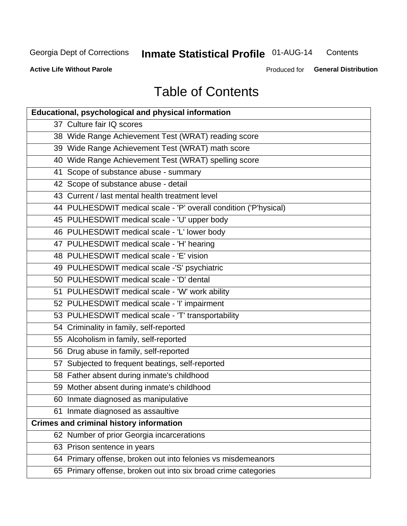# **Inmate Statistical Profile 01-AUG-14**

Contents

**Active Life Without Parole** 

Produced for General Distribution

# **Table of Contents**

| <b>Educational, psychological and physical information</b>       |
|------------------------------------------------------------------|
| 37 Culture fair IQ scores                                        |
| 38 Wide Range Achievement Test (WRAT) reading score              |
| 39 Wide Range Achievement Test (WRAT) math score                 |
| 40 Wide Range Achievement Test (WRAT) spelling score             |
| 41 Scope of substance abuse - summary                            |
| 42 Scope of substance abuse - detail                             |
| 43 Current / last mental health treatment level                  |
| 44 PULHESDWIT medical scale - 'P' overall condition ('P'hysical) |
| 45 PULHESDWIT medical scale - 'U' upper body                     |
| 46 PULHESDWIT medical scale - 'L' lower body                     |
| 47 PULHESDWIT medical scale - 'H' hearing                        |
| 48 PULHESDWIT medical scale - 'E' vision                         |
| 49 PULHESDWIT medical scale -'S' psychiatric                     |
| 50 PULHESDWIT medical scale - 'D' dental                         |
| 51 PULHESDWIT medical scale - 'W' work ability                   |
| 52 PULHESDWIT medical scale - 'I' impairment                     |
| 53 PULHESDWIT medical scale - 'T' transportability               |
| 54 Criminality in family, self-reported                          |
| 55 Alcoholism in family, self-reported                           |
| 56 Drug abuse in family, self-reported                           |
| 57 Subjected to frequent beatings, self-reported                 |
| 58 Father absent during inmate's childhood                       |
| 59 Mother absent during inmate's childhood                       |
| 60 Inmate diagnosed as manipulative                              |
| 61 Inmate diagnosed as assaultive                                |
| <b>Crimes and criminal history information</b>                   |
| 62 Number of prior Georgia incarcerations                        |
| 63 Prison sentence in years                                      |
| 64 Primary offense, broken out into felonies vs misdemeanors     |
| 65 Primary offense, broken out into six broad crime categories   |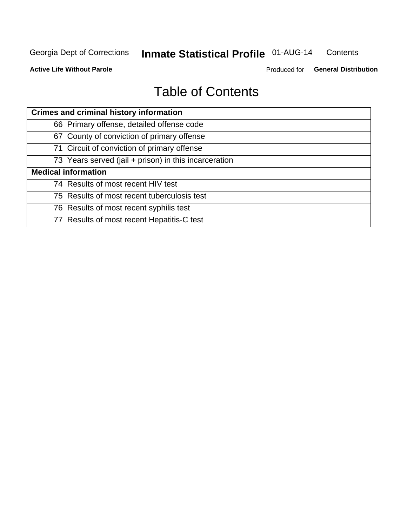#### **Inmate Statistical Profile 01-AUG-14** Contents

**Active Life Without Parole** 

Produced for General Distribution

# **Table of Contents**

| <b>Crimes and criminal history information</b>        |
|-------------------------------------------------------|
| 66 Primary offense, detailed offense code             |
| 67 County of conviction of primary offense            |
| 71 Circuit of conviction of primary offense           |
| 73 Years served (jail + prison) in this incarceration |
| <b>Medical information</b>                            |
| 74 Results of most recent HIV test                    |
| 75 Results of most recent tuberculosis test           |
| 76 Results of most recent syphilis test               |
| 77 Results of most recent Hepatitis-C test            |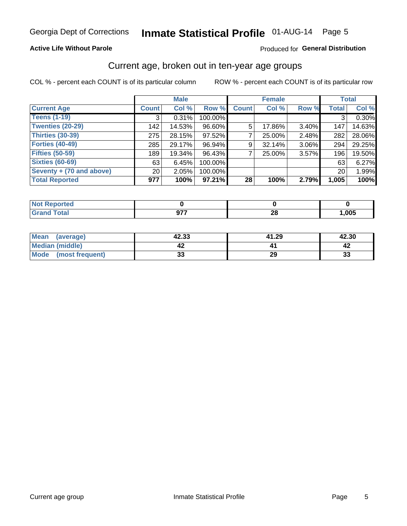# Inmate Statistical Profile 01-AUG-14 Page 5

#### **Active Life Without Parole**

#### Produced for General Distribution

### Current age, broken out in ten-year age groups

COL % - percent each COUNT is of its particular column

|                          |                 | <b>Male</b> |           |              | <b>Female</b> |          |              | <b>Total</b> |
|--------------------------|-----------------|-------------|-----------|--------------|---------------|----------|--------------|--------------|
| <b>Current Age</b>       | <b>Count</b>    | Col %       | Row %     | <b>Count</b> | Col %         | Row %    | <b>Total</b> | Col %        |
| <b>Teens (1-19)</b>      | 3               | 0.31%       | 100.00%   |              |               |          | 3            | 0.30%        |
| <b>Twenties (20-29)</b>  | 142             | 14.53%      | 96.60%    | 5            | 17.86%        | 3.40%    | 147          | 14.63%       |
| <b>Thirties (30-39)</b>  | 275             | 28.15%      | 97.52%    |              | 25.00%        | 2.48%    | 282          | 28.06%       |
| <b>Forties (40-49)</b>   | 285             | 29.17%      | 96.94%    | 9            | 32.14%        | $3.06\%$ | 294          | 29.25%       |
| <b>Fifties (50-59)</b>   | 189             | 19.34%      | 96.43%    |              | 25.00%        | 3.57%    | 196          | 19.50%       |
| <b>Sixties (60-69)</b>   | 63              | 6.45%       | 100.00%   |              |               |          | 63           | 6.27%        |
| Seventy + (70 and above) | 20 <sub>1</sub> | 2.05%       | 100.00%   |              |               |          | 20           | 1.99%        |
| <b>Total Reported</b>    | 977             | 100%        | $97.21\%$ | 28           | 100%          | 2.79%    | 1,005        | 100%         |

| <b><i>A. A. A.</i></b> |                                           |           |      |
|------------------------|-------------------------------------------|-----------|------|
| $C = 4 - 7$<br>_____   | $\sim$ $\sim$<br><br>. .<br>$\sim$ $\sim$ | nc.<br>ΔU | ,005 |

| <b>Mean</b><br>(average) | 42.33   | 41.29 | 42.30 |
|--------------------------|---------|-------|-------|
| Median (middle)          |         |       |       |
| Mode<br>(most frequent)  | n.<br>w | 29    | 33    |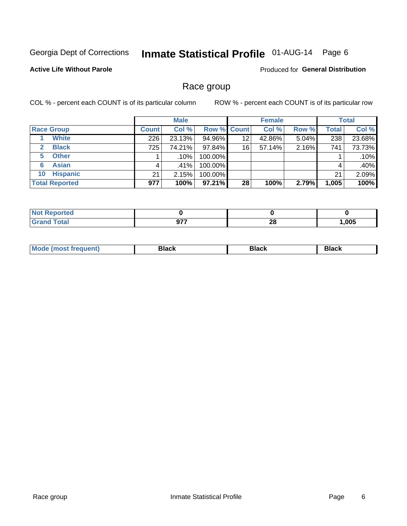# Inmate Statistical Profile 01-AUG-14 Page 6

#### **Active Life Without Parole**

**Produced for General Distribution** 

### Race group

COL % - percent each COUNT is of its particular column

|                              |              | <b>Male</b> |                    |    | <b>Female</b> |       |              | <b>Total</b> |
|------------------------------|--------------|-------------|--------------------|----|---------------|-------|--------------|--------------|
| <b>Race Group</b>            | <b>Count</b> | Col %       | <b>Row % Count</b> |    | Col %         | Row % | <b>Total</b> | Col %        |
| <b>White</b>                 | 226          | 23.13%      | 94.96%             | 12 | 42.86%        | 5.04% | 238          | 23.68%       |
| <b>Black</b><br>$\mathbf{2}$ | 725          | 74.21%      | 97.84%             | 16 | 57.14%        | 2.16% | 741          | 73.73%       |
| <b>Other</b><br>5.           |              | .10%        | 100.00%            |    |               |       |              | .10%         |
| <b>Asian</b><br>6            | 4            | ا 41%.      | 100.00%            |    |               |       | 4            | .40%         |
| <b>Hispanic</b><br>10        | 21           | 2.15%       | 100.00%            |    |               |       | 21           | 2.09%        |
| <b>Total Reported</b>        | 977          | 100%        | $97.21\%$          | 28 | 100%          | 2.79% | 1,005        | 100%         |

| rted         |      |     |            |
|--------------|------|-----|------------|
| <b>Total</b> | 077  | ne. | <b>OOE</b> |
| ______       | JI 1 | ZO  |            |

| M | --- | $-1$ |
|---|-----|------|
|   |     |      |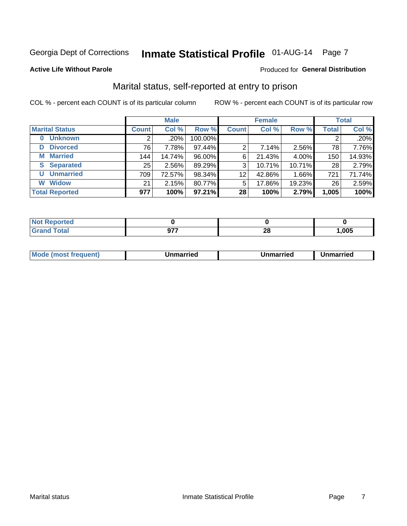# Inmate Statistical Profile 01-AUG-14 Page 7

#### **Active Life Without Parole**

#### Produced for General Distribution

### Marital status, self-reported at entry to prison

COL % - percent each COUNT is of its particular column

|                            | <b>Male</b>  |        |         | <b>Female</b> |        |        | <b>Total</b> |        |
|----------------------------|--------------|--------|---------|---------------|--------|--------|--------------|--------|
| <b>Marital Status</b>      | <b>Count</b> | Col %  | Row %   | <b>Count</b>  | Col %  | Row %  | <b>Total</b> | Col %  |
| <b>Unknown</b><br>$\bf{0}$ |              | .20%   | 100.00% |               |        |        | 2            | .20%   |
| <b>Divorced</b><br>D       | 76           | 7.78%  | 97.44%  | 2             | 7.14%  | 2.56%  | 78           | 7.76%  |
| <b>Married</b><br>М        | 144          | 14.74% | 96.00%  | 6             | 21.43% | 4.00%  | 150          | 14.93% |
| <b>Separated</b><br>S      | 25           | 2.56%  | 89.29%  | 3             | 10.71% | 10.71% | 28           | 2.79%  |
| <b>Unmarried</b><br>U      | 709          | 72.57% | 98.34%  | 12            | 42.86% | 1.66%  | 721          | 71.74% |
| <b>Widow</b><br>W          | 21           | 2.15%  | 80.77%  | 5             | 17.86% | 19.23% | 26           | 2.59%  |
| <b>Total Reported</b>      | 977          | 100%   | 97.21%  | 28            | 100%   | 2.79%  | 1,005        | 100%   |

| <b>prted</b><br>NOT |               |           |      |
|---------------------|---------------|-----------|------|
| <b>Total</b>        | $\sim$<br>. . | OG.<br>__ | ,005 |

|  | M | . | Unmarried | າmarried<br>_____ |
|--|---|---|-----------|-------------------|
|--|---|---|-----------|-------------------|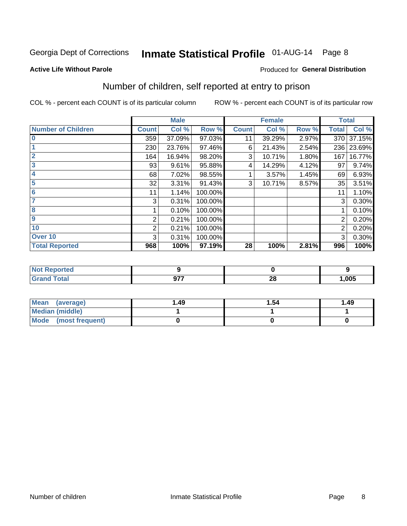# Inmate Statistical Profile 01-AUG-14 Page 8

#### **Active Life Without Parole**

#### **Produced for General Distribution**

### Number of children, self reported at entry to prison

COL % - percent each COUNT is of its particular column

|                           |                | <b>Male</b> |         |              | <b>Female</b> |       | <b>Total</b> |        |
|---------------------------|----------------|-------------|---------|--------------|---------------|-------|--------------|--------|
| <b>Number of Children</b> | <b>Count</b>   | Col %       | Row %   | <b>Count</b> | Col %         | Row % | <b>Total</b> | Col %  |
| $\bf{0}$                  | 359            | 37.09%      | 97.03%  | 11           | 39.29%        | 2.97% | 370          | 37.15% |
|                           | 230            | 23.76%      | 97.46%  | 6            | 21.43%        | 2.54% | 236          | 23.69% |
| $\overline{2}$            | 164            | 16.94%      | 98.20%  | 3            | 10.71%        | 1.80% | 167          | 16.77% |
| 3                         | 93             | 9.61%       | 95.88%  | 4            | 14.29%        | 4.12% | 97           | 9.74%  |
| 4                         | 68             | 7.02%       | 98.55%  |              | 3.57%         | 1.45% | 69           | 6.93%  |
| 5                         | 32             | 3.31%       | 91.43%  | 3            | 10.71%        | 8.57% | 35           | 3.51%  |
| $6\phantom{1}6$           | 11             | 1.14%       | 100.00% |              |               |       | 11           | 1.10%  |
| 7                         | 3              | 0.31%       | 100.00% |              |               |       | 3            | 0.30%  |
| 8                         |                | 0.10%       | 100.00% |              |               |       |              | 0.10%  |
| $\boldsymbol{9}$          | 2              | 0.21%       | 100.00% |              |               |       | 2            | 0.20%  |
| 10                        | $\overline{2}$ | 0.21%       | 100.00% |              |               |       | 2            | 0.20%  |
| Over 10                   | 3              | 0.31%       | 100.00% |              |               |       | 3            | 0.30%  |
| <b>Total Reported</b>     | 968            | 100%        | 97.19%  | 28           | 100%          | 2.81% | 996          | 100%   |

| ueo |      |           |                   |
|-----|------|-----------|-------------------|
| -   | $ -$ | nc.<br>ΔU | $\overline{.005}$ |

| <b>Mean</b><br>(average) | 1.49 | 1.54 | 1.49 |
|--------------------------|------|------|------|
| <b>Median (middle)</b>   |      |      |      |
| Mode (most frequent)     |      |      |      |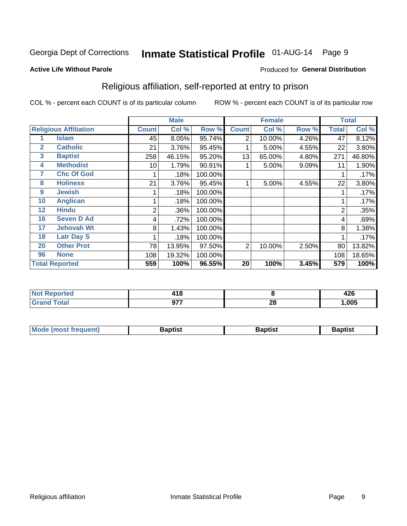# Inmate Statistical Profile 01-AUG-14 Page 9

#### **Active Life Without Parole**

#### Produced for General Distribution

### Religious affiliation, self-reported at entry to prison

COL % - percent each COUNT is of its particular column

|                              |                       | <b>Male</b>  |        |         | <b>Female</b> |        |       | <b>Total</b>   |        |
|------------------------------|-----------------------|--------------|--------|---------|---------------|--------|-------|----------------|--------|
| <b>Religious Affiliation</b> |                       | <b>Count</b> | Col %  | Row %   | <b>Count</b>  | Col %  | Row % | <b>Total</b>   | Col %  |
|                              | Islam                 | 45           | 8.05%  | 95.74%  | 2             | 10.00% | 4.26% | 47             | 8.12%  |
| $\mathbf{2}$                 | <b>Catholic</b>       | 21           | 3.76%  | 95.45%  |               | 5.00%  | 4.55% | 22             | 3.80%  |
| 3                            | <b>Baptist</b>        | 258          | 46.15% | 95.20%  | 13            | 65.00% | 4.80% | 271            | 46.80% |
| 4                            | <b>Methodist</b>      | 10           | 1.79%  | 90.91%  |               | 5.00%  | 9.09% | 11             | 1.90%  |
| 7                            | <b>Chc Of God</b>     |              | .18%   | 100.00% |               |        |       |                | .17%   |
| 8                            | <b>Holiness</b>       | 21           | 3.76%  | 95.45%  |               | 5.00%  | 4.55% | 22             | 3.80%  |
| 9                            | <b>Jewish</b>         |              | .18%   | 100.00% |               |        |       |                | .17%   |
| 10                           | <b>Anglican</b>       |              | .18%   | 100.00% |               |        |       |                | .17%   |
| 12                           | <b>Hindu</b>          | 2            | .36%   | 100.00% |               |        |       | $\overline{2}$ | .35%   |
| 16                           | <b>Seven D Ad</b>     | 4            | .72%   | 100.00% |               |        |       | 4              | .69%   |
| 17                           | <b>Jehovah Wt</b>     | 8            | 1.43%  | 100.00% |               |        |       | 8              | 1.38%  |
| 18                           | <b>Latr Day S</b>     |              | .18%   | 100.00% |               |        |       |                | .17%   |
| 20                           | <b>Other Prot</b>     | 78           | 13.95% | 97.50%  | 2             | 10.00% | 2.50% | 80             | 13.82% |
| 96                           | <b>None</b>           | 108          | 19.32% | 100.00% |               |        |       | 108            | 18.65% |
|                              | <b>Total Reported</b> | 559          | 100%   | 96.55%  | 20            | 100%   | 3.45% | 579            | 100%   |

| ı lea  | .       |          | 10C  |
|--------|---------|----------|------|
| $\sim$ | .       |          | 44 U |
| _____  | 077<br> | n,<br>ZU | .005 |

| <b>Mode (most frequent)</b> | եaptist | 3aptisเ | aptist |
|-----------------------------|---------|---------|--------|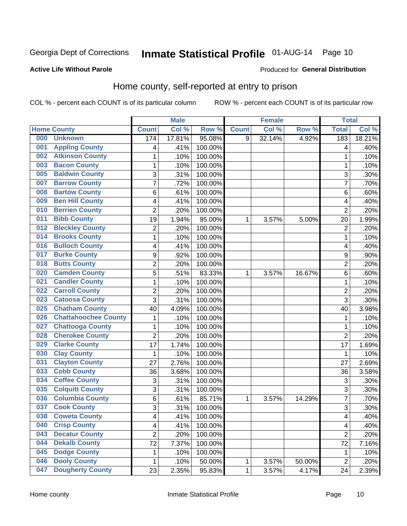# Inmate Statistical Profile 01-AUG-14 Page 10

#### **Active Life Without Parole**

#### Produced for General Distribution

### Home county, self-reported at entry to prison

COL % - percent each COUNT is of its particular column

|     |                             |                | <b>Male</b> |         |              | <b>Female</b> |        | <b>Total</b>            |        |
|-----|-----------------------------|----------------|-------------|---------|--------------|---------------|--------|-------------------------|--------|
|     | <b>Home County</b>          | <b>Count</b>   | Col %       | Row %   | <b>Count</b> | Col %         | Row %  | <b>Total</b>            | Col %  |
| 000 | <b>Unknown</b>              | 174            | 17.81%      | 95.08%  | 9            | 32.14%        | 4.92%  | 183                     | 18.21% |
| 001 | <b>Appling County</b>       | 4              | .41%        | 100.00% |              |               |        | 4                       | .40%   |
| 002 | <b>Atkinson County</b>      | 1              | .10%        | 100.00% |              |               |        | 1                       | .10%   |
| 003 | <b>Bacon County</b>         | 1              | .10%        | 100.00% |              |               |        | 1                       | .10%   |
| 005 | <b>Baldwin County</b>       | 3              | .31%        | 100.00% |              |               |        | 3                       | .30%   |
| 007 | <b>Barrow County</b>        | $\overline{7}$ | .72%        | 100.00% |              |               |        | 7                       | .70%   |
| 008 | <b>Bartow County</b>        | 6              | .61%        | 100.00% |              |               |        | 6                       | .60%   |
| 009 | <b>Ben Hill County</b>      | 4              | .41%        | 100.00% |              |               |        | 4                       | .40%   |
| 010 | <b>Berrien County</b>       | $\overline{2}$ | .20%        | 100.00% |              |               |        | $\overline{2}$          | .20%   |
| 011 | <b>Bibb County</b>          | 19             | 1.94%       | 95.00%  | 1            | 3.57%         | 5.00%  | 20                      | 1.99%  |
| 012 | <b>Bleckley County</b>      | $\mathbf 2$    | .20%        | 100.00% |              |               |        | $\overline{2}$          | .20%   |
| 014 | <b>Brooks County</b>        | 1              | .10%        | 100.00% |              |               |        | 1                       | .10%   |
| 016 | <b>Bulloch County</b>       | 4              | .41%        | 100.00% |              |               |        | 4                       | .40%   |
| 017 | <b>Burke County</b>         | 9              | .92%        | 100.00% |              |               |        | 9                       | .90%   |
| 018 | <b>Butts County</b>         | $\overline{2}$ | .20%        | 100.00% |              |               |        | $\overline{2}$          | .20%   |
| 020 | <b>Camden County</b>        | 5              | .51%        | 83.33%  | 1            | 3.57%         | 16.67% | 6                       | .60%   |
| 021 | <b>Candler County</b>       | 1              | .10%        | 100.00% |              |               |        | 1                       | .10%   |
| 022 | <b>Carroll County</b>       | $\overline{c}$ | .20%        | 100.00% |              |               |        | $\overline{c}$          | .20%   |
| 023 | <b>Catoosa County</b>       | $\overline{3}$ | .31%        | 100.00% |              |               |        | 3                       | .30%   |
| 025 | <b>Chatham County</b>       | 40             | 4.09%       | 100.00% |              |               |        | 40                      | 3.98%  |
| 026 | <b>Chattahoochee County</b> | 1              | .10%        | 100.00% |              |               |        | 1                       | .10%   |
| 027 | <b>Chattooga County</b>     | 1              | .10%        | 100.00% |              |               |        | 1                       | .10%   |
| 028 | <b>Cherokee County</b>      | $\overline{2}$ | .20%        | 100.00% |              |               |        | $\overline{2}$          | .20%   |
| 029 | <b>Clarke County</b>        | 17             | 1.74%       | 100.00% |              |               |        | 17                      | 1.69%  |
| 030 | <b>Clay County</b>          | 1              | .10%        | 100.00% |              |               |        | 1                       | .10%   |
| 031 | <b>Clayton County</b>       | 27             | 2.76%       | 100.00% |              |               |        | 27                      | 2.69%  |
| 033 | <b>Cobb County</b>          | 36             | 3.68%       | 100.00% |              |               |        | 36                      | 3.58%  |
| 034 | <b>Coffee County</b>        | 3              | .31%        | 100.00% |              |               |        | 3                       | .30%   |
| 035 | <b>Colquitt County</b>      | 3              | .31%        | 100.00% |              |               |        | 3                       | .30%   |
| 036 | <b>Columbia County</b>      | 6              | .61%        | 85.71%  | 1            | 3.57%         | 14.29% | $\overline{7}$          | .70%   |
| 037 | <b>Cook County</b>          | $\overline{3}$ | .31%        | 100.00% |              |               |        | 3                       | .30%   |
| 038 | <b>Coweta County</b>        | 4              | .41%        | 100.00% |              |               |        | $\overline{\mathbf{4}}$ | .40%   |
| 040 | <b>Crisp County</b>         | 4              | .41%        | 100.00% |              |               |        | $\overline{\mathbf{4}}$ | .40%   |
| 043 | <b>Decatur County</b>       | $\overline{2}$ | .20%        | 100.00% |              |               |        | $\overline{2}$          | .20%   |
| 044 | <b>Dekalb County</b>        | 72             | 7.37%       | 100.00% |              |               |        | 72                      | 7.16%  |
| 045 | <b>Dodge County</b>         | 1              | .10%        | 100.00% |              |               |        | 1                       | .10%   |
| 046 | <b>Dooly County</b>         | 1              | .10%        | 50.00%  | 1            | 3.57%         | 50.00% | $\overline{2}$          | .20%   |
| 047 | <b>Dougherty County</b>     | 23             | 2.35%       | 95.83%  | 1            | 3.57%         | 4.17%  | 24                      | 2.39%  |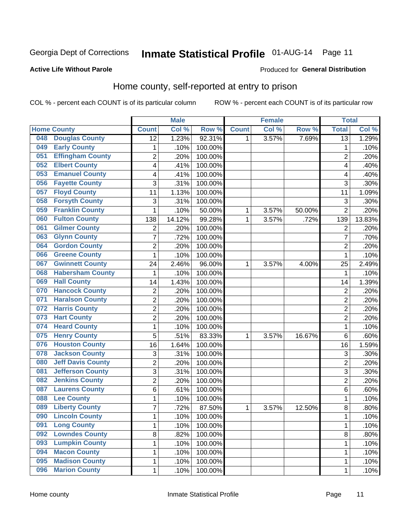# Inmate Statistical Profile 01-AUG-14 Page 11

#### **Active Life Without Parole**

#### Produced for General Distribution

### Home county, self-reported at entry to prison

COL % - percent each COUNT is of its particular column

|     |                          |                         | <b>Male</b> |         |              | <b>Female</b> |        | <b>Total</b>    |        |
|-----|--------------------------|-------------------------|-------------|---------|--------------|---------------|--------|-----------------|--------|
|     | <b>Home County</b>       | <b>Count</b>            | Col %       | Row %   | <b>Count</b> | Col %         | Row %  | <b>Total</b>    | Col %  |
| 048 | <b>Douglas County</b>    | 12                      | 1.23%       | 92.31%  | 1            | 3.57%         | 7.69%  | $\overline{13}$ | 1.29%  |
| 049 | <b>Early County</b>      | 1                       | .10%        | 100.00% |              |               |        | 1               | .10%   |
| 051 | <b>Effingham County</b>  | $\overline{2}$          | .20%        | 100.00% |              |               |        | $\overline{2}$  | .20%   |
| 052 | <b>Elbert County</b>     | 4                       | .41%        | 100.00% |              |               |        | 4               | .40%   |
| 053 | <b>Emanuel County</b>    | $\overline{\mathbf{4}}$ | .41%        | 100.00% |              |               |        | 4               | .40%   |
| 056 | <b>Fayette County</b>    | 3                       | .31%        | 100.00% |              |               |        | 3               | .30%   |
| 057 | <b>Floyd County</b>      | 11                      | 1.13%       | 100.00% |              |               |        | 11              | 1.09%  |
| 058 | <b>Forsyth County</b>    | 3                       | .31%        | 100.00% |              |               |        | 3               | .30%   |
| 059 | <b>Franklin County</b>   | 1                       | .10%        | 50.00%  | 1            | 3.57%         | 50.00% | $\overline{2}$  | .20%   |
| 060 | <b>Fulton County</b>     | 138                     | 14.12%      | 99.28%  | 1            | 3.57%         | .72%   | 139             | 13.83% |
| 061 | <b>Gilmer County</b>     | $\mathbf 2$             | .20%        | 100.00% |              |               |        | $\overline{2}$  | .20%   |
| 063 | <b>Glynn County</b>      | 7                       | .72%        | 100.00% |              |               |        | 7               | .70%   |
| 064 | <b>Gordon County</b>     | $\overline{2}$          | .20%        | 100.00% |              |               |        | $\overline{2}$  | .20%   |
| 066 | <b>Greene County</b>     | 1                       | .10%        | 100.00% |              |               |        | 1               | .10%   |
| 067 | <b>Gwinnett County</b>   | 24                      | 2.46%       | 96.00%  | 1            | 3.57%         | 4.00%  | 25              | 2.49%  |
| 068 | <b>Habersham County</b>  | 1                       | .10%        | 100.00% |              |               |        | 1               | .10%   |
| 069 | <b>Hall County</b>       | 14                      | 1.43%       | 100.00% |              |               |        | 14              | 1.39%  |
| 070 | <b>Hancock County</b>    | $\overline{\mathbf{c}}$ | .20%        | 100.00% |              |               |        | $\overline{2}$  | .20%   |
| 071 | <b>Haralson County</b>   | $\overline{2}$          | .20%        | 100.00% |              |               |        | $\overline{2}$  | .20%   |
| 072 | <b>Harris County</b>     | $\overline{2}$          | .20%        | 100.00% |              |               |        | $\overline{2}$  | .20%   |
| 073 | <b>Hart County</b>       | $\overline{c}$          | .20%        | 100.00% |              |               |        | $\overline{c}$  | .20%   |
| 074 | <b>Heard County</b>      | $\mathbf 1$             | .10%        | 100.00% |              |               |        | 1               | .10%   |
| 075 | <b>Henry County</b>      | 5                       | .51%        | 83.33%  | 1            | 3.57%         | 16.67% | $\,6$           | .60%   |
| 076 | <b>Houston County</b>    | 16                      | 1.64%       | 100.00% |              |               |        | 16              | 1.59%  |
| 078 | <b>Jackson County</b>    | 3                       | .31%        | 100.00% |              |               |        | 3               | .30%   |
| 080 | <b>Jeff Davis County</b> | $\overline{2}$          | .20%        | 100.00% |              |               |        | $\overline{2}$  | .20%   |
| 081 | <b>Jefferson County</b>  | 3                       | .31%        | 100.00% |              |               |        | $\mathbf{3}$    | .30%   |
| 082 | <b>Jenkins County</b>    | $\overline{2}$          | .20%        | 100.00% |              |               |        | $\overline{2}$  | .20%   |
| 087 | <b>Laurens County</b>    | 6                       | .61%        | 100.00% |              |               |        | 6               | .60%   |
| 088 | <b>Lee County</b>        | $\mathbf 1$             | .10%        | 100.00% |              |               |        | 1               | .10%   |
| 089 | <b>Liberty County</b>    | 7                       | .72%        | 87.50%  | 1            | 3.57%         | 12.50% | 8               | .80%   |
| 090 | <b>Lincoln County</b>    | 1                       | .10%        | 100.00% |              |               |        | 1               | .10%   |
| 091 | <b>Long County</b>       | 1                       | .10%        | 100.00% |              |               |        | 1               | .10%   |
| 092 | <b>Lowndes County</b>    | 8                       | .82%        | 100.00% |              |               |        | 8               | .80%   |
| 093 | <b>Lumpkin County</b>    | 1                       | .10%        | 100.00% |              |               |        | 1               | .10%   |
| 094 | <b>Macon County</b>      | 1                       | .10%        | 100.00% |              |               |        | 1               | .10%   |
| 095 | <b>Madison County</b>    | 1                       | .10%        | 100.00% |              |               |        | 1               | .10%   |
| 096 | <b>Marion County</b>     | $\mathbf 1$             | .10%        | 100.00% |              |               |        | 1               | .10%   |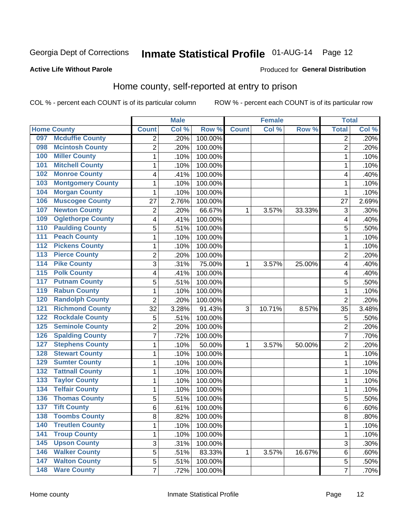# Inmate Statistical Profile 01-AUG-14 Page 12

#### **Active Life Without Parole**

#### Produced for General Distribution

### Home county, self-reported at entry to prison

COL % - percent each COUNT is of its particular column

|                  |                          |                         | <b>Male</b> |         |              | <b>Female</b> |        | <b>Total</b>   |         |
|------------------|--------------------------|-------------------------|-------------|---------|--------------|---------------|--------|----------------|---------|
|                  | <b>Home County</b>       | <b>Count</b>            | Col %       | Row %   | <b>Count</b> | Col %         | Row %  | <b>Total</b>   | Col %   |
| 097              | <b>Mcduffie County</b>   | 2                       | .20%        | 100.00% |              |               |        | 2              | .20%    |
| 098              | <b>Mcintosh County</b>   | $\overline{2}$          | .20%        | 100.00% |              |               |        | $\overline{2}$ | .20%    |
| 100              | <b>Miller County</b>     | $\mathbf 1$             | .10%        | 100.00% |              |               |        | 1              | .10%    |
| 101              | <b>Mitchell County</b>   | $\mathbf 1$             | .10%        | 100.00% |              |               |        | 1              | .10%    |
| 102              | <b>Monroe County</b>     | 4                       | .41%        | 100.00% |              |               |        | 4              | .40%    |
| 103              | <b>Montgomery County</b> | $\mathbf{1}$            | .10%        | 100.00% |              |               |        | 1              | .10%    |
| 104              | <b>Morgan County</b>     | 1                       | .10%        | 100.00% |              |               |        | 1              | .10%    |
| 106              | <b>Muscogee County</b>   | 27                      | 2.76%       | 100.00% |              |               |        | 27             | 2.69%   |
| 107              | <b>Newton County</b>     | $\overline{\mathbf{c}}$ | .20%        | 66.67%  | 1            | 3.57%         | 33.33% | 3              | .30%    |
| 109              | <b>Oglethorpe County</b> | 4                       | .41%        | 100.00% |              |               |        | 4              | .40%    |
| 110              | <b>Paulding County</b>   | 5                       | .51%        | 100.00% |              |               |        | 5              | .50%    |
| 111              | <b>Peach County</b>      | 1                       | .10%        | 100.00% |              |               |        | 1              | .10%    |
| $\overline{112}$ | <b>Pickens County</b>    | $\mathbf 1$             | .10%        | 100.00% |              |               |        | 1              | .10%    |
| $\overline{113}$ | <b>Pierce County</b>     | $\overline{c}$          | .20%        | 100.00% |              |               |        | $\overline{2}$ | .20%    |
| 114              | <b>Pike County</b>       | 3                       | .31%        | 75.00%  | 1            | 3.57%         | 25.00% | 4              | .40%    |
| $\overline{115}$ | <b>Polk County</b>       | 4                       | .41%        | 100.00% |              |               |        | 4              | .40%    |
| 117              | <b>Putnam County</b>     | 5                       | .51%        | 100.00% |              |               |        | 5              | .50%    |
| 119              | <b>Rabun County</b>      | 1                       | .10%        | 100.00% |              |               |        | 1              | .10%    |
| 120              | <b>Randolph County</b>   | $\overline{2}$          | .20%        | 100.00% |              |               |        | $\overline{2}$ | .20%    |
| 121              | <b>Richmond County</b>   | 32                      | 3.28%       | 91.43%  | 3            | 10.71%        | 8.57%  | 35             | 3.48%   |
| 122              | <b>Rockdale County</b>   | 5                       | .51%        | 100.00% |              |               |        | 5              | .50%    |
| 125              | <b>Seminole County</b>   | $\overline{c}$          | .20%        | 100.00% |              |               |        | $\overline{2}$ | .20%    |
| 126              | <b>Spalding County</b>   | $\overline{7}$          | .72%        | 100.00% |              |               |        | 7              | .70%    |
| 127              | <b>Stephens County</b>   | 1                       | .10%        | 50.00%  | 1            | 3.57%         | 50.00% | $\overline{2}$ | .20%    |
| 128              | <b>Stewart County</b>    | 1                       | .10%        | 100.00% |              |               |        | 1              | .10%    |
| 129              | <b>Sumter County</b>     | $\mathbf 1$             | .10%        | 100.00% |              |               |        | 1              | .10%    |
| 132              | <b>Tattnall County</b>   | $\mathbf 1$             | .10%        | 100.00% |              |               |        | 1              | .10%    |
| 133              | <b>Taylor County</b>     | $\mathbf 1$             | .10%        | 100.00% |              |               |        | 1              | .10%    |
| 134              | <b>Telfair County</b>    | $\mathbf 1$             | .10%        | 100.00% |              |               |        | 1              | .10%    |
| 136              | <b>Thomas County</b>     | 5                       | .51%        | 100.00% |              |               |        | 5              | .50%    |
| 137              | <b>Tift County</b>       | 6                       | .61%        | 100.00% |              |               |        | 6              | .60%    |
| 138              | <b>Toombs County</b>     | 8                       | .82%        | 100.00% |              |               |        | 8              | $.80\%$ |
| 140              | <b>Treutlen County</b>   | $\mathbf{1}$            | .10%        | 100.00% |              |               |        | 1              | .10%    |
| $\overline{141}$ | <b>Troup County</b>      | $\mathbf 1$             | .10%        | 100.00% |              |               |        | 1              | .10%    |
| 145              | <b>Upson County</b>      | 3                       | .31%        | 100.00% |              |               |        | 3              | .30%    |
| 146              | <b>Walker County</b>     | 5                       | .51%        | 83.33%  | 1            | 3.57%         | 16.67% | 6              | .60%    |
| 147              | <b>Walton County</b>     | 5                       | .51%        | 100.00% |              |               |        | 5              | .50%    |
| $\overline{148}$ | <b>Ware County</b>       | $\overline{7}$          | .72%        | 100.00% |              |               |        | $\overline{7}$ | .70%    |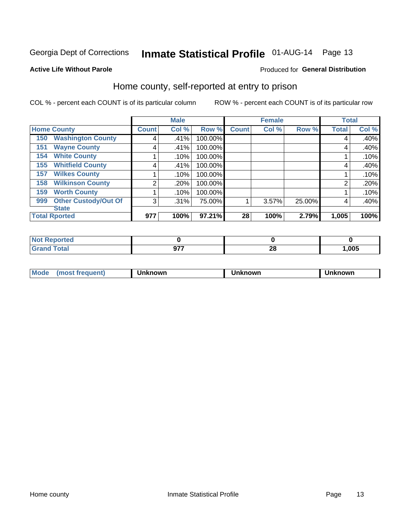# Inmate Statistical Profile 01-AUG-14 Page 13

#### **Active Life Without Parole**

#### Produced for General Distribution

### Home county, self-reported at entry to prison

COL % - percent each COUNT is of its particular column

|                    |                             | <b>Male</b>        |       |         | <b>Female</b> |       |        | <b>Total</b> |       |
|--------------------|-----------------------------|--------------------|-------|---------|---------------|-------|--------|--------------|-------|
| <b>Home County</b> |                             | Count <sup>1</sup> | Col % | Row %   | <b>Count</b>  | Col % | Row %  | Total        | Col % |
| 150                | <b>Washington County</b>    | 4                  | .41%  | 100.00% |               |       |        | 4            | .40%  |
| 151                | <b>Wayne County</b>         | 4                  | .41%  | 100.00% |               |       |        | 4            | .40%  |
| 154                | <b>White County</b>         |                    | .10%  | 100.00% |               |       |        |              | .10%  |
| 155                | <b>Whitfield County</b>     | 4                  | .41%  | 100.00% |               |       |        | 4            | .40%  |
| 157                | <b>Wilkes County</b>        |                    | .10%  | 100.00% |               |       |        |              | .10%  |
| 158                | <b>Wilkinson County</b>     | 2                  | .20%  | 100.00% |               |       |        | 2            | .20%  |
| 159                | <b>Worth County</b>         |                    | .10%  | 100.00% |               |       |        |              | .10%  |
| 999                | <b>Other Custody/Out Of</b> | 3                  | .31%  | 75.00%  |               | 3.57% | 25.00% | 4            | .40%  |
|                    | <b>State</b>                |                    |       |         |               |       |        |              |       |
|                    | <b>Total Rported</b>        | 977                | 100%  | 97.21%  | 28            | 100%  | 2.79%  | 1,005        | 100%  |

| τeα   |               |                                |      |
|-------|---------------|--------------------------------|------|
| _____ | 677<br>$\sim$ | $\overline{\phantom{a}}$<br>ΔU | ,005 |

| Moa <sub>c</sub> | . | ,,,,,<br>'NVL | owr | owr |
|------------------|---|---------------|-----|-----|
|                  |   |               |     |     |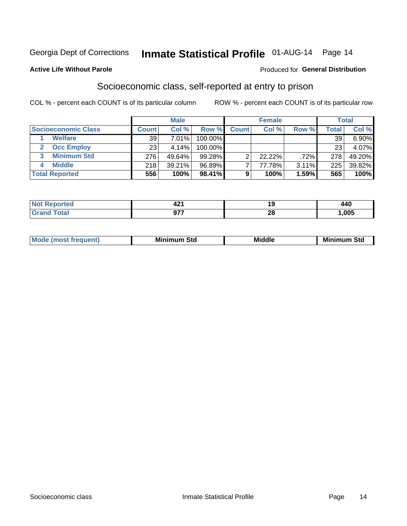### Inmate Statistical Profile 01-AUG-14 Page 14

#### **Active Life Without Parole**

#### **Produced for General Distribution**

### Socioeconomic class, self-reported at entry to prison

COL % - percent each COUNT is of its particular column

|                       |              | <b>Male</b> |            |              | <b>Female</b> |       |       | <b>Total</b> |
|-----------------------|--------------|-------------|------------|--------------|---------------|-------|-------|--------------|
| Socioeconomic Class   | <b>Count</b> | Col %       | Row %      | <b>Count</b> | Col %         | Row % | Total | Col %        |
| <b>Welfare</b>        | 39           | 7.01%       | 100.00%    |              |               |       | 39    | 6.90%        |
| <b>Occ Employ</b>     | 23           | 4.14%       | $100.00\%$ |              |               |       | 23    | 4.07%        |
| <b>Minimum Std</b>    | 276          | 49.64%      | $99.28\%$  |              | $22.22\%$     | .72%  | 278   | 49.20%       |
| <b>Middle</b>         | 218          | 39.21%      | 96.89%     |              | 77.78%        | 3.11% | 225   | 39.82%       |
| <b>Total Reported</b> | 556          | 100%        | 98.41%     |              | 100%          | 1.59% | 565   | 100%         |

| ττeα<br>NO<br>. | -6<br>$ -$ |               |      |
|-----------------|------------|---------------|------|
|                 | $\sim$     | ഹ<br><u>r</u> | ,005 |

|--|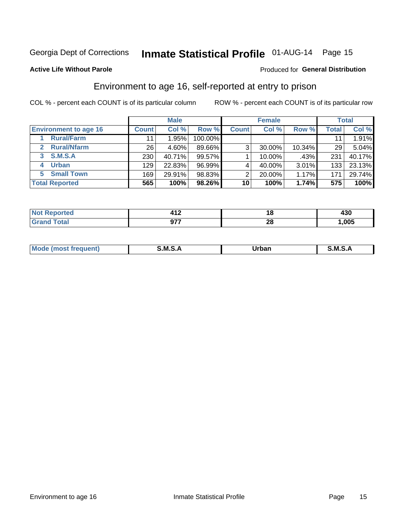## Inmate Statistical Profile 01-AUG-14 Page 15

#### **Active Life Without Parole**

#### Produced for General Distribution

### Environment to age 16, self-reported at entry to prison

COL % - percent each COUNT is of its particular column

|                                      |                 | <b>Male</b> |           |                | <b>Female</b> |        |                 | <b>Total</b> |
|--------------------------------------|-----------------|-------------|-----------|----------------|---------------|--------|-----------------|--------------|
| <b>Environment to age 16</b>         | <b>Count</b>    | Col %       | Row %     | <b>Count</b>   | Col %         | Row %  | <b>Total</b>    | Col %        |
| <b>Rural/Farm</b>                    | 11              | 1.95%       | 100.00%   |                |               |        |                 | 1.91%        |
| <b>Rural/Nfarm</b><br>$\overline{2}$ | 26 <sub>1</sub> | 4.60%       | 89.66%    | 3 <sub>1</sub> | 30.00%        | 10.34% | 29 <sub>1</sub> | 5.04%        |
| 3 S.M.S.A                            | 230             | 40.71%      | $99.57\%$ |                | 10.00%        | .43%   | 231             | 40.17%       |
| <b>Urban</b><br>4                    | 129             | 22.83%      | 96.99%    |                | 40.00%        | 3.01%  | 133             | 23.13%       |
| <b>Small Town</b><br>5               | 169             | 29.91%      | 98.83%    | 2              | 20.00%        | 1.17%  | 171             | 29.74%       |
| <b>Total Reported</b>                | 565             | 100%        | 98.26%    | 10             | 100%          | 1.74%  | 575             | 100%         |

| and a series<br>prtea<br>NOT<br>. | . . r | 10       | 430  |
|-----------------------------------|-------|----------|------|
|                                   | 077   | n.<br>ZO | ,005 |

| $Mc$ | M | <b>Jrhan</b> | M.     |
|------|---|--------------|--------|
|      |   | _____        | ______ |
|      |   |              |        |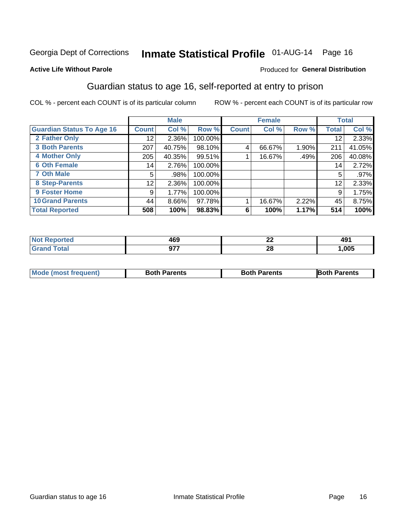# Inmate Statistical Profile 01-AUG-14 Page 16

#### **Active Life Without Parole**

#### Produced for General Distribution

### Guardian status to age 16, self-reported at entry to prison

COL % - percent each COUNT is of its particular column

|                                  |              | <b>Male</b> |         |              | <b>Female</b> |       |       | <b>Total</b> |
|----------------------------------|--------------|-------------|---------|--------------|---------------|-------|-------|--------------|
| <b>Guardian Status To Age 16</b> | <b>Count</b> | Col %       | Row %   | <b>Count</b> | Col %         | Row % | Total | Col %        |
| 2 Father Only                    | 12           | 2.36%       | 100.00% |              |               |       | 12    | 2.33%        |
| <b>3 Both Parents</b>            | 207          | 40.75%      | 98.10%  | 4            | 66.67%        | 1.90% | 211   | 41.05%       |
| <b>4 Mother Only</b>             | 205          | 40.35%      | 99.51%  |              | 16.67%        | .49%  | 206   | 40.08%       |
| <b>6 Oth Female</b>              | 14           | 2.76%       | 100.00% |              |               |       | 14    | 2.72%        |
| <b>7 Oth Male</b>                | 5            | .98%        | 100.00% |              |               |       | 5     | .97%         |
| 8 Step-Parents                   | 12           | 2.36%       | 100.00% |              |               |       | 12    | 2.33%        |
| <b>9 Foster Home</b>             | 9            | 1.77%       | 100.00% |              |               |       | 9     | 1.75%        |
| <b>10 Grand Parents</b>          | 44           | 8.66%       | 97.78%  |              | 16.67%        | 2.22% | 45    | 8.75%        |
| <b>Total Reported</b>            | 508          | 100%        | 98.83%  | 6            | 100%          | 1.17% | 514   | 100%         |

| ted | 160<br>7vJ | $\overline{ }$<br>LL | $\overline{ }$<br>-49. |
|-----|------------|----------------------|------------------------|
|     | ~~~        | 28                   | .005                   |

| <b>Mode (most frequent)</b> | <b>Both Parents</b> | <b>Both Parents</b> | <b>Both Parents</b> |
|-----------------------------|---------------------|---------------------|---------------------|
|                             |                     |                     |                     |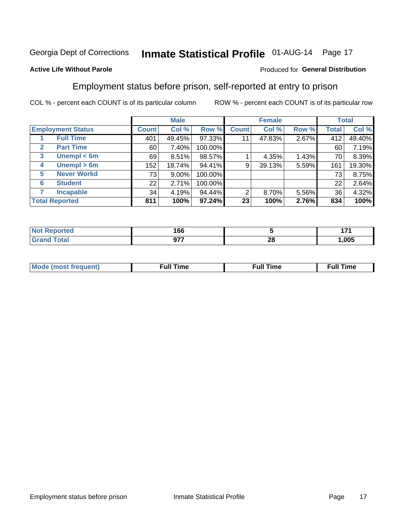# Inmate Statistical Profile 01-AUG-14 Page 17

#### **Active Life Without Parole**

#### Produced for General Distribution

### Employment status before prison, self-reported at entry to prison

COL % - percent each COUNT is of its particular column

|              |                          |              | <b>Male</b> |         |              | <b>Female</b> |       |       | <b>Total</b> |
|--------------|--------------------------|--------------|-------------|---------|--------------|---------------|-------|-------|--------------|
|              | <b>Employment Status</b> | <b>Count</b> | Col %       | Row %   | <b>Count</b> | Col %         | Row % | Total | Col %        |
|              | <b>Full Time</b>         | 401          | 49.45%      | 97.33%  | 11           | 47.83%        | 2.67% | 412   | 49.40%       |
| $\mathbf{2}$ | <b>Part Time</b>         | 60           | 7.40%       | 100.00% |              |               |       | 60    | 7.19%        |
| 3            | Unempl $<$ 6m            | 69           | 8.51%       | 98.57%  |              | 4.35%         | 1.43% | 70    | 8.39%        |
| 4            | Unempl > 6m              | 152          | 18.74%      | 94.41%  | 9            | 39.13%        | 5.59% | 161   | 19.30%       |
| 5            | <b>Never Workd</b>       | 73           | 9.00%       | 100.00% |              |               |       | 73    | 8.75%        |
| 6            | <b>Student</b>           | 22           | 2.71%       | 100.00% |              |               |       | 22    | 2.64%        |
| 7            | <b>Incapable</b>         | 34           | 4.19%       | 94.44%  | 2            | 8.70%         | 5.56% | 36    | 4.32%        |
|              | <b>Total Reported</b>    | 811          | 100%        | 97.24%  | 23           | 100%          | 2.76% | 834   | 100%         |

| тес.   | 166      |                  | --<br>. |
|--------|----------|------------------|---------|
| $F0+0$ | ヘフフ<br>. | ne.<br>ZС<br>___ | .005    |

| Mc | ∙u∥<br>----<br>ıme | ίuΙ<br>Πmε |
|----|--------------------|------------|
|    |                    |            |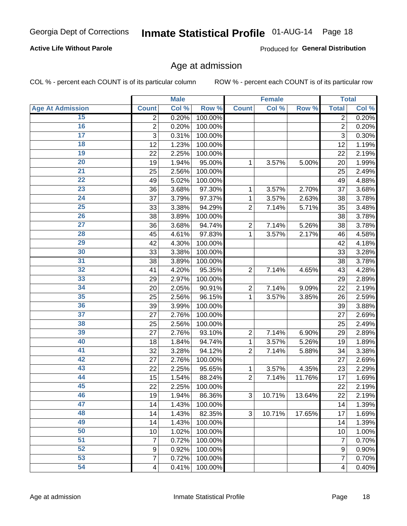# Inmate Statistical Profile 01-AUG-14 Page 18

#### **Active Life Without Parole**

Produced for General Distribution

### Age at admission

COL % - percent each COUNT is of its particular column

|                         |                  | <b>Male</b> |         |                | <b>Female</b> |        |                         | <b>Total</b> |
|-------------------------|------------------|-------------|---------|----------------|---------------|--------|-------------------------|--------------|
| <b>Age At Admission</b> | <b>Count</b>     | Col %       | Row %   | <b>Count</b>   | Col %         | Row %  | <b>Total</b>            | Col %        |
| 15                      | 2                | 0.20%       | 100.00% |                |               |        | $\overline{2}$          | 0.20%        |
| 16                      | $\overline{2}$   | 0.20%       | 100.00% |                |               |        | $\overline{2}$          | 0.20%        |
| $\overline{17}$         | 3                | 0.31%       | 100.00% |                |               |        | 3                       | 0.30%        |
| 18                      | 12               | 1.23%       | 100.00% |                |               |        | 12                      | 1.19%        |
| 19                      | 22               | 2.25%       | 100.00% |                |               |        | 22                      | 2.19%        |
| $\overline{20}$         | 19               | 1.94%       | 95.00%  | 1              | 3.57%         | 5.00%  | 20                      | 1.99%        |
| 21                      | 25               | 2.56%       | 100.00% |                |               |        | 25                      | 2.49%        |
| 22                      | 49               | 5.02%       | 100.00% |                |               |        | 49                      | 4.88%        |
| 23                      | 36               | 3.68%       | 97.30%  | 1              | 3.57%         | 2.70%  | 37                      | 3.68%        |
| 24                      | 37               | 3.79%       | 97.37%  | 1              | 3.57%         | 2.63%  | 38                      | 3.78%        |
| $\overline{25}$         | 33               | 3.38%       | 94.29%  | $\overline{2}$ | 7.14%         | 5.71%  | 35                      | 3.48%        |
| 26                      | 38               | 3.89%       | 100.00% |                |               |        | 38                      | 3.78%        |
| $\overline{27}$         | 36               | 3.68%       | 94.74%  | $\overline{2}$ | 7.14%         | 5.26%  | 38                      | 3.78%        |
| 28                      | 45               | 4.61%       | 97.83%  | 1              | 3.57%         | 2.17%  | 46                      | 4.58%        |
| 29                      | 42               | 4.30%       | 100.00% |                |               |        | 42                      | 4.18%        |
| 30                      | 33               | 3.38%       | 100.00% |                |               |        | 33                      | 3.28%        |
| 31                      | 38               | 3.89%       | 100.00% |                |               |        | 38                      | 3.78%        |
| 32                      | 41               | 4.20%       | 95.35%  | $\overline{2}$ | 7.14%         | 4.65%  | 43                      | 4.28%        |
| 33                      | 29               | 2.97%       | 100.00% |                |               |        | 29                      | 2.89%        |
| 34                      | 20               | 2.05%       | 90.91%  | $\overline{2}$ | 7.14%         | 9.09%  | 22                      | 2.19%        |
| 35                      | 25               | 2.56%       | 96.15%  | 1              | 3.57%         | 3.85%  | 26                      | 2.59%        |
| 36                      | 39               | 3.99%       | 100.00% |                |               |        | 39                      | 3.88%        |
| $\overline{37}$         | 27               | 2.76%       | 100.00% |                |               |        | 27                      | 2.69%        |
| 38                      | 25               | 2.56%       | 100.00% |                |               |        | 25                      | 2.49%        |
| 39                      | 27               | 2.76%       | 93.10%  | $\overline{2}$ | 7.14%         | 6.90%  | 29                      | 2.89%        |
| 40                      | 18               | 1.84%       | 94.74%  | 1              | 3.57%         | 5.26%  | 19                      | 1.89%        |
| 41                      | 32               | 3.28%       | 94.12%  | $\overline{2}$ | 7.14%         | 5.88%  | 34                      | 3.38%        |
| 42                      | 27               | 2.76%       | 100.00% |                |               |        | 27                      | 2.69%        |
| 43                      | 22               | 2.25%       | 95.65%  | 1              | 3.57%         | 4.35%  | 23                      | 2.29%        |
| 44                      | 15               | 1.54%       | 88.24%  | $\overline{2}$ | 7.14%         | 11.76% | 17                      | 1.69%        |
| 45                      | 22               | 2.25%       | 100.00% |                |               |        | 22                      | 2.19%        |
| 46                      | 19               | 1.94%       | 86.36%  | 3              | 10.71%        | 13.64% | 22                      | 2.19%        |
| 47                      | 14               | 1.43%       | 100.00% |                |               |        | 14                      | 1.39%        |
| 48                      | 14               | 1.43%       | 82.35%  | 3              | 10.71%        | 17.65% | 17                      | 1.69%        |
| 49                      | 14               | 1.43%       | 100.00% |                |               |        | 14                      | 1.39%        |
| 50                      | 10               | 1.02%       | 100.00% |                |               |        | 10                      | 1.00%        |
| $\overline{51}$         | 7                | 0.72%       | 100.00% |                |               |        | $\overline{7}$          | 0.70%        |
| 52                      | $\boldsymbol{9}$ | 0.92%       | 100.00% |                |               |        | 9                       | 0.90%        |
| 53                      | $\overline{7}$   | 0.72%       | 100.00% |                |               |        | 7                       | 0.70%        |
| 54                      | 4                | 0.41%       | 100.00% |                |               |        | $\overline{\mathbf{4}}$ | 0.40%        |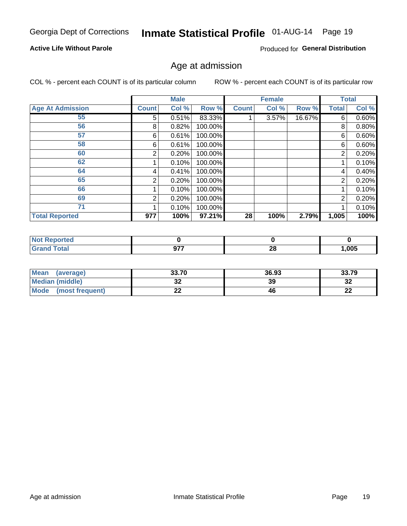# Inmate Statistical Profile 01-AUG-14 Page 19

#### **Active Life Without Parole**

Produced for General Distribution

### Age at admission

COL % - percent each COUNT is of its particular column

|                         |              | <b>Male</b> |         |              | <b>Female</b> |        |       | <b>Total</b> |
|-------------------------|--------------|-------------|---------|--------------|---------------|--------|-------|--------------|
| <b>Age At Admission</b> | <b>Count</b> | Col %       | Row %   | <b>Count</b> | Col %         | Row %  | Total | Col %        |
| 55                      | 5            | 0.51%       | 83.33%  |              | 3.57%         | 16.67% | 6     | 0.60%        |
| 56                      | 8            | 0.82%       | 100.00% |              |               |        | 8     | 0.80%        |
| 57                      | 6            | 0.61%       | 100.00% |              |               |        | 6     | 0.60%        |
| 58                      | 6            | 0.61%       | 100.00% |              |               |        | 6     | 0.60%        |
| 60                      | 2            | 0.20%       | 100.00% |              |               |        | 2     | 0.20%        |
| 62                      |              | 0.10%       | 100.00% |              |               |        |       | 0.10%        |
| 64                      | 4            | 0.41%       | 100.00% |              |               |        | 4     | 0.40%        |
| 65                      | 2            | 0.20%       | 100.00% |              |               |        | 2     | 0.20%        |
| 66                      |              | 0.10%       | 100.00% |              |               |        |       | 0.10%        |
| 69                      | 2            | 0.20%       | 100.00% |              |               |        | 2     | 0.20%        |
| 71                      |              | 0.10%       | 100.00% |              |               |        |       | 0.10%        |
| <b>Total Reported</b>   | 977          | 100%        | 97.21%  | 28           | 100%          | 2.79%  | 1,005 | 100%         |

| Reported               |                   |           |      |
|------------------------|-------------------|-----------|------|
| $f \wedge f \wedge f'$ | $\sim$ – –<br>,,, | ne.<br>Zu | ,005 |

| <b>Mean</b><br>(average)       | 33.70                 | 36.93 | 33.79    |
|--------------------------------|-----------------------|-------|----------|
| Median (middle)                | u                     | 39    | o.<br>∠ت |
| <b>Mode</b><br>(most frequent) | $\sim$<br><u>. . </u> | 46    | n.<br>LL |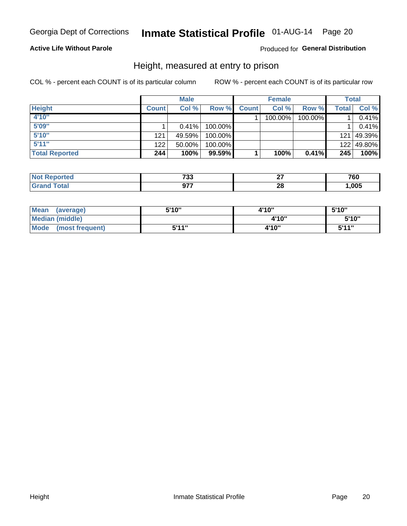# Inmate Statistical Profile 01-AUG-14 Page 20

#### **Active Life Without Parole**

#### Produced for General Distribution

### Height, measured at entry to prison

COL % - percent each COUNT is of its particular column

|                       |                  | <b>Male</b> |         |              | <b>Female</b> |         |       | Total      |
|-----------------------|------------------|-------------|---------|--------------|---------------|---------|-------|------------|
| <b>Height</b>         | <b>Count</b>     | Col %       | Row %   | <b>Count</b> | Col %         | Row %   | Total | Col %      |
| 4'10"                 |                  |             |         |              | 100.00%       | 100.00% |       | 0.41%      |
| 5'09"                 |                  | $0.41\%$    | 100.00% |              |               |         |       | 0.41%      |
| 5'10''                | 121              | 49.59%      | 100.00% |              |               |         |       | 121 49.39% |
| 5'11''                | 122 <sub>1</sub> | $50.00\%$   | 100.00% |              |               |         |       | 122 49.80% |
| <b>Total Reported</b> | 244              | 100%        | 99.59%  |              | 100%          | 0.41%   | 245   | 100%       |

| <b>Not</b><br>Reported       | フクク<br><i>၊</i> ၁၁ |             | 760  |
|------------------------------|--------------------|-------------|------|
| <b>Total</b><br><b>Grand</b> | 677                | ne.<br>24 L | ,005 |

| Mean<br>(average)              | 5'10" | 4'10" | 5'10''       |
|--------------------------------|-------|-------|--------------|
| Median (middle)                |       | 4'10" | 5'10''       |
| <b>Mode</b><br>(most frequent) | 5'11" | 4'10" | <b>5'44"</b> |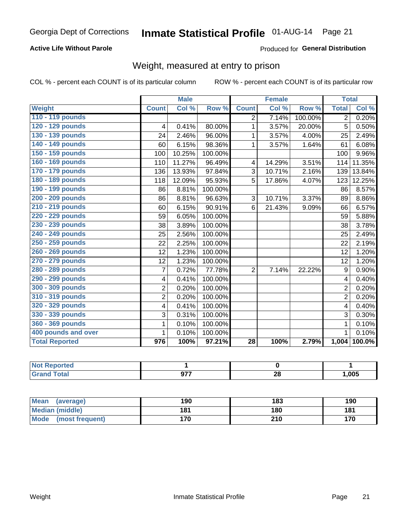# Inmate Statistical Profile 01-AUG-14 Page 21

#### **Active Life Without Parole**

#### Produced for General Distribution

### Weight, measured at entry to prison

COL % - percent each COUNT is of its particular column

|                       |                  | <b>Male</b> |         |                 | <b>Female</b> |         |                | <b>Total</b> |
|-----------------------|------------------|-------------|---------|-----------------|---------------|---------|----------------|--------------|
| Weight                | <b>Count</b>     | Col %       | Row %   | <b>Count</b>    | Col %         | Row %   | <b>Total</b>   | Col %        |
| 110 - 119 pounds      |                  |             |         | $\overline{2}$  | 7.14%         | 100.00% | $\overline{2}$ | 0.20%        |
| 120 - 129 pounds      | 4                | 0.41%       | 80.00%  | 1               | 3.57%         | 20.00%  | 5              | 0.50%        |
| 130 - 139 pounds      | 24               | 2.46%       | 96.00%  | 1               | 3.57%         | 4.00%   | 25             | 2.49%        |
| 140 - 149 pounds      | 60               | 6.15%       | 98.36%  | $\mathbf 1$     | 3.57%         | 1.64%   | 61             | 6.08%        |
| 150 - 159 pounds      | 100              | 10.25%      | 100.00% |                 |               |         | 100            | 9.96%        |
| 160 - 169 pounds      | 110              | 11.27%      | 96.49%  | 4               | 14.29%        | 3.51%   | 114            | 11.35%       |
| 170 - 179 pounds      | 136              | 13.93%      | 97.84%  | 3               | 10.71%        | 2.16%   | 139            | 13.84%       |
| 180 - 189 pounds      | 118              | 12.09%      | 95.93%  | 5               | 17.86%        | 4.07%   | 123            | 12.25%       |
| 190 - 199 pounds      | 86               | 8.81%       | 100.00% |                 |               |         | 86             | 8.57%        |
| 200 - 209 pounds      | 86               | 8.81%       | 96.63%  | 3               | 10.71%        | 3.37%   | 89             | 8.86%        |
| 210 - 219 pounds      | 60               | 6.15%       | 90.91%  | 6               | 21.43%        | 9.09%   | 66             | 6.57%        |
| 220 - 229 pounds      | 59               | 6.05%       | 100.00% |                 |               |         | 59             | 5.88%        |
| 230 - 239 pounds      | 38               | 3.89%       | 100.00% |                 |               |         | 38             | 3.78%        |
| 240 - 249 pounds      | 25               | 2.56%       | 100.00% |                 |               |         | 25             | 2.49%        |
| 250 - 259 pounds      | 22               | 2.25%       | 100.00% |                 |               |         | 22             | 2.19%        |
| 260 - 269 pounds      | 12               | 1.23%       | 100.00% |                 |               |         | 12             | 1.20%        |
| 270 - 279 pounds      | 12               | 1.23%       | 100.00% |                 |               |         | 12             | 1.20%        |
| 280 - 289 pounds      | $\overline{7}$   | 0.72%       | 77.78%  | $\overline{2}$  | 7.14%         | 22.22%  | 9              | 0.90%        |
| 290 - 299 pounds      | 4                | 0.41%       | 100.00% |                 |               |         | 4              | 0.40%        |
| 300 - 309 pounds      | $\overline{2}$   | 0.20%       | 100.00% |                 |               |         | $\overline{2}$ | 0.20%        |
| 310 - 319 pounds      | $\overline{2}$   | 0.20%       | 100.00% |                 |               |         | $\overline{2}$ | 0.20%        |
| 320 - 329 pounds      | 4                | 0.41%       | 100.00% |                 |               |         | 4              | 0.40%        |
| 330 - 339 pounds      | 3                | 0.31%       | 100.00% |                 |               |         | 3              | 0.30%        |
| 360 - 369 pounds      | 1                | 0.10%       | 100.00% |                 |               |         | 1              | 0.10%        |
| 400 pounds and over   | 1                | 0.10%       | 100.00% |                 |               |         | 1              | 0.10%        |
| <b>Total Reported</b> | $\overline{976}$ | 100%        | 97.21%  | $\overline{28}$ | 100%          | 2.79%   |                | 1,004 100.0% |

| <b>Not Reported</b> |     |          |       |
|---------------------|-----|----------|-------|
| <b>Total</b>        | 077 | n.<br>ΔU | 1,005 |

| Mean<br>(average)              | 190 | 183 | 190 |
|--------------------------------|-----|-----|-----|
| Median (middle)                | 181 | 180 | 181 |
| <b>Mode</b><br>(most frequent) | 170 | 210 | 170 |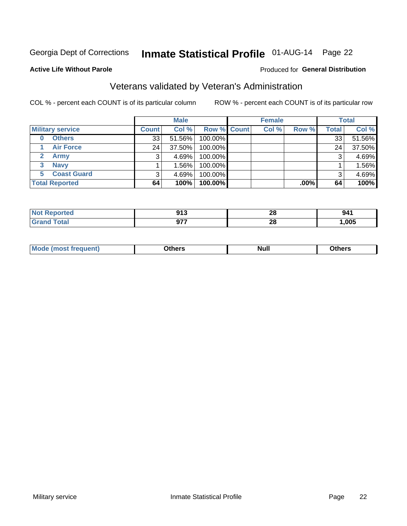# Inmate Statistical Profile 01-AUG-14 Page 22

#### **Active Life Without Parole**

#### Produced for General Distribution

### Veterans validated by Veteran's Administration

COL % - percent each COUNT is of its particular column

|                         |              | <b>Male</b> |                    | <b>Female</b> |         |              | <b>Total</b> |
|-------------------------|--------------|-------------|--------------------|---------------|---------|--------------|--------------|
| <b>Military service</b> | <b>Count</b> | Col %       | <b>Row % Count</b> | Col %         | Row %   | <b>Total</b> | Col %        |
| <b>Others</b><br>0      | 33           | 51.56%      | 100.00%            |               |         | 33           | 51.56%       |
| <b>Air Force</b>        | 24           | 37.50%      | 100.00%            |               |         | 24           | 37.50%       |
| <b>Army</b>             |              | 4.69%       | 100.00%            |               |         | 3            | 4.69%        |
| <b>Navy</b><br>3        |              | 1.56%       | 100.00%            |               |         |              | 1.56%        |
| <b>Coast Guard</b><br>5 | 3            | 4.69%       | 100.00%            |               |         | 3            | 4.69%        |
| <b>Total Reported</b>   | 64           | 100%        | 100.00%            |               | $.00\%$ | 64           | 100%         |

| rteo    | <b>042</b><br>ย เ ง | ററ<br>40 | 941  |
|---------|---------------------|----------|------|
| $f = f$ | ヘラフ<br>JI 1         | ኅር<br>Zu | ,005 |

| Mo<br><b>Null</b><br>วthers<br>____<br>____ |
|---------------------------------------------|
|---------------------------------------------|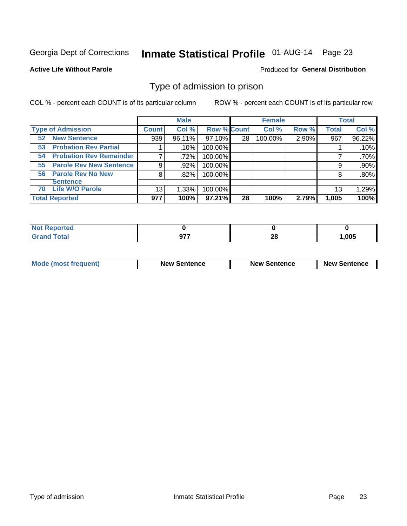# Inmate Statistical Profile 01-AUG-14 Page 23

#### **Active Life Without Parole**

#### **Produced for General Distribution**

### Type of admission to prison

COL % - percent each COUNT is of its particular column

|                                        |              | <b>Male</b> |                    |    | <b>Female</b> |       |              | <b>Total</b> |
|----------------------------------------|--------------|-------------|--------------------|----|---------------|-------|--------------|--------------|
| <b>Type of Admission</b>               | <b>Count</b> | Col %       | <b>Row % Count</b> |    | Col %         | Row % | <b>Total</b> | Col %        |
| <b>New Sentence</b><br>52 <sub>2</sub> | 939          | 96.11%      | 97.10%             | 28 | 100.00%       | 2.90% | 967          | 96.22%       |
| <b>Probation Rev Partial</b><br>53     |              | .10%        | 100.00%            |    |               |       |              | .10%         |
| <b>Probation Rev Remainder</b><br>54   |              | .72%        | 100.00%            |    |               |       |              | .70%         |
| <b>Parole Rev New Sentence</b><br>55   | 9            | .92%        | 100.00%            |    |               |       | 9            | .90%         |
| <b>Parole Rev No New</b><br>56         | 8            | .82%        | 100.00%            |    |               |       | 8            | .80%         |
| <b>Sentence</b>                        |              |             |                    |    |               |       |              |              |
| <b>Life W/O Parole</b><br>70           | 13           | 1.33%       | 100.00%            |    |               |       | 13           | 1.29%        |
| <b>Total Reported</b>                  | 977          | 100%        | 97.21%             | 28 | 100%          | 2.79% | 1,005        | 100%         |

| Reported<br>Nt |            |          |       |
|----------------|------------|----------|-------|
| <b>Total</b>   | $\sim$ – – | n.<br>20 | 1,005 |

| <b>Mode (most frequent)</b> | <b>New Sentence</b> | <b>New Sentence</b> | <b>New Sentence</b> |
|-----------------------------|---------------------|---------------------|---------------------|
|                             |                     |                     |                     |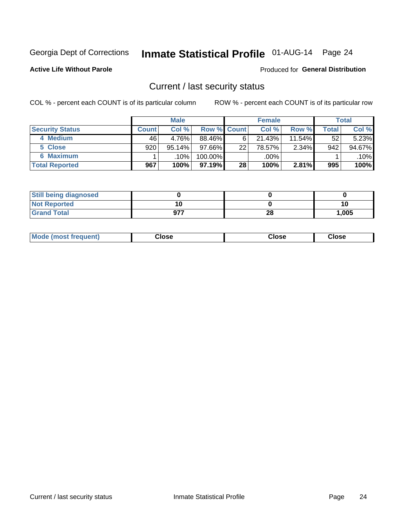# Inmate Statistical Profile 01-AUG-14 Page 24

**Active Life Without Parole** 

#### Produced for General Distribution

### Current / last security status

COL % - percent each COUNT is of its particular column

|                        |         | <b>Male</b> |                    |    | <b>Female</b> |           |       | <b>Total</b> |
|------------------------|---------|-------------|--------------------|----|---------------|-----------|-------|--------------|
| <b>Security Status</b> | Count l | Col %       | <b>Row % Count</b> |    | Col %         | Row %     | Total | Col %        |
| 4 Medium               | 46      | 4.76%       | 88.46%             | 6  | 21.43%        | $11.54\%$ | 52    | 5.23%        |
| 5 Close                | 920     | $95.14\%$   | 97.66%             | 22 | 78.57%        | 2.34%     | 942   | 94.67%       |
| <b>6 Maximum</b>       |         | .10%        | 100.00%            |    | .00%          |           |       | .10%         |
| <b>Total Reported</b>  | 967     | 100%        | 97.19%             | 28 | 100%          | 2.81%     | 995   | 100%         |

| <b>Still being diagnosed</b> |     |    |       |
|------------------------------|-----|----|-------|
| <b>Not Reported</b>          |     |    | 1ι    |
| <b>Grand Total</b>           | 977 | 28 | 1,005 |

| <b>Mode (most frequent)</b> | Close | Close | <b>Close</b> |
|-----------------------------|-------|-------|--------------|
|                             |       |       |              |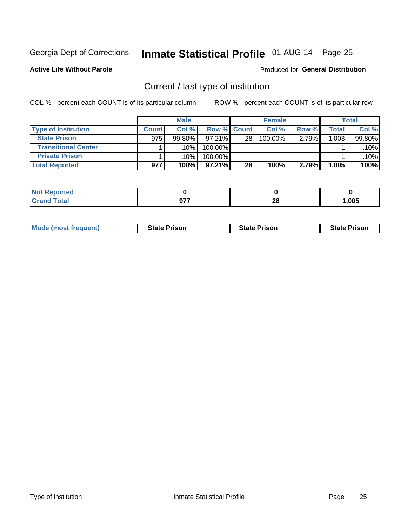# Inmate Statistical Profile 01-AUG-14 Page 25

**Active Life Without Parole** 

#### **Produced for General Distribution**

### Current / last type of institution

COL % - percent each COUNT is of its particular column

|                            |              | <b>Male</b> |                    |    | <b>Female</b> |       |         | <b>Total</b> |
|----------------------------|--------------|-------------|--------------------|----|---------------|-------|---------|--------------|
| <b>Type of Institution</b> | <b>Count</b> | Col %       | <b>Row % Count</b> |    | Col %         | Row % | Total . | Col %        |
| <b>State Prison</b>        | 975          | $99.80\%$   | $97.21\%$          | 28 | $100.00\%$    | 2.79% | 1,003   | 99.80%       |
| <b>Transitional Center</b> |              | $.10\%$     | 100.00%            |    |               |       |         | $.10\%$      |
| <b>Private Prison</b>      |              | .10%        | 100.00%            |    |               |       |         | .10%         |
| <b>Total Reported</b>      | 977          | 100%        | $97.21\%$          | 28 | 100%          | 2.79% | 1,005   | 100%         |

| Reported<br>$\sim$ |                     |                   |       |
|--------------------|---------------------|-------------------|-------|
| <b>otal</b>        | $\sim$<br>ъ.<br>. . | ົ<br>40<br>$\sim$ | 1,005 |

| <b>Mode (most frequent)</b> | <b>State Prison</b> | <b>State Prison</b> | <b>State Prison</b> |
|-----------------------------|---------------------|---------------------|---------------------|
|                             |                     |                     |                     |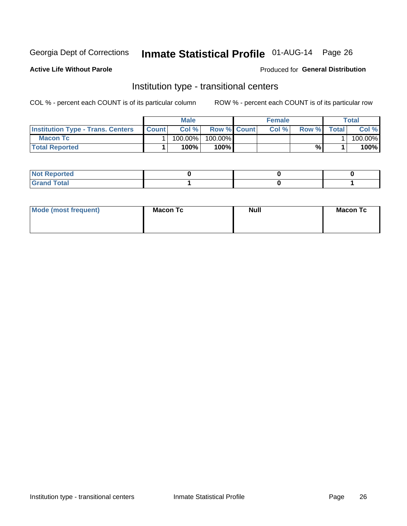# Inmate Statistical Profile 01-AUG-14 Page 26

**Active Life Without Parole** 

#### Produced for General Distribution

### Institution type - transitional centers

COL % - percent each COUNT is of its particular column

|                                          |              | Male    |                    | <b>Female</b> |       |              | Total   |
|------------------------------------------|--------------|---------|--------------------|---------------|-------|--------------|---------|
| <b>Institution Type - Trans. Centers</b> | <b>Count</b> | Col%    | <b>Row % Count</b> | Col%          | Row % | <b>Total</b> | Col %   |
| <b>Macon Tc</b>                          |              | 100.00% | 100.00%            |               |       |              | 100.00% |
| <b>Total Reported</b>                    |              | $100\%$ | 100%               |               | %     |              | 100%    |

| ∣ Not Reportea |  |  |
|----------------|--|--|
|                |  |  |

| Mode (most frequent) | <b>Macon Tc</b> | <b>Null</b> | <b>Macon Tc</b> |
|----------------------|-----------------|-------------|-----------------|
|                      |                 |             |                 |
|                      |                 |             |                 |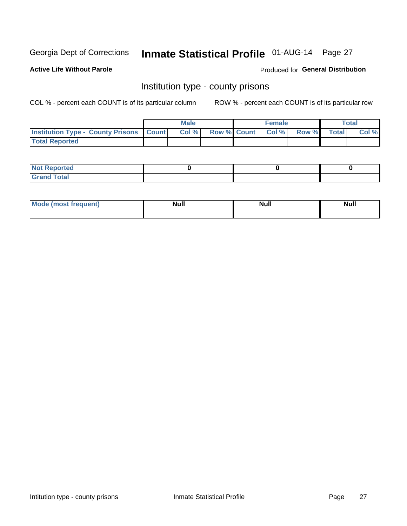# Inmate Statistical Profile 01-AUG-14 Page 27

**Active Life Without Parole** 

**Produced for General Distribution** 

### Institution type - county prisons

COL % - percent each COUNT is of its particular column

|                                                    | <b>Male</b> |       |                          | <b>Female</b> |  |             | <b>Total</b> |       |
|----------------------------------------------------|-------------|-------|--------------------------|---------------|--|-------------|--------------|-------|
| <b>Institution Type - County Prisons   Count  </b> |             | Col % | <b>Row % Count Col %</b> |               |  | Row % Total |              | Col % |
| <b>Total Reported</b>                              |             |       |                          |               |  |             |              |       |

| <b>Not Reported</b>         |  |  |
|-----------------------------|--|--|
| <b>Total</b><br>-<br>______ |  |  |

| <b>Mode</b>      | <b>Null</b> | <b>Null</b> | <b>Null</b> |
|------------------|-------------|-------------|-------------|
| (most freauent). |             |             |             |
|                  |             |             |             |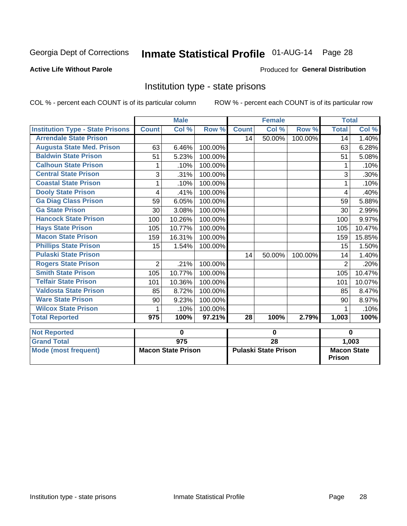# Inmate Statistical Profile 01-AUG-14 Page 28

#### **Active Life Without Parole**

#### Produced for General Distribution

### Institution type - state prisons

COL % - percent each COUNT is of its particular column

ROW % - percent each COUNT is of its particular row

|                                         |                | <b>Male</b>               |         |              | <b>Female</b>               |         | <b>Total</b>   |                    |  |  |
|-----------------------------------------|----------------|---------------------------|---------|--------------|-----------------------------|---------|----------------|--------------------|--|--|
| <b>Institution Type - State Prisons</b> | <b>Count</b>   | Col %                     | Row %   | <b>Count</b> | $\overline{\text{Col}}$ %   | Row %   | <b>Total</b>   | Col %              |  |  |
| <b>Arrendale State Prison</b>           |                |                           |         | 14           | 50.00%                      | 100.00% | 14             | 1.40%              |  |  |
| <b>Augusta State Med. Prison</b>        | 63             | 6.46%                     | 100.00% |              |                             |         | 63             | 6.28%              |  |  |
| <b>Baldwin State Prison</b>             | 51             | 5.23%                     | 100.00% |              |                             |         | 51             | 5.08%              |  |  |
| <b>Calhoun State Prison</b>             | 1              | .10%                      | 100.00% |              |                             |         | 1              | .10%               |  |  |
| <b>Central State Prison</b>             | 3              | .31%                      | 100.00% |              |                             |         | 3              | .30%               |  |  |
| <b>Coastal State Prison</b>             |                | .10%                      | 100.00% |              |                             |         |                | .10%               |  |  |
| <b>Dooly State Prison</b>               | 4              | .41%                      | 100.00% |              |                             |         | 4              | .40%               |  |  |
| <b>Ga Diag Class Prison</b>             | 59             | 6.05%                     | 100.00% |              |                             |         | 59             | 5.88%              |  |  |
| <b>Ga State Prison</b>                  | 30             | 3.08%                     | 100.00% |              |                             |         | 30             | 2.99%              |  |  |
| <b>Hancock State Prison</b>             | 100            | 10.26%                    | 100.00% |              |                             |         | 100            | 9.97%              |  |  |
| <b>Hays State Prison</b>                | 105            | 10.77%                    | 100.00% |              |                             |         | 105            | 10.47%             |  |  |
| <b>Macon State Prison</b>               | 159            | 16.31%                    | 100.00% |              |                             |         | 159            | 15.85%             |  |  |
| <b>Phillips State Prison</b>            | 15             | 1.54%                     | 100.00% |              |                             |         | 15             | 1.50%              |  |  |
| <b>Pulaski State Prison</b>             |                |                           |         | 14           | 50.00%                      | 100.00% | 14             | 1.40%              |  |  |
| <b>Rogers State Prison</b>              | $\overline{2}$ | .21%                      | 100.00% |              |                             |         | $\overline{2}$ | .20%               |  |  |
| <b>Smith State Prison</b>               | 105            | 10.77%                    | 100.00% |              |                             |         | 105            | 10.47%             |  |  |
| <b>Telfair State Prison</b>             | 101            | 10.36%                    | 100.00% |              |                             |         | 101            | 10.07%             |  |  |
| <b>Valdosta State Prison</b>            | 85             | 8.72%                     | 100.00% |              |                             |         | 85             | 8.47%              |  |  |
| <b>Ware State Prison</b>                | 90             | 9.23%                     | 100.00% |              |                             |         | 90             | 8.97%              |  |  |
| <b>Wilcox State Prison</b>              | 1              | .10%                      | 100.00% |              |                             |         | 1              | .10%               |  |  |
| <b>Total Reported</b>                   | 975            | 100%                      | 97.21%  | 28           | 100%                        | 2.79%   | 1,003          | 100%               |  |  |
| <b>Not Reported</b>                     |                | $\mathbf 0$               |         | $\bf{0}$     |                             |         | $\bf{0}$       |                    |  |  |
| <b>Grand Total</b>                      |                | $\overline{975}$          |         |              | $\overline{28}$             |         | 1,003          |                    |  |  |
| <b>Mode (most frequent)</b>             |                | <b>Macon State Prison</b> |         |              | <b>Pulaski State Prison</b> |         |                | <b>Macon State</b> |  |  |

**Prison**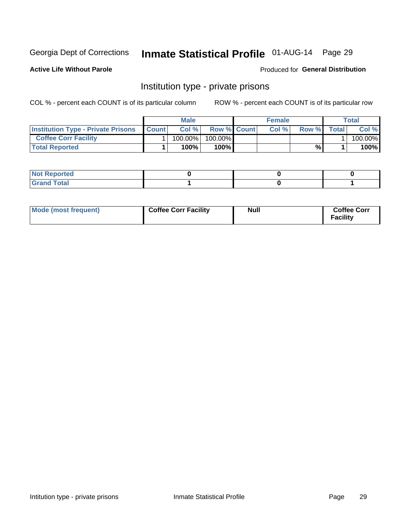# Inmate Statistical Profile 01-AUG-14 Page 29

**Active Life Without Parole** 

Produced for General Distribution

### Institution type - private prisons

COL % - percent each COUNT is of its particular column

|                                           | Male         |            |                    | <b>Female</b> |      |       | Total        |         |
|-------------------------------------------|--------------|------------|--------------------|---------------|------|-------|--------------|---------|
| <b>Institution Type - Private Prisons</b> | <b>Count</b> | Col%       | <b>Row % Count</b> |               | Col% | Row % | <b>Total</b> | Col %   |
| <b>Coffee Corr Facility</b>               |              | $100.00\%$ | 100.00%            |               |      |       |              | 100.00% |
| <b>Total Reported</b>                     |              | $100\%$    | 100%               |               |      | %     |              | 100%    |

| Not Reported |  |  |
|--------------|--|--|
|              |  |  |

| Mode (most frequent) | <b>Coffee Corr Facility</b> | <b>Null</b> | <b>Coffee Corr</b><br>Facility |
|----------------------|-----------------------------|-------------|--------------------------------|
|----------------------|-----------------------------|-------------|--------------------------------|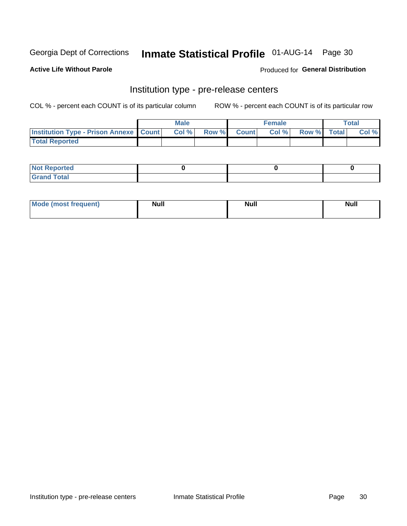## Inmate Statistical Profile 01-AUG-14 Page 30

**Active Life Without Parole** 

Produced for General Distribution

### Institution type - pre-release centers

COL % - percent each COUNT is of its particular column

|                                                    | <b>Male</b> |       |  |             | <b>Female</b> | <b>Total</b> |  |       |
|----------------------------------------------------|-------------|-------|--|-------------|---------------|--------------|--|-------|
| <b>Institution Type - Prison Annexe   Count   </b> |             | Col % |  | Row % Count | Col %         | Row % Total  |  | Col % |
| <b>Total Reported</b>                              |             |       |  |             |               |              |  |       |

| <b>Reported</b><br>I NOT |  |  |
|--------------------------|--|--|
| <b>Total</b><br>$C$ ren  |  |  |

| $^{\circ}$ Mo<br>frequent)<br>⊥(most | <b>Null</b> | Noll<br><b>vull</b> | <b>Null</b> |
|--------------------------------------|-------------|---------------------|-------------|
|                                      |             |                     |             |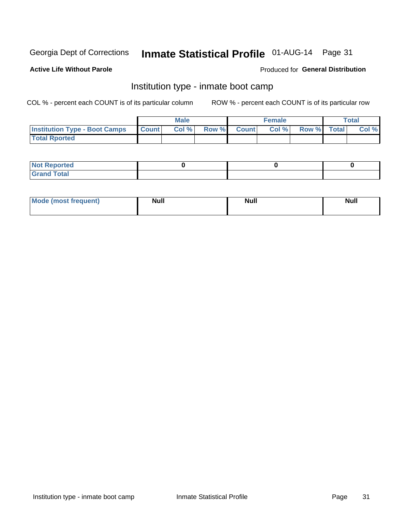# Inmate Statistical Profile 01-AUG-14 Page 31

#### **Active Life Without Parole**

#### Produced for General Distribution

### Institution type - inmate boot camp

COL % - percent each COUNT is of its particular column

|                                      | <b>Male</b>  |       |               |              | <b>Female</b> | <b>Total</b> |  |       |
|--------------------------------------|--------------|-------|---------------|--------------|---------------|--------------|--|-------|
| <b>Institution Type - Boot Camps</b> | <b>Count</b> | Col % | <b>Row %I</b> | <b>Count</b> | Col %         | Row % Total  |  | Col % |
| <b>Total Rported</b>                 |              |       |               |              |               |              |  |       |

| <b>Not Reported</b> |  |  |
|---------------------|--|--|
| <b>Total</b><br>Cro |  |  |

| <b>I Mode (most frequent)</b> | <b>Null</b> | <b>Null</b> | <b>Null</b> |
|-------------------------------|-------------|-------------|-------------|
|                               |             |             |             |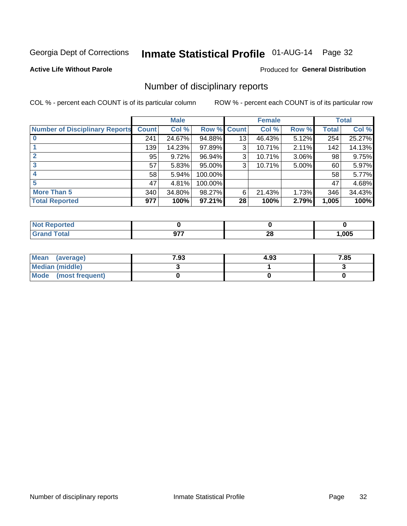# Inmate Statistical Profile 01-AUG-14 Page 32

#### **Active Life Without Parole**

#### **Produced for General Distribution**

### Number of disciplinary reports

COL % - percent each COUNT is of its particular column

|                                       | <b>Male</b>  |        | <b>Female</b> |              |        | <b>Total</b> |              |        |
|---------------------------------------|--------------|--------|---------------|--------------|--------|--------------|--------------|--------|
| <b>Number of Disciplinary Reports</b> | <b>Count</b> | Col %  | Row %         | <b>Count</b> | Col %  | Row %        | <b>Total</b> | Col %  |
|                                       | 241          | 24.67% | 94.88%        | 13           | 46.43% | 5.12%        | 254          | 25.27% |
|                                       | 139          | 14.23% | 97.89%        | 3            | 10.71% | 2.11%        | 142          | 14.13% |
| 2                                     | 95           | 9.72%  | 96.94%        | 3            | 10.71% | 3.06%        | 98           | 9.75%  |
| 3                                     | 57           | 5.83%  | 95.00%        | 3            | 10.71% | 5.00%        | 60           | 5.97%  |
|                                       | 58           | 5.94%  | 100.00%       |              |        |              | 58           | 5.77%  |
| 5                                     | 47           | 4.81%  | 100.00%       |              |        |              | 47           | 4.68%  |
| <b>More Than 5</b>                    | 340          | 34.80% | 98.27%        | 6            | 21.43% | 1.73%        | 346          | 34.43% |
| <b>Total Reported</b>                 | 977          | 100%   | 97.21%        | 28           | 100%   | 2.79%        | 1,005        | 100%   |

| NG<br>rer |             |         |      |
|-----------|-------------|---------|------|
| Гоtal     | ~--<br>JI I | ഹ<br>ZO | ,005 |

| Mean (average)       | 7.93 | 4.93 | 7.85 |
|----------------------|------|------|------|
| Median (middle)      |      |      |      |
| Mode (most frequent) |      |      |      |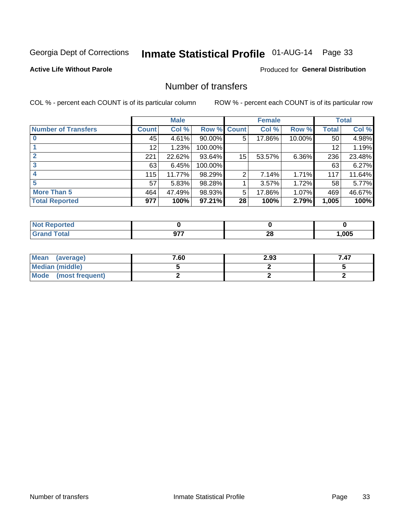# Inmate Statistical Profile 01-AUG-14 Page 33

#### **Active Life Without Parole**

#### **Produced for General Distribution**

### Number of transfers

COL % - percent each COUNT is of its particular column

|                            | <b>Male</b> |        | <b>Female</b> |                |        | <b>Total</b> |              |        |
|----------------------------|-------------|--------|---------------|----------------|--------|--------------|--------------|--------|
| <b>Number of Transfers</b> | Count l     | Col %  | Row %         | <b>Count</b>   | Col %  | Row %        | <b>Total</b> | Col %  |
|                            | 45          | 4.61%  | $90.00\%$     | 5              | 17.86% | 10.00%       | 50           | 4.98%  |
|                            | 12          | 1.23%  | 100.00%       |                |        |              | 12           | 1.19%  |
|                            | 221         | 22.62% | 93.64%        | 15             | 53.57% | 6.36%        | 236          | 23.48% |
| 3                          | 63          | 6.45%  | 100.00%       |                |        |              | 63           | 6.27%  |
|                            | 115         | 11.77% | 98.29%        | $\overline{2}$ | 7.14%  | 1.71%        | 117          | 11.64% |
| 5                          | 57          | 5.83%  | 98.28%        |                | 3.57%  | 1.72%        | 58           | 5.77%  |
| <b>More Than 5</b>         | 464         | 47.49% | 98.93%        | 5              | 17.86% | 1.07%        | 469          | 46.67% |
| <b>Total Reported</b>      | 977         | 100%   | 97.21%        | 28             | 100%   | 2.79%        | 1,005        | 100%   |

| prted<br>NOT      |     |         |      |
|-------------------|-----|---------|------|
| <sup>-</sup> otal | ~~~ | ഹ<br>40 | .005 |

| Mean (average)       | 7.60 | 2.93 | 7.47 |
|----------------------|------|------|------|
| Median (middle)      |      |      |      |
| Mode (most frequent) |      |      |      |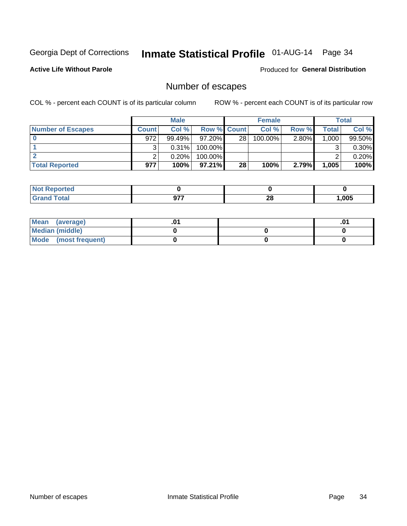# Inmate Statistical Profile 01-AUG-14 Page 34

**Active Life Without Parole** 

**Produced for General Distribution** 

### Number of escapes

COL % - percent each COUNT is of its particular column

|                          |              | <b>Male</b> |                    |    | <b>Female</b> |          |       | Total  |
|--------------------------|--------------|-------------|--------------------|----|---------------|----------|-------|--------|
| <b>Number of Escapes</b> | <b>Count</b> | Col%        | <b>Row % Count</b> |    | Col %         | Row %    | Total | Col %  |
|                          | 972          | $99.49\%$   | $97.20\%$          | 28 | 100.00%       | $2.80\%$ | 1,000 | 99.50% |
|                          |              | 0.31%       | 100.00%            |    |               |          |       | 0.30%  |
|                          |              | 0.20%       | 100.00%            |    |               |          |       | 0.20%  |
| <b>Total Reported</b>    | 977          | 100%        | $97.21\%$          | 28 | 100%          | 2.79%    | 1,005 | 100%   |

| : Reported<br><b>NOT</b> |              |          |      |
|--------------------------|--------------|----------|------|
| <b>Grand Total</b>       | ヘララ<br>J I I | ററ<br>ZO | ,005 |

| <b>Mean</b><br>(average) |  | .01 |
|--------------------------|--|-----|
| Median (middle)          |  |     |
| Mode (most frequent)     |  |     |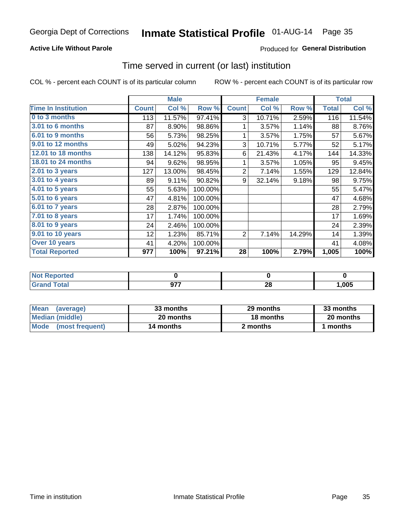# Inmate Statistical Profile 01-AUG-14 Page 35

#### **Active Life Without Parole**

#### Produced for General Distribution

### Time served in current (or last) institution

COL % - percent each COUNT is of its particular column

|                            |              | <b>Male</b> |         |                | <b>Female</b> |        |              | <b>Total</b> |
|----------------------------|--------------|-------------|---------|----------------|---------------|--------|--------------|--------------|
| <b>Time In Institution</b> | <b>Count</b> | Col %       | Row %   | <b>Count</b>   | Col %         | Row %  | <b>Total</b> | Col %        |
| 0 to 3 months              | 113          | 11.57%      | 97.41%  | 3              | 10.71%        | 2.59%  | 116          | 11.54%       |
| <b>3.01 to 6 months</b>    | 87           | 8.90%       | 98.86%  | 1              | 3.57%         | 1.14%  | 88           | 8.76%        |
| 6.01 to 9 months           | 56           | 5.73%       | 98.25%  | 1              | 3.57%         | 1.75%  | 57           | 5.67%        |
| 9.01 to 12 months          | 49           | 5.02%       | 94.23%  | 3              | 10.71%        | 5.77%  | 52           | 5.17%        |
| 12.01 to 18 months         | 138          | 14.12%      | 95.83%  | 6              | 21.43%        | 4.17%  | 144          | 14.33%       |
| <b>18.01 to 24 months</b>  | 94           | 9.62%       | 98.95%  | 1              | 3.57%         | 1.05%  | 95           | 9.45%        |
| 2.01 to 3 years            | 127          | 13.00%      | 98.45%  | $\overline{2}$ | 7.14%         | 1.55%  | 129          | 12.84%       |
| 3.01 to 4 years            | 89           | 9.11%       | 90.82%  | 9              | 32.14%        | 9.18%  | 98           | 9.75%        |
| 4.01 to 5 years            | 55           | 5.63%       | 100.00% |                |               |        | 55           | 5.47%        |
| 5.01 to 6 years            | 47           | 4.81%       | 100.00% |                |               |        | 47           | 4.68%        |
| 6.01 to 7 years            | 28           | 2.87%       | 100.00% |                |               |        | 28           | 2.79%        |
| 7.01 to 8 years            | 17           | 1.74%       | 100.00% |                |               |        | 17           | 1.69%        |
| $8.01$ to 9 years          | 24           | 2.46%       | 100.00% |                |               |        | 24           | 2.39%        |
| 9.01 to 10 years           | 12           | 1.23%       | 85.71%  | 2              | 7.14%         | 14.29% | 14           | 1.39%        |
| Over 10 years              | 41           | 4.20%       | 100.00% |                |               |        | 41           | 4.08%        |
| <b>Total Reported</b>      | 977          | 100%        | 97.21%  | 28             | 100%          | 2.79%  | 1,005        | 100%         |

| <b>Not Reported</b> |               |          |      |
|---------------------|---------------|----------|------|
| Tota <sup>l</sup>   | 677<br>$\sim$ | ^^<br>49 | ,005 |

| <b>Mean</b><br>(average) | 33 months | 29 months | 33 months |  |
|--------------------------|-----------|-----------|-----------|--|
| Median (middle)          | 20 months | 18 months | 20 months |  |
| Mode (most frequent)     | 14 months | 2 months  | ' months  |  |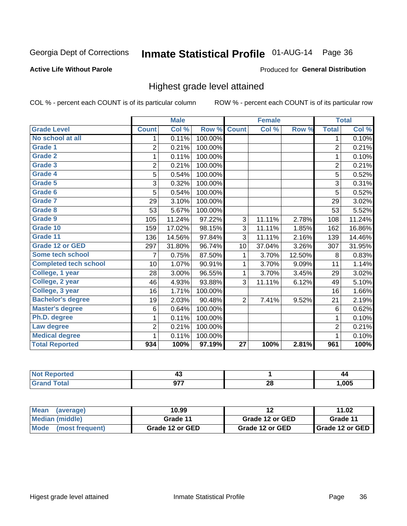# Inmate Statistical Profile 01-AUG-14 Page 36

#### **Active Life Without Parole**

#### **Produced for General Distribution**

### Highest grade level attained

COL % - percent each COUNT is of its particular column

|                              |                | <b>Male</b> |         |                 | <b>Female</b> |        |                | <b>Total</b> |
|------------------------------|----------------|-------------|---------|-----------------|---------------|--------|----------------|--------------|
| <b>Grade Level</b>           | <b>Count</b>   | Col %       | Row %   | <b>Count</b>    | Col %         | Row %  | <b>Total</b>   | Col %        |
| No school at all             | 1.             | 0.11%       | 100.00% |                 |               |        | 1              | 0.10%        |
| Grade 1                      | 2              | 0.21%       | 100.00% |                 |               |        | $\overline{2}$ | 0.21%        |
| <b>Grade 2</b>               | 1              | 0.11%       | 100.00% |                 |               |        | $\mathbf{1}$   | 0.10%        |
| Grade 3                      | $\overline{2}$ | 0.21%       | 100.00% |                 |               |        | $\overline{c}$ | 0.21%        |
| Grade 4                      | 5              | 0.54%       | 100.00% |                 |               |        | 5              | 0.52%        |
| Grade 5                      | 3              | 0.32%       | 100.00% |                 |               |        | 3              | 0.31%        |
| Grade 6                      | 5              | 0.54%       | 100.00% |                 |               |        | 5              | 0.52%        |
| Grade 7                      | 29             | 3.10%       | 100.00% |                 |               |        | 29             | 3.02%        |
| Grade 8                      | 53             | 5.67%       | 100.00% |                 |               |        | 53             | 5.52%        |
| Grade 9                      | 105            | 11.24%      | 97.22%  | 3               | 11.11%        | 2.78%  | 108            | 11.24%       |
| Grade 10                     | 159            | 17.02%      | 98.15%  | 3               | 11.11%        | 1.85%  | 162            | 16.86%       |
| Grade 11                     | 136            | 14.56%      | 97.84%  | 3               | 11.11%        | 2.16%  | 139            | 14.46%       |
| <b>Grade 12 or GED</b>       | 297            | 31.80%      | 96.74%  | 10              | 37.04%        | 3.26%  | 307            | 31.95%       |
| Some tech school             | 7              | 0.75%       | 87.50%  | 1               | 3.70%         | 12.50% | 8              | 0.83%        |
| <b>Completed tech school</b> | 10             | 1.07%       | 90.91%  | 1               | 3.70%         | 9.09%  | 11             | 1.14%        |
| College, 1 year              | 28             | 3.00%       | 96.55%  | 1               | 3.70%         | 3.45%  | 29             | 3.02%        |
| College, 2 year              | 46             | 4.93%       | 93.88%  | 3               | 11.11%        | 6.12%  | 49             | 5.10%        |
| College, 3 year              | 16             | 1.71%       | 100.00% |                 |               |        | 16             | 1.66%        |
| <b>Bachelor's degree</b>     | 19             | 2.03%       | 90.48%  | $\overline{2}$  | 7.41%         | 9.52%  | 21             | 2.19%        |
| <b>Master's degree</b>       | 6              | 0.64%       | 100.00% |                 |               |        | 6              | 0.62%        |
| Ph.D. degree                 | 1              | 0.11%       | 100.00% |                 |               |        | 1              | 0.10%        |
| Law degree                   | $\overline{2}$ | 0.21%       | 100.00% |                 |               |        | $\overline{2}$ | 0.21%        |
| <b>Medical degree</b>        | 1              | 0.11%       | 100.00% |                 |               |        | 1              | 0.10%        |
| <b>Total Reported</b>        | 934            | 100%        | 97.19%  | $\overline{27}$ | 100%          | 2.81%  | 961            | 100%         |

|                      | 17  |          | 44   |
|----------------------|-----|----------|------|
| $rac{1}{2}$<br>_____ | --- | ኅረ<br>Ζu | .005 |

| <b>Mean</b><br>(average)       | 10.99           | 12              | 11.02             |
|--------------------------------|-----------------|-----------------|-------------------|
| Median (middle)                | Grade 11        | Grade 12 or GED | Grade 11          |
| <b>Mode</b><br>(most frequent) | Grade 12 or GED | Grade 12 or GED | I Grade 12 or GED |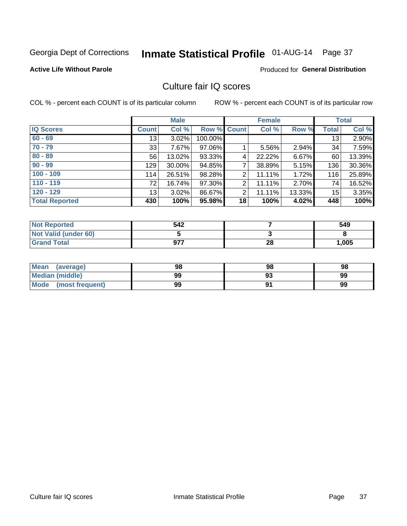# Inmate Statistical Profile 01-AUG-14 Page 37

### **Active Life Without Parole**

### **Produced for General Distribution**

## Culture fair IQ scores

COL % - percent each COUNT is of its particular column

|                       |              | <b>Male</b> |                    |                | <b>Female</b> |          |              | <b>Total</b> |
|-----------------------|--------------|-------------|--------------------|----------------|---------------|----------|--------------|--------------|
| <b>IQ Scores</b>      | <b>Count</b> | Col %       | <b>Row % Count</b> |                | Col %         | Row %    | <b>Total</b> | Col %        |
| $60 - 69$             | 13           | 3.02%       | 100.00%            |                |               |          | 13           | 2.90%        |
| $70 - 79$             | 33           | 7.67%       | 97.06%             |                | 5.56%         | 2.94%    | 34           | 7.59%        |
| $80 - 89$             | 56           | 13.02%      | 93.33%             | 4              | 22.22%        | $6.67\%$ | 60           | 13.39%       |
| $90 - 99$             | 129          | 30.00%      | 94.85%             | 7              | 38.89%        | 5.15%    | 136          | 30.36%       |
| $100 - 109$           | 114          | 26.51%      | 98.28%             | 2              | 11.11%        | 1.72%    | 116          | 25.89%       |
| $110 - 119$           | 72           | 16.74%      | 97.30%             | $\overline{2}$ | 11.11%        | 2.70%    | 74           | 16.52%       |
| $120 - 129$           | 13           | 3.02%       | 86.67%             | 2              | 11.11%        | 13.33%   | 15           | 3.35%        |
| <b>Total Reported</b> | 430          | 100%        | 95.98%             | 18             | 100%          | 4.02%    | 448          | 100%         |

| <b>Not Reported</b>         | 542 |    | 549   |
|-----------------------------|-----|----|-------|
| <b>Not Valid (under 60)</b> |     |    |       |
| <b>Grand Total</b>          | 977 | 28 | 1,005 |

| <b>Mean</b><br>(average) | 98 | 98 | 98 |
|--------------------------|----|----|----|
| <b>Median (middle)</b>   | 99 |    | 99 |
| Mode<br>(most frequent)  | 99 |    | 99 |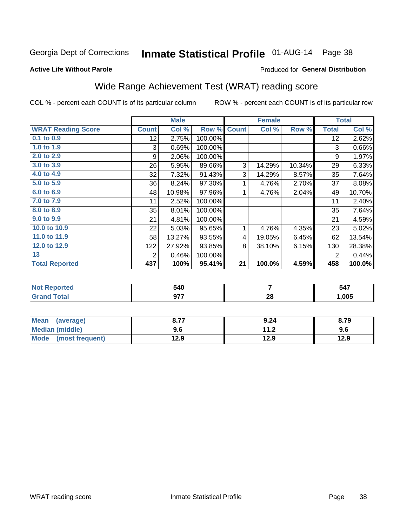# Inmate Statistical Profile 01-AUG-14 Page 38

### **Active Life Without Parole**

### **Produced for General Distribution**

## Wide Range Achievement Test (WRAT) reading score

COL % - percent each COUNT is of its particular column

| <b>WRAT Reading Score</b><br><b>Count</b><br>Col %<br>Row %<br>Col %<br>Row %<br><b>Total</b><br><b>Count</b><br>0.1 to 0.9<br>2.75%<br>100.00%<br>12<br>12 <sub>2</sub><br>1.0 to 1.9<br>0.69%<br>100.00%<br>3<br>3<br>2.0 to 2.9<br>2.06%<br>100.00%<br>9<br>9<br>3.0 to 3.9<br>26<br>3<br>14.29%<br>10.34%<br>5.95%<br>29<br>89.66%<br>4.0 to 4.9<br>32<br>7.32%<br>3<br>91.43%<br>8.57%<br>35<br>14.29%<br>5.0 to 5.9<br>36<br>37<br>97.30%<br>4.76%<br>2.70%<br>8.24%<br>1<br>6.0 to 6.9<br>10.98%<br>97.96%<br>2.04%<br>49<br>48<br>1<br>4.76%<br>7.0 to 7.9<br>2.52%<br>100.00%<br>11<br>11<br>8.0 to 8.9<br>35<br>8.01%<br>100.00%<br>35<br>9.0 to 9.9<br>21<br>21<br>4.81%<br>100.00%<br>10.0 to 10.9<br>22<br>5.03%<br>1<br>4.76%<br>4.35%<br>23<br>95.65%<br>11.0 to 11.9<br>58<br>13.27%<br>6.45%<br>62<br>93.55%<br>$\overline{4}$<br>19.05%<br>12.0 to 12.9<br>8<br>122<br>27.92%<br>93.85%<br>38.10%<br>6.15%<br>130 |    |   | <b>Male</b> |         | <b>Female</b> |   | <b>Total</b> |
|-------------------------------------------------------------------------------------------------------------------------------------------------------------------------------------------------------------------------------------------------------------------------------------------------------------------------------------------------------------------------------------------------------------------------------------------------------------------------------------------------------------------------------------------------------------------------------------------------------------------------------------------------------------------------------------------------------------------------------------------------------------------------------------------------------------------------------------------------------------------------------------------------------------------------------------|----|---|-------------|---------|---------------|---|--------------|
|                                                                                                                                                                                                                                                                                                                                                                                                                                                                                                                                                                                                                                                                                                                                                                                                                                                                                                                                     |    |   |             |         |               |   | Col %        |
|                                                                                                                                                                                                                                                                                                                                                                                                                                                                                                                                                                                                                                                                                                                                                                                                                                                                                                                                     |    |   |             |         |               |   | 2.62%        |
|                                                                                                                                                                                                                                                                                                                                                                                                                                                                                                                                                                                                                                                                                                                                                                                                                                                                                                                                     |    |   |             |         |               |   | 0.66%        |
|                                                                                                                                                                                                                                                                                                                                                                                                                                                                                                                                                                                                                                                                                                                                                                                                                                                                                                                                     |    |   |             |         |               |   | 1.97%        |
|                                                                                                                                                                                                                                                                                                                                                                                                                                                                                                                                                                                                                                                                                                                                                                                                                                                                                                                                     |    |   |             |         |               |   | 6.33%        |
|                                                                                                                                                                                                                                                                                                                                                                                                                                                                                                                                                                                                                                                                                                                                                                                                                                                                                                                                     |    |   |             |         |               |   | 7.64%        |
|                                                                                                                                                                                                                                                                                                                                                                                                                                                                                                                                                                                                                                                                                                                                                                                                                                                                                                                                     |    |   |             |         |               |   | 8.08%        |
|                                                                                                                                                                                                                                                                                                                                                                                                                                                                                                                                                                                                                                                                                                                                                                                                                                                                                                                                     |    |   |             |         |               |   | 10.70%       |
|                                                                                                                                                                                                                                                                                                                                                                                                                                                                                                                                                                                                                                                                                                                                                                                                                                                                                                                                     |    |   |             |         |               |   | 2.40%        |
|                                                                                                                                                                                                                                                                                                                                                                                                                                                                                                                                                                                                                                                                                                                                                                                                                                                                                                                                     |    |   |             |         |               |   | 7.64%        |
|                                                                                                                                                                                                                                                                                                                                                                                                                                                                                                                                                                                                                                                                                                                                                                                                                                                                                                                                     |    |   |             |         |               |   | 4.59%        |
|                                                                                                                                                                                                                                                                                                                                                                                                                                                                                                                                                                                                                                                                                                                                                                                                                                                                                                                                     |    |   |             |         |               |   | 5.02%        |
|                                                                                                                                                                                                                                                                                                                                                                                                                                                                                                                                                                                                                                                                                                                                                                                                                                                                                                                                     |    |   |             |         |               |   | 13.54%       |
|                                                                                                                                                                                                                                                                                                                                                                                                                                                                                                                                                                                                                                                                                                                                                                                                                                                                                                                                     |    |   |             |         |               |   | 28.38%       |
|                                                                                                                                                                                                                                                                                                                                                                                                                                                                                                                                                                                                                                                                                                                                                                                                                                                                                                                                     | 13 | 2 | 0.46%       | 100.00% |               | 2 | 0.44%        |
| <b>Total Reported</b><br>21<br>100.0%<br>458<br>437<br>100%<br>95.41%<br>4.59%                                                                                                                                                                                                                                                                                                                                                                                                                                                                                                                                                                                                                                                                                                                                                                                                                                                      |    |   |             |         |               |   | 100.0%       |

| <b>Not Reported</b> | 540        |          | 547  |
|---------------------|------------|----------|------|
| <b>Total</b>        | 877<br>v., | ኅር<br>ZO | ,005 |

| Mean (average)         | 0.77<br>O.11 | 9.24 | 8.79 |
|------------------------|--------------|------|------|
| <b>Median (middle)</b> | 9.6          | 11.2 | 9.6  |
| Mode (most frequent)   | 12.9         | 12.9 | 12.9 |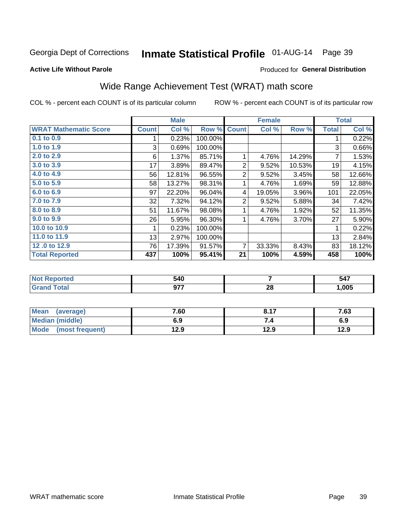## Inmate Statistical Profile 01-AUG-14 Page 39

**Active Life Without Parole** 

### Produced for General Distribution

## Wide Range Achievement Test (WRAT) math score

COL % - percent each COUNT is of its particular column

|                              |              | <b>Male</b> |         |                | <b>Female</b> |        |              | <b>Total</b> |
|------------------------------|--------------|-------------|---------|----------------|---------------|--------|--------------|--------------|
| <b>WRAT Mathematic Score</b> | <b>Count</b> | Col %       | Row %   | <b>Count</b>   | Col %         | Row %  | <b>Total</b> | Col %        |
| $0.1$ to $0.9$               |              | 0.23%       | 100.00% |                |               |        |              | 0.22%        |
| 1.0 to 1.9                   | 3            | 0.69%       | 100.00% |                |               |        | 3            | 0.66%        |
| 2.0 to 2.9                   | 6            | 1.37%       | 85.71%  |                | 4.76%         | 14.29% | 7            | 1.53%        |
| 3.0 to 3.9                   | 17           | 3.89%       | 89.47%  | 2              | 9.52%         | 10.53% | 19           | 4.15%        |
| 4.0 to 4.9                   | 56           | 12.81%      | 96.55%  | $\overline{2}$ | 9.52%         | 3.45%  | 58           | 12.66%       |
| 5.0 to 5.9                   | 58           | 13.27%      | 98.31%  |                | 4.76%         | 1.69%  | 59           | 12.88%       |
| 6.0 to 6.9                   | 97           | 22.20%      | 96.04%  | 4              | 19.05%        | 3.96%  | 101          | 22.05%       |
| 7.0 to 7.9                   | 32           | 7.32%       | 94.12%  | $\overline{2}$ | 9.52%         | 5.88%  | 34           | 7.42%        |
| 8.0 to 8.9                   | 51           | 11.67%      | 98.08%  |                | 4.76%         | 1.92%  | 52           | 11.35%       |
| 9.0 to 9.9                   | 26           | 5.95%       | 96.30%  |                | 4.76%         | 3.70%  | 27           | 5.90%        |
| 10.0 to 10.9                 |              | 0.23%       | 100.00% |                |               |        | 1            | 0.22%        |
| 11.0 to 11.9                 | 13           | 2.97%       | 100.00% |                |               |        | 13           | 2.84%        |
| 12.0 to 12.9                 | 76           | 17.39%      | 91.57%  | 7              | 33.33%        | 8.43%  | 83           | 18.12%       |
| <b>Total Reported</b>        | 437          | 100%        | 95.41%  | 21             | 100%          | 4.59%  | 458          | 100%         |

| 40د<br>- -           |           | 547<br>$\sim$ |
|----------------------|-----------|---------------|
| $\sim$ $\sim$ $\sim$ | - 0<br>ZO | .005          |

| <b>Mean</b><br>(average)       | 7.60 | 0.47 | 7.63 |
|--------------------------------|------|------|------|
| Median (middle)                | 6.9  |      | 6.9  |
| <b>Mode</b><br>(most frequent) | 12.9 | 12.9 | 12.9 |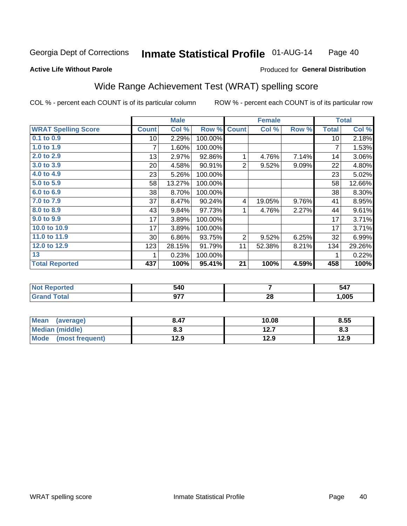#### **Inmate Statistical Profile 01-AUG-14** Page 40

#### **Active Life Without Parole**

### Produced for General Distribution

## Wide Range Achievement Test (WRAT) spelling score

COL % - percent each COUNT is of its particular column

|                            |                 | <b>Male</b> |         |                | <b>Female</b> |       |              | <b>Total</b> |
|----------------------------|-----------------|-------------|---------|----------------|---------------|-------|--------------|--------------|
| <b>WRAT Spelling Score</b> | <b>Count</b>    | Col %       | Row %   | <b>Count</b>   | Col %         | Row % | <b>Total</b> | Col %        |
| $0.1$ to $0.9$             | 10 <sup>1</sup> | 2.29%       | 100.00% |                |               |       | 10           | 2.18%        |
| 1.0 to 1.9                 |                 | 1.60%       | 100.00% |                |               |       | 7            | 1.53%        |
| 2.0 to 2.9                 | 13              | 2.97%       | 92.86%  | 1              | 4.76%         | 7.14% | 14           | 3.06%        |
| 3.0 to 3.9                 | 20              | 4.58%       | 90.91%  | 2              | 9.52%         | 9.09% | 22           | 4.80%        |
| 4.0 to 4.9                 | 23              | 5.26%       | 100.00% |                |               |       | 23           | 5.02%        |
| 5.0 to 5.9                 | 58              | 13.27%      | 100.00% |                |               |       | 58           | 12.66%       |
| 6.0 to 6.9                 | 38              | 8.70%       | 100.00% |                |               |       | 38           | 8.30%        |
| 7.0 to 7.9                 | 37              | 8.47%       | 90.24%  | 4              | 19.05%        | 9.76% | 41           | 8.95%        |
| 8.0 to 8.9                 | 43              | 9.84%       | 97.73%  | 1              | 4.76%         | 2.27% | 44           | 9.61%        |
| 9.0 to 9.9                 | 17              | 3.89%       | 100.00% |                |               |       | 17           | 3.71%        |
| 10.0 to 10.9               | 17              | 3.89%       | 100.00% |                |               |       | 17           | 3.71%        |
| 11.0 to 11.9               | $30$            | 6.86%       | 93.75%  | $\overline{2}$ | 9.52%         | 6.25% | 32           | 6.99%        |
| 12.0 to 12.9               | 123             | 28.15%      | 91.79%  | 11             | 52.38%        | 8.21% | 134          | 29.26%       |
| 13                         |                 | 0.23%       | 100.00% |                |               |       |              | 0.22%        |
| <b>Total Reported</b>      | 437             | 100%        | 95.41%  | 21             | 100%          | 4.59% | 458          | 100%         |
|                            |                 |             |         |                |               |       |              |              |

| <b>Not Reported</b> | 540 |    | 547  |
|---------------------|-----|----|------|
| Total<br>'Grand     | ሰ77 | 28 | ,005 |

| Mean<br>(average)              | 8.47       | 10.08         | 8.55 |
|--------------------------------|------------|---------------|------|
| <b>Median (middle)</b>         | י ה<br>ბ.ა | 1つ 7<br>I 4.I | ი.ა  |
| <b>Mode</b><br>(most frequent) | 12.9       | 12.9          | 12.9 |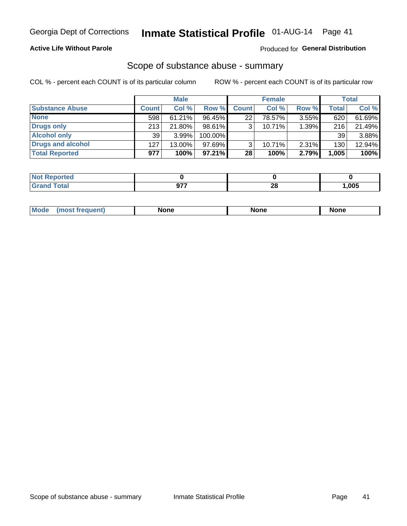### **Active Life Without Parole**

### Produced for General Distribution

### Scope of substance abuse - summary

COL % - percent each COUNT is of its particular column

|                        |              | <b>Male</b> |         |              | <b>Female</b> |          |              | <b>Total</b> |
|------------------------|--------------|-------------|---------|--------------|---------------|----------|--------------|--------------|
| <b>Substance Abuse</b> | <b>Count</b> | Col %       | Row %   | <b>Count</b> | Col %         | Row %    | <b>Total</b> | Col %        |
| <b>None</b>            | 598          | $61.21\%$   | 96.45%  | 22           | 78.57%        | $3.55\%$ | 620          | 61.69%       |
| <b>Drugs only</b>      | 213          | 21.80%      | 98.61%  |              | 10.71%        | 1.39%    | 216          | 21.49%       |
| <b>Alcohol only</b>    | 39           | $3.99\%$    | 100.00% |              |               |          | 39           | 3.88%        |
| Drugs and alcohol      | 127          | $13.00\%$   | 97.69%  |              | 10.71%        | $2.31\%$ | 130          | 12.94%       |
| <b>Total Reported</b>  | 977          | 100%        | 97.21%  | 28           | 100%          | 2.79%    | 1,005        | 100%         |

| <b>Not</b><br>Reported       |          |       |
|------------------------------|----------|-------|
| <b>Total</b><br><b>Grand</b> | 00<br>40 | 1,005 |

| nuem | <b>Mo</b> | None | <b>None</b> | None |
|------|-----------|------|-------------|------|
|------|-----------|------|-------------|------|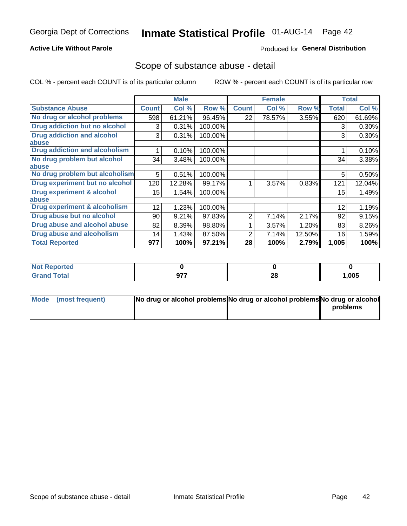### **Active Life Without Parole**

### **Produced for General Distribution**

### Scope of substance abuse - detail

COL % - percent each COUNT is of its particular column

|                                      |                 | <b>Male</b> |         |              | <b>Female</b> |        |              | <b>Total</b> |
|--------------------------------------|-----------------|-------------|---------|--------------|---------------|--------|--------------|--------------|
| <b>Substance Abuse</b>               | <b>Count</b>    | Col %       | Row %   | <b>Count</b> | Col %         | Row %  | <b>Total</b> | Col %        |
| No drug or alcohol problems          | 598             | 61.21%      | 96.45%  | 22           | 78.57%        | 3.55%  | 620          | 61.69%       |
| Drug addiction but no alcohol        | 3               | 0.31%       | 100.00% |              |               |        | 3            | 0.30%        |
| <b>Drug addiction and alcohol</b>    | 3               | 0.31%       | 100.00% |              |               |        | 3            | 0.30%        |
| <b>labuse</b>                        |                 |             |         |              |               |        |              |              |
| <b>Drug addiction and alcoholism</b> |                 | 0.10%       | 100.00% |              |               |        |              | 0.10%        |
| No drug problem but alcohol          | 34              | 3.48%       | 100.00% |              |               |        | 34           | 3.38%        |
| abuse                                |                 |             |         |              |               |        |              |              |
| No drug problem but alcoholism       | 5               | 0.51%       | 100.00% |              |               |        | 5            | 0.50%        |
| Drug experiment but no alcohol       | 120             | 12.28%      | 99.17%  |              | 3.57%         | 0.83%  | 121          | 12.04%       |
| <b>Drug experiment &amp; alcohol</b> | 15 <sub>2</sub> | 1.54%       | 100.00% |              |               |        | 15           | 1.49%        |
| abuse                                |                 |             |         |              |               |        |              |              |
| Drug experiment & alcoholism         | 12              | 1.23%       | 100.00% |              |               |        | 12           | 1.19%        |
| Drug abuse but no alcohol            | 90              | 9.21%       | 97.83%  | 2            | 7.14%         | 2.17%  | 92           | 9.15%        |
| Drug abuse and alcohol abuse         | 82              | 8.39%       | 98.80%  |              | 3.57%         | 1.20%  | 83           | 8.26%        |
| <b>Drug abuse and alcoholism</b>     | 14              | 1.43%       | 87.50%  | 2            | 7.14%         | 12.50% | 16           | 1.59%        |
| <b>Total Reported</b>                | 977             | 100%        | 97.21%  | 28           | 100%          | 2.79%  | 1,005        | 100%         |

| ported<br>w          |          |                     |       |
|----------------------|----------|---------------------|-------|
| $\sim$ $\sim$ $\sim$ | ヘララ<br>. | ററ<br>ZO.<br>$\sim$ | 1,005 |

| Mode (most frequent) | No drug or alcohol problems No drug or alcohol problems No drug or alcohol |          |
|----------------------|----------------------------------------------------------------------------|----------|
|                      |                                                                            | problems |
|                      |                                                                            |          |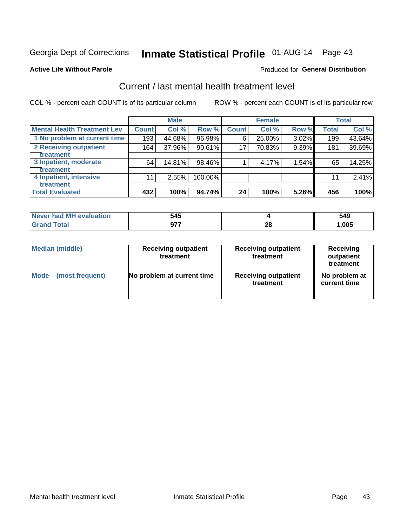# Inmate Statistical Profile 01-AUG-14 Page 43

### **Active Life Without Parole**

### **Produced for General Distribution**

## Current / last mental health treatment level

COL % - percent each COUNT is of its particular column

|                                    |                  | <b>Male</b> |         |              | <b>Female</b> |       |              | <b>Total</b> |
|------------------------------------|------------------|-------------|---------|--------------|---------------|-------|--------------|--------------|
| <b>Mental Health Treatment Lev</b> | <b>Count</b>     | Col %       | Row %   | <b>Count</b> | Col%          | Row % | <b>Total</b> | Col %        |
| 1 No problem at current time       | 193              | 44.68%      | 96.98%  | 6            | 25.00%        | 3.02% | 199          | 43.64%       |
| 2 Receiving outpatient             | 164              | 37.96%      | 90.61%  | 17           | 70.83%        | 9.39% | 181          | 39.69%       |
| <b>Treatment</b>                   |                  |             |         |              |               |       |              |              |
| 3 Inpatient, moderate              | 64               | 14.81%      | 98.46%  |              | 4.17%         | 1.54% | 65           | 14.25%       |
| <b>Treatment</b>                   |                  |             |         |              |               |       |              |              |
| 4 Inpatient, intensive             | 11               | 2.55%       | 100.00% |              |               |       | 11           | 2.41%        |
| <b>Treatment</b>                   |                  |             |         |              |               |       |              |              |
| <b>Total Evaluated</b>             | $\overline{4}32$ | 100%        | 94.74%  | 24           | 100%          | 5.26% | 456          | 100%         |

| Never had MH evaluation | 545 |    | 549  |
|-------------------------|-----|----|------|
| $T \cap f \cap$         | 877 | ∠∪ | ,005 |

| <b>Median (middle)</b> | <b>Receiving outpatient</b><br>treatment | <b>Receiving outpatient</b><br>treatment | <b>Receiving</b><br>outpatient<br>treatment |
|------------------------|------------------------------------------|------------------------------------------|---------------------------------------------|
| <b>Mode</b>            | No problem at current time               | <b>Receiving outpatient</b>              | No problem at                               |
| (most frequent)        |                                          | treatment                                | current time                                |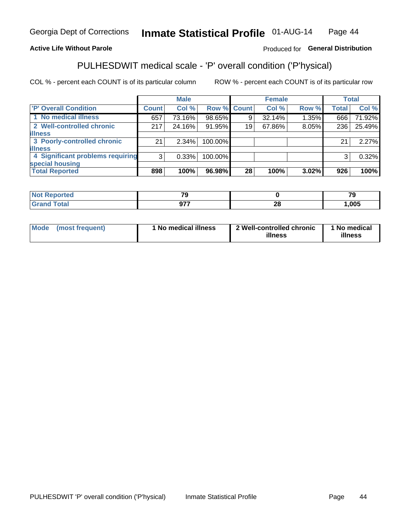#### Inmate Statistical Profile 01-AUG-14 Page 44

### **Active Life Without Parole**

### Produced for General Distribution

## PULHESDWIT medical scale - 'P' overall condition ('P'hysical)

COL % - percent each COUNT is of its particular column

|                                  |                | <b>Male</b> |                    |    | <b>Female</b> |       |              | <b>Total</b> |
|----------------------------------|----------------|-------------|--------------------|----|---------------|-------|--------------|--------------|
| 'P' Overall Condition            | Count l        | Col %       | <b>Row % Count</b> |    | Col %         | Row % | <b>Total</b> | Col %        |
| 1 No medical illness             | 657            | 73.16%      | 98.65%             | 9  | 32.14%        | 1.35% | 666          | 71.92%       |
| 2 Well-controlled chronic        | 217            | 24.16%      | 91.95%             | 19 | 67.86%        | 8.05% | 236          | 25.49%       |
| <b>illness</b>                   |                |             |                    |    |               |       |              |              |
| 3 Poorly-controlled chronic      | 21             | $2.34\%$    | 100.00%            |    |               |       | 21           | 2.27%        |
| <b>illness</b>                   |                |             |                    |    |               |       |              |              |
| 4 Significant problems requiring | 3 <sup>1</sup> | 0.33%       | 100.00%            |    |               |       | 3            | 0.32%        |
| special housing                  |                |             |                    |    |               |       |              |              |
| <b>Total Reported</b>            | 898            | 100%        | 96.98%             | 28 | 100%          | 3.02% | 926          | 100%         |

| $\mathcal{F}$ |                      | - -  |
|---------------|----------------------|------|
| $\sim$        | $\sim$<br>$\epsilon$ | .005 |

| <b>Mode</b> | (most frequent) | 1 No medical illness | 2 Well-controlled chronic<br>illness | 1 No medical<br>illness |
|-------------|-----------------|----------------------|--------------------------------------|-------------------------|
|-------------|-----------------|----------------------|--------------------------------------|-------------------------|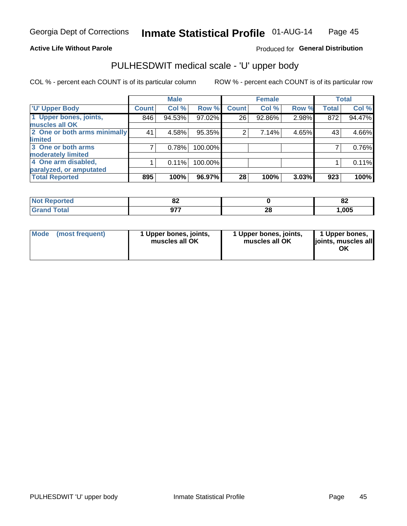### **Active Life Without Parole**

### Produced for General Distribution

# PULHESDWIT medical scale - 'U' upper body

COL % - percent each COUNT is of its particular column

|                              |              | <b>Male</b> |         |                | <b>Female</b> |       |              | <b>Total</b> |
|------------------------------|--------------|-------------|---------|----------------|---------------|-------|--------------|--------------|
| <b>'U' Upper Body</b>        | <b>Count</b> | Col %       | Row %   | <b>Count</b>   | Col %         | Row % | <b>Total</b> | Col %        |
| 1 Upper bones, joints,       | 846          | 94.53%      | 97.02%  | 26             | 92.86%        | 2.98% | 872          | 94.47%       |
| muscles all OK               |              |             |         |                |               |       |              |              |
| 2 One or both arms minimally | 41           | 4.58%       | 95.35%  | $\overline{2}$ | 7.14%         | 4.65% | 43           | 4.66%        |
| limited                      |              |             |         |                |               |       |              |              |
| 3 One or both arms           | 7            | 0.78%       | 100.00% |                |               |       |              | 0.76%        |
| <b>moderately limited</b>    |              |             |         |                |               |       |              |              |
| 4 One arm disabled,          |              | 0.11%       | 100.00% |                |               |       |              | 0.11%        |
| paralyzed, or amputated      |              |             |         |                |               |       |              |              |
| <b>Total Reported</b>        | 895          | 100%        | 96.97%  | 28             | 100%          | 3.03% | 923          | 100%         |

| τeα<br>NOI<br>$\cdots$ | OZ.    |          | o.<br><u>uz</u> |
|------------------------|--------|----------|-----------------|
| Fata                   | $\sim$ | ^^<br>ZU | ,005            |

| Mode | (most frequent) | 1 Upper bones, joints,<br>muscles all OK | 1 Upper bones, joints,<br>muscles all OK | 1 Upper bones,<br>ljoints, muscles all<br>OK |
|------|-----------------|------------------------------------------|------------------------------------------|----------------------------------------------|
|------|-----------------|------------------------------------------|------------------------------------------|----------------------------------------------|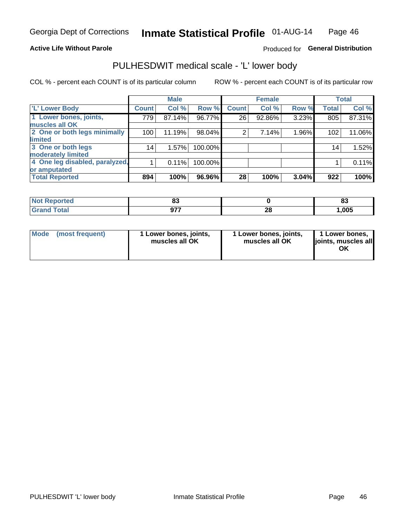### **Active Life Without Parole**

### Produced for General Distribution

## PULHESDWIT medical scale - 'L' lower body

COL % - percent each COUNT is of its particular column

|                                |              | <b>Male</b> |           |              | <b>Female</b> |       |              | <b>Total</b> |
|--------------------------------|--------------|-------------|-----------|--------------|---------------|-------|--------------|--------------|
| 'L' Lower Body                 | <b>Count</b> | Col %       | Row %     | <b>Count</b> | Col %         | Row % | <b>Total</b> | Col %        |
| 1 Lower bones, joints,         | 779          | 87.14%      | $96.77\%$ | 26           | 92.86%        | 3.23% | 805          | 87.31%       |
| muscles all OK                 |              |             |           |              |               |       |              |              |
| 2 One or both legs minimally   | 100          | 11.19%      | 98.04%    | 2            | 7.14%         | 1.96% | 102          | 11.06%       |
| limited                        |              |             |           |              |               |       |              |              |
| 3 One or both legs             | 14           | 1.57%       | 100.00%   |              |               |       | 14           | 1.52%        |
| moderately limited             |              |             |           |              |               |       |              |              |
| 4 One leg disabled, paralyzed, |              | 0.11%       | 100.00%   |              |               |       |              | 0.11%        |
| or amputated                   |              |             |           |              |               |       |              |              |
| <b>Total Reported</b>          | 894          | 100%        | 96.96%    | 28           | 100%          | 3.04% | 922          | 100%         |

| <b>orted</b><br>NOT<br>$\sim$ . The set of $\sim$ | uu     |          | e.<br>o. |
|---------------------------------------------------|--------|----------|----------|
| <b>Total</b><br>. .                               | $\sim$ | ^^<br>ZU | ,005     |

| Mode | (most frequent) | 1 Lower bones, joints,<br>muscles all OK | 1 Lower bones, joints,<br>muscles all OK | 1 Lower bones,<br>ljoints, muscles all<br>OK |
|------|-----------------|------------------------------------------|------------------------------------------|----------------------------------------------|
|------|-----------------|------------------------------------------|------------------------------------------|----------------------------------------------|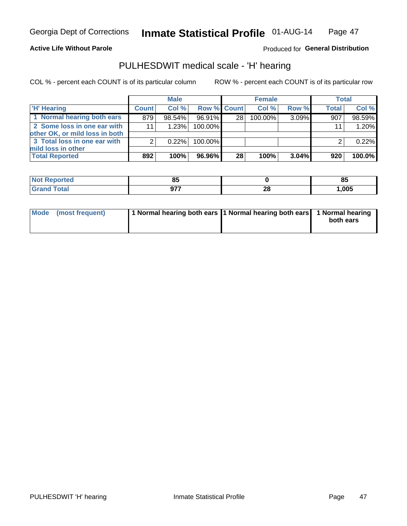### **Active Life Without Parole**

### Produced for General Distribution

## PULHESDWIT medical scale - 'H' hearing

COL % - percent each COUNT is of its particular column

|                                                               |              | <b>Male</b> |                    |                 | <b>Female</b> |       | <b>Total</b> |        |
|---------------------------------------------------------------|--------------|-------------|--------------------|-----------------|---------------|-------|--------------|--------|
| <b>H' Hearing</b>                                             | <b>Count</b> | Col %       | <b>Row % Count</b> |                 | Col %         | Row % | <b>Total</b> | Col %  |
| 1 Normal hearing both ears                                    | 879          | 98.54%      | 96.91%             | 28              | 100.00%       | 3.09% | 907          | 98.59% |
| 2 Some loss in one ear with<br>other OK, or mild loss in both | 11           | 1.23%       | 100.00%            |                 |               |       | 11           | 1.20%  |
| 3 Total loss in one ear with<br>mild loss in other            | 2            | 0.22%       | 100.00%            |                 |               |       |              | 0.22%  |
| <b>Total Reported</b>                                         | 892          | 100%        | 96.96% l           | 28 <sub>1</sub> | 100%          | 3.04% | 920          | 100.0% |

| rted   | --<br>u |           | $^{\circ}$<br>၀၁ |
|--------|---------|-----------|------------------|
| $\sim$ | ヘラフ     | ne.<br>ZС | 1,005            |

| Mode (most frequent) | 1 Normal hearing both ears 1 Normal hearing both ears 1 Normal hearing | both ears |
|----------------------|------------------------------------------------------------------------|-----------|
|                      |                                                                        |           |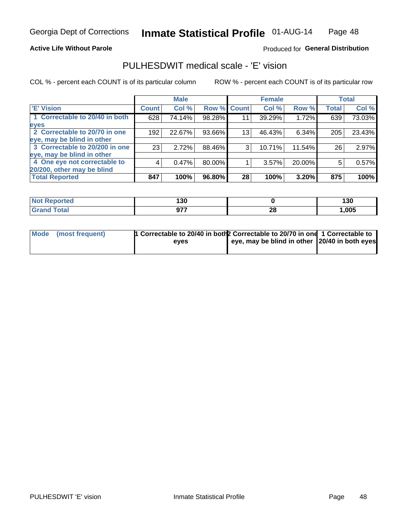### **Active Life Without Parole**

### Produced for General Distribution

## PULHESDWIT medical scale - 'E' vision

COL % - percent each COUNT is of its particular column

|                                |              | <b>Male</b> |             |    | <b>Female</b> |          |              | <b>Total</b> |
|--------------------------------|--------------|-------------|-------------|----|---------------|----------|--------------|--------------|
| <b>E' Vision</b>               | <b>Count</b> | Col %       | Row % Count |    | Col %         | Row %    | <b>Total</b> | Col %        |
| 1 Correctable to 20/40 in both | 628          | 74.14%      | 98.28%      | 11 | 39.29%        | 1.72%    | 639          | 73.03%       |
| eyes                           |              |             |             |    |               |          |              |              |
| 2 Correctable to 20/70 in one  | 192          | 22.67%      | 93.66%      | 13 | 46.43%        | $6.34\%$ | 205          | 23.43%       |
| eye, may be blind in other     |              |             |             |    |               |          |              |              |
| 3 Correctable to 20/200 in one | 23           | 2.72%       | 88.46%      | 3  | 10.71%        | 11.54%   | 26           | 2.97%        |
| eye, may be blind in other     |              |             |             |    |               |          |              |              |
| 4 One eye not correctable to   | 4            | 0.47%       | 80.00%      |    | 3.57%         | 20.00%   | 5            | 0.57%        |
| 20/200, other may be blind     |              |             |             |    |               |          |              |              |
| <b>Total Reported</b>          | 847          | 100%        | 96.80%      | 28 | 100%          | 3.20%    | 875          | 100%         |

| <b>Not Reported</b> | 130        |    | 130  |
|---------------------|------------|----|------|
| <b>Total</b>        | 077        | ኅር | ,005 |
| Grand               | <i>. .</i> | ZС |      |

| Mode (most frequent) | 1 Correctable to 20/40 in both 2 Correctable to 20/70 in one 1 Correctable to<br>eves | eye, may be blind in other 20/40 in both eyes |  |
|----------------------|---------------------------------------------------------------------------------------|-----------------------------------------------|--|
|                      |                                                                                       |                                               |  |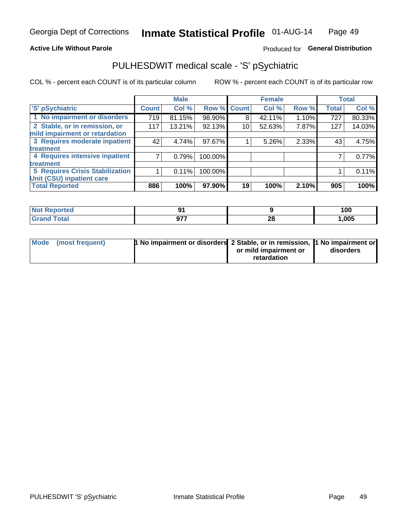### **Active Life Without Parole**

### Produced for General Distribution

## PULHESDWIT medical scale - 'S' pSychiatric

COL % - percent each COUNT is of its particular column

|                                        |              | <b>Male</b> |         |             | <b>Female</b> |       |              | <b>Total</b> |
|----------------------------------------|--------------|-------------|---------|-------------|---------------|-------|--------------|--------------|
| 'S' pSychiatric                        | <b>Count</b> | Col %       |         | Row % Count | Col %         | Row % | <b>Total</b> | Col %        |
| 1 No impairment or disorders           | 719          | 81.15%      | 98.90%  | 8           | 42.11%        | 1.10% | 727          | 80.33%       |
| 2 Stable, or in remission, or          | 117          | 13.21%      | 92.13%  | 10          | 52.63%        | 7.87% | 127          | 14.03%       |
| mild impairment or retardation         |              |             |         |             |               |       |              |              |
| 3 Requires moderate inpatient          | 42           | 4.74%       | 97.67%  |             | 5.26%         | 2.33% | 43           | 4.75%        |
| <b>treatment</b>                       |              |             |         |             |               |       |              |              |
| 4 Requires intensive inpatient         |              | 0.79%       | 100.00% |             |               |       |              | 0.77%        |
| <b>treatment</b>                       |              |             |         |             |               |       |              |              |
| <b>5 Requires Crisis Stabilization</b> |              | 0.11%       | 100.00% |             |               |       |              | 0.11%        |
| Unit (CSU) inpatient care              |              |             |         |             |               |       |              |              |
| <b>Total Reported</b>                  | 886          | 100%        | 97.90%  | 19          | 100%          | 2.10% | 905          | 100%         |

| <b>Not Reported</b> |      |    | 100   |
|---------------------|------|----|-------|
| <b>Total</b>        | ሰ77  | ററ | 1,005 |
| Grand               | י ופ | 20 |       |

| Mode (most frequent) | <b>1 No impairment or disorders 2 Stable, or in remission, 1 No impairment or</b> |                       |           |
|----------------------|-----------------------------------------------------------------------------------|-----------------------|-----------|
|                      |                                                                                   | or mild impairment or | disorders |
|                      |                                                                                   | retardation           |           |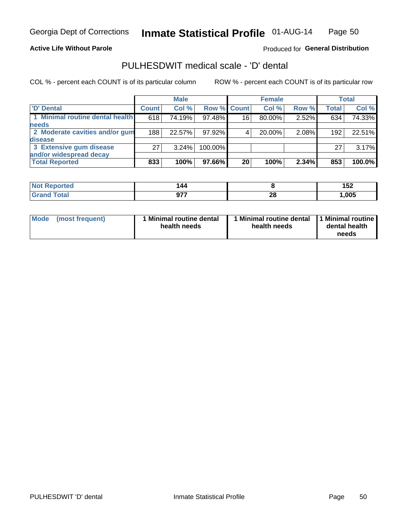### **Active Life Without Parole**

Produced for General Distribution

## PULHESDWIT medical scale - 'D' dental

COL % - percent each COUNT is of its particular column

|                                 |              | <b>Male</b> |             |    | <b>Female</b> |       |              | Total  |
|---------------------------------|--------------|-------------|-------------|----|---------------|-------|--------------|--------|
| 'D' Dental                      | <b>Count</b> | Col %       | Row % Count |    | Col %         | Row % | <b>Total</b> | Col %  |
| 1 Minimal routine dental health | 618          | 74.19%      | 97.48%      | 16 | 80.00%        | 2.52% | 634          | 74.33% |
| <b>needs</b>                    |              |             |             |    |               |       |              |        |
| 2 Moderate cavities and/or gum  | 188          | 22.57%      | 97.92%      |    | 20.00%        | 2.08% | 192          | 22.51% |
| disease                         |              |             |             |    |               |       |              |        |
| 3 Extensive gum disease         | 27           | $3.24\%$    | 100.00%     |    |               |       | 27           | 3.17%  |
| and/or widespread decay         |              |             |             |    |               |       |              |        |
| <b>Total Reported</b>           | 833          | 100%        | 97.66%      | 20 | 100%          | 2.34% | 853          | 100.0% |

| prtea<br>NOT B<br>. | 44ء          |          | ▯◡▵  |
|---------------------|--------------|----------|------|
| <b>cotal</b>        | ヘフフ<br>J I I | ጎሮ<br>ZO | ,005 |

| <b>Mode</b><br><b>Minimal routine dental</b><br>(most frequent)<br>health needs | Minimal routine dental<br>health needs | 1 Minimal routine<br>dental health<br>needs |
|---------------------------------------------------------------------------------|----------------------------------------|---------------------------------------------|
|---------------------------------------------------------------------------------|----------------------------------------|---------------------------------------------|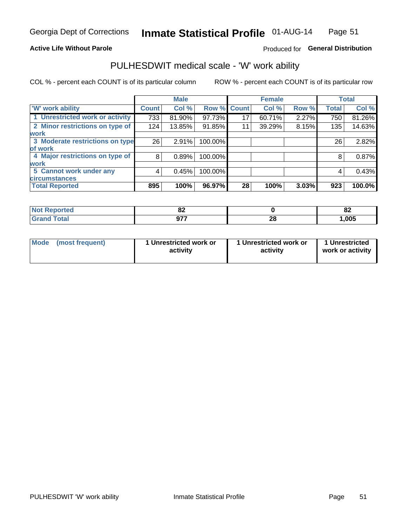### **Active Life Without Parole**

### Produced for General Distribution

## PULHESDWIT medical scale - 'W' work ability

COL % - percent each COUNT is of its particular column

|                                 |              | <b>Male</b> |         |             | <b>Female</b> |       |              | <b>Total</b> |
|---------------------------------|--------------|-------------|---------|-------------|---------------|-------|--------------|--------------|
| <b>W' work ability</b>          | <b>Count</b> | Col %       |         | Row % Count | Col %         | Row % | <b>Total</b> | Col %        |
| 1 Unrestricted work or activity | 733          | 81.90%      | 97.73%  | 17          | 60.71%        | 2.27% | 750          | 81.26%       |
| 2 Minor restrictions on type of | 124          | 13.85%      | 91.85%  | 11          | 39.29%        | 8.15% | 135          | 14.63%       |
| <b>work</b>                     |              |             |         |             |               |       |              |              |
| 3 Moderate restrictions on type | 26           | 2.91%       | 100.00% |             |               |       | 26           | 2.82%        |
| lof work                        |              |             |         |             |               |       |              |              |
| 4 Major restrictions on type of | 8            | 0.89%       | 100.00% |             |               |       | 8            | 0.87%        |
| <b>work</b>                     |              |             |         |             |               |       |              |              |
| 5 Cannot work under any         | 4            | 0.45%       | 100.00% |             |               |       | 4            | 0.43%        |
| <b>circumstances</b>            |              |             |         |             |               |       |              |              |
| <b>Total Reported</b>           | 895          | 100%        | 96.97%  | 28          | 100%          | 3.03% | 923          | 100.0%       |

| <b>Not Reported</b>           | $\sim$<br>ΩŁ |         | o.<br>$\mathbf{C}$ |
|-------------------------------|--------------|---------|--------------------|
| <b>Total</b><br>Cron<br>Grand | ヘフフ<br>, ,   | ጣ<br>49 | 1,005              |

| Mode | (most frequent) | 1 Unrestricted work or<br>activity | 1 Unrestricted work or<br>activity | 1 Unrestricted<br>work or activity |
|------|-----------------|------------------------------------|------------------------------------|------------------------------------|
|------|-----------------|------------------------------------|------------------------------------|------------------------------------|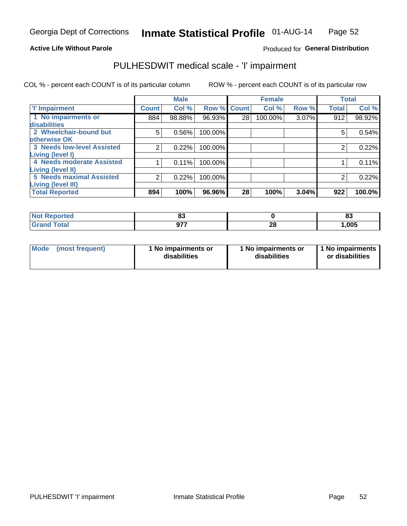### **Active Life Without Parole**

### Produced for General Distribution

## PULHESDWIT medical scale - 'I' impairment

|                                                             |              | <b>Male</b> |             |    | <b>Female</b> |       |              | <b>Total</b> |
|-------------------------------------------------------------|--------------|-------------|-------------|----|---------------|-------|--------------|--------------|
| <b>T' Impairment</b>                                        | <b>Count</b> | Col %       | Row % Count |    | Col %         | Row % | <b>Total</b> | Col %        |
| 1 No impairments or<br><b>disabilities</b>                  | 884          | 98.88%      | 96.93%      | 28 | 100.00%       | 3.07% | 912          | 98.92%       |
| 2 Wheelchair-bound but                                      | 5            | 0.56%       | 100.00%     |    |               |       | 5            | 0.54%        |
| otherwise OK<br><b>3 Needs low-level Assisted</b>           | 2            | 0.22%       | 100.00%     |    |               |       | 2            | 0.22%        |
| Living (level I)<br>4 Needs moderate Assisted               |              | 0.11%       | 100.00%     |    |               |       |              | 0.11%        |
| <b>Living (level II)</b><br><b>5 Needs maximal Assisted</b> | 2            | 0.22%       | 100.00%     |    |               |       | 2            | 0.22%        |
| <b>Living (level III)</b><br><b>Total Reported</b>          | 894          | 100%        | 96.96%      | 28 | 100%          | 3.04% | 922          | 100.0%       |

| Reported     | ~~<br>υu   |          | n.<br>ია |
|--------------|------------|----------|----------|
| <b>Total</b> | ヘララ<br>v., | ^^<br>ZO | 1,005    |

| Mode | (most frequent) | 1 No impairments or<br>disabilities | 1 No impairments or<br>disabilities | 1 No impairments<br>or disabilities |
|------|-----------------|-------------------------------------|-------------------------------------|-------------------------------------|
|------|-----------------|-------------------------------------|-------------------------------------|-------------------------------------|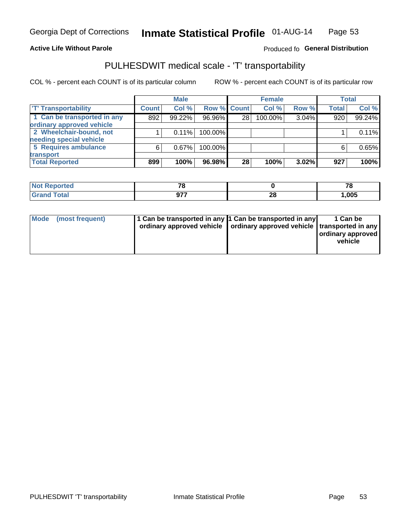### **Active Life Without Parole**

### Produced fo General Distribution

## PULHESDWIT medical scale - 'T' transportability

COL % - percent each COUNT is of its particular column

|                             |              | <b>Male</b> |             |                 | <b>Female</b> |       |              | <b>Total</b> |
|-----------------------------|--------------|-------------|-------------|-----------------|---------------|-------|--------------|--------------|
| <b>TT Transportability</b>  | <b>Count</b> | Col %       | Row % Count |                 | Col %         | Row % | <b>Total</b> | Col %        |
| 1 Can be transported in any | 892          | 99.22%      | 96.96%      | 28              | 100.00%       | 3.04% | 920          | 99.24%       |
| ordinary approved vehicle   |              |             |             |                 |               |       |              |              |
| 2 Wheelchair-bound, not     |              | $0.11\%$    | 100.00%     |                 |               |       |              | 0.11%        |
| needing special vehicle     |              |             |             |                 |               |       |              |              |
| 5 Requires ambulance        | ี            | 0.67%       | 100.00%     |                 |               |       |              | 0.65%        |
| transport                   |              |             |             |                 |               |       |              |              |
| <b>Total Reported</b>       | 899          | 100%        | 96.98%      | 28 <sub>1</sub> | 100%          | 3.02% | 927          | 100%         |

| <b>eported</b> | 70  |          | 70<br>, c |
|----------------|-----|----------|-----------|
|                | ሰ77 | ററ<br>ZO | 1,005     |

| Mode (most frequent) | 1 Can be transported in any 1 Can be transported in any | ordinary approved vehicle   ordinary approved vehicle   transported in any | 1 Can be<br>  ordinary approved<br>vehicle |
|----------------------|---------------------------------------------------------|----------------------------------------------------------------------------|--------------------------------------------|
|----------------------|---------------------------------------------------------|----------------------------------------------------------------------------|--------------------------------------------|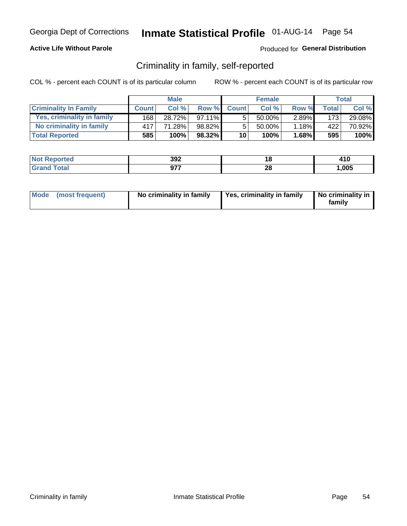### **Active Life Without Parole**

### Produced for General Distribution

## Criminality in family, self-reported

COL % - percent each COUNT is of its particular column

|                              |              | <b>Male</b> |           |                 | <b>Female</b> |          |                  | Total  |
|------------------------------|--------------|-------------|-----------|-----------------|---------------|----------|------------------|--------|
| <b>Criminality In Family</b> | <b>Count</b> | Col%        | Row %     | <b>Count</b>    | Col %         | Row %    | Total            | Col %  |
| Yes, criminality in family   | 1681         | 28.72%      | $97.11\%$ | 5               | 50.00%        | $2.89\%$ | 173 <sup>1</sup> | 29.08% |
| No criminality in family     | 417          | 71.28%      | 98.82%    | 5               | 50.00%        | $1.18\%$ | 422              | 70.92% |
| <b>Total Reported</b>        | 585          | 100%        | 98.32%    | 10 <sup>1</sup> | 100%          | $1.68\%$ | 595              | 100%   |

| <b>Not</b>           | າດາ |           | 84 C  |
|----------------------|-----|-----------|-------|
| Reported             | งฮ∠ |           | 4 I V |
| <b>ota</b><br>l Gran | 077 | ne.<br>ZO | ,005  |

|  | Mode (most frequent) | No criminality in family | Yes, criminality in family | No criminality in<br>family |
|--|----------------------|--------------------------|----------------------------|-----------------------------|
|--|----------------------|--------------------------|----------------------------|-----------------------------|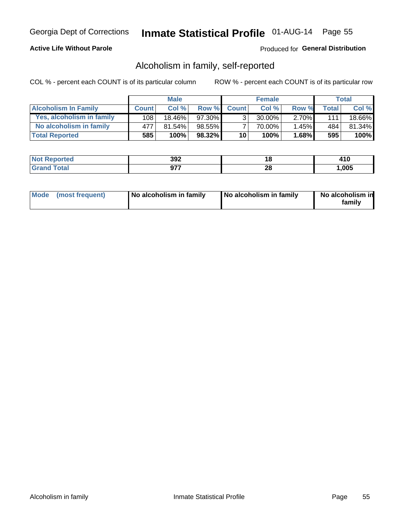### **Active Life Without Parole**

### Produced for General Distribution

## Alcoholism in family, self-reported

COL % - percent each COUNT is of its particular column

|                             |              | <b>Male</b> |        |                 | <b>Female</b> |          |       | Total  |
|-----------------------------|--------------|-------------|--------|-----------------|---------------|----------|-------|--------|
| <b>Alcoholism In Family</b> | <b>Count</b> | Col%        | Row %  | <b>Count</b>    | Col%          | Row %    | Total | Col %  |
| Yes, alcoholism in family   | 108          | 18.46%      | 97.30% | $\mathbf{r}$    | $30.00\%$     | $2.70\%$ | 111   | 18.66% |
| No alcoholism in family     | 477          | 81.54%      | 98.55% |                 | 70.00%        | $1.45\%$ | 484   | 81.34% |
| <b>Total Reported</b>       | 585          | 100%        | 98.32% | 10 <sub>1</sub> | 100%          | $1.68\%$ | 595   | 100%   |

| <b>Not Reported</b>  | 392                  | ιu | - 1 V |
|----------------------|----------------------|----|-------|
| <b>ota</b><br>l Gran | 077<br>$\sim$ $\sim$ | ΔU | ,005  |

|  | Mode (most frequent) | No alcoholism in family | No alcoholism in family | No alcoholism in<br>family |
|--|----------------------|-------------------------|-------------------------|----------------------------|
|--|----------------------|-------------------------|-------------------------|----------------------------|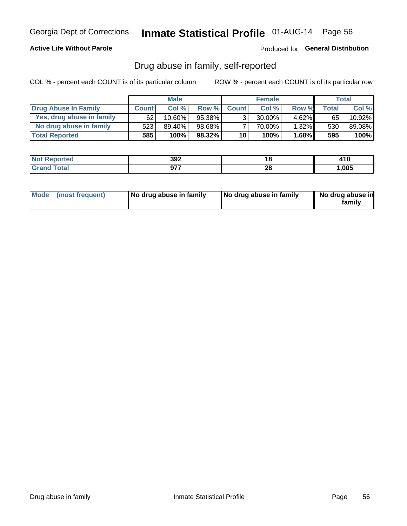### **Active Life Without Parole**

Produced for General Distribution

## Drug abuse in family, self-reported

COL % - percent each COUNT is of its particular column

|                           |              | <b>Male</b> |           |                 | <b>Female</b> |          |       | Total   |
|---------------------------|--------------|-------------|-----------|-----------------|---------------|----------|-------|---------|
| Drug Abuse In Family      | <b>Count</b> | Col%        | Row %     | <b>Count</b>    | Col%          | Row %    | Total | Col %   |
| Yes, drug abuse in family | 62           | $10.60\%$   | 95.38%    | 3 <sub>1</sub>  | $30.00\%$     | $4.62\%$ | 65    | 10.92%  |
| No drug abuse in family   | 523          | 89.40%      | $98.68\%$ |                 | 70.00%        | $1.32\%$ | 530   | 89.08%  |
| <b>Total Reported</b>     | 585          | 100%        | $98.32\%$ | 10 <sub>1</sub> | 100%          | $1.68\%$ | 595   | $100\%$ |

| <b>Not Reported</b> | วดว<br>งฮ∠         |           | 410  |
|---------------------|--------------------|-----------|------|
| <b>Total</b>        | 077<br><i>JI</i> . | - 0<br>ZO | ,005 |

|  | Mode (most frequent) | No drug abuse in family | No drug abuse in family | No drug abuse in<br>family |
|--|----------------------|-------------------------|-------------------------|----------------------------|
|--|----------------------|-------------------------|-------------------------|----------------------------|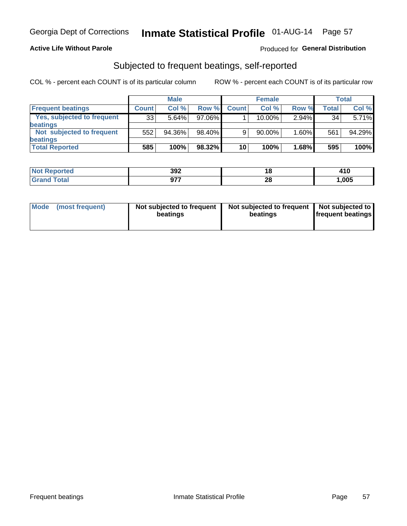### **Active Life Without Parole**

### Produced for General Distribution

## Subjected to frequent beatings, self-reported

COL % - percent each COUNT is of its particular column

|                                   |              | <b>Male</b> |           |              | <b>Female</b> |          |       | Total  |
|-----------------------------------|--------------|-------------|-----------|--------------|---------------|----------|-------|--------|
| <b>Frequent beatings</b>          | <b>Count</b> | Col %       | Row %     | <b>Count</b> | Col %         | Row %    | Total | Col %  |
| <b>Yes, subjected to frequent</b> | 33           | 5.64%       | 97.06%    |              | 10.00%        | $2.94\%$ | 34    | 5.71%  |
| <b>beatings</b>                   |              |             |           |              |               |          |       |        |
| Not subjected to frequent         | 552          | 94.36%      | 98.40%    | 9            | 90.00%        | 1.60%    | 561   | 94.29% |
| <b>beatings</b>                   |              |             |           |              |               |          |       |        |
| <b>Total Reported</b>             | 585          | 100%        | $98.32\%$ | 10           | 100%          | 1.68%    | 595   | 100%   |

| <b>Not Reported</b> | 392 | i O      | 410  |
|---------------------|-----|----------|------|
| <b>Total</b>        | 077 | റവ<br>∠o | ,005 |

| Mode (most frequent) | Not subjected to frequent<br>beatings | Not subjected to frequent<br>beatings | Not subjected to<br><b>frequent beatings</b> |
|----------------------|---------------------------------------|---------------------------------------|----------------------------------------------|
|                      |                                       |                                       |                                              |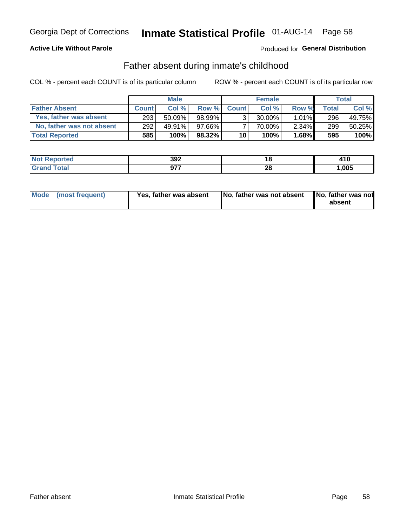### **Active Life Without Parole**

### Produced for General Distribution

## Father absent during inmate's childhood

COL % - percent each COUNT is of its particular column

|                           |              | <b>Male</b> |           |                 | <b>Female</b> |          |       | Total  |
|---------------------------|--------------|-------------|-----------|-----------------|---------------|----------|-------|--------|
| <b>Father Absent</b>      | <b>Count</b> | Col%        | Row %     | <b>Count</b>    | Col %         | Row %    | Total | Col %  |
| Yes, father was absent    | 293          | 50.09%      | 98.99%    | ર               | $30.00\%$     | $1.01\%$ | 296   | 49.75% |
| No, father was not absent | 292          | 49.91%      | $97.66\%$ |                 | 70.00%        | $2.34\%$ | 299   | 50.25% |
| <b>Total Reported</b>     | 585          | 100%        | $98.32\%$ | 10 <sup>1</sup> | 100%          | $1.68\%$ | 595   | 100%   |

| <b>Not Reported</b>          | 300<br>งฮ∠ | u                  | 410   |
|------------------------------|------------|--------------------|-------|
| <b>Total</b><br><b>Grand</b> | 677        | ግብ<br>ZС<br>$\sim$ | 1,005 |

|  | Mode (most frequent) | Yes, father was absent | <b>No. father was not absent</b> | No, father was not<br>absent |
|--|----------------------|------------------------|----------------------------------|------------------------------|
|--|----------------------|------------------------|----------------------------------|------------------------------|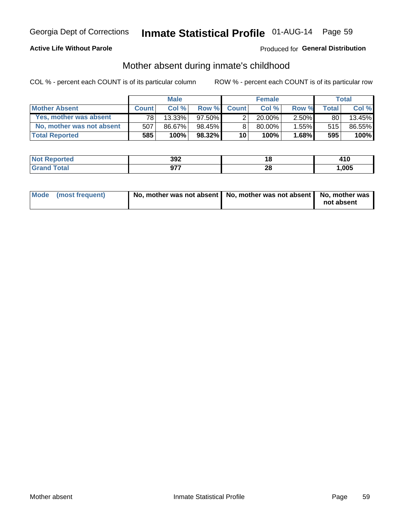### **Active Life Without Parole**

### Produced for General Distribution

## Mother absent during inmate's childhood

COL % - percent each COUNT is of its particular column

|                           |              | <b>Male</b> |           |              | <b>Female</b> |          |                 | <b>Total</b> |
|---------------------------|--------------|-------------|-----------|--------------|---------------|----------|-----------------|--------------|
| <b>Mother Absent</b>      | <b>Count</b> | Col%        | Row %     | <b>Count</b> | Col%          | Row %    | <b>Total</b> I  | Col %        |
| Yes, mother was absent    | 781          | 13.33%      | $97.50\%$ | ◠            | $20.00\%$     | $2.50\%$ | 80 <sub>1</sub> | 13.45%       |
| No, mother was not absent | 507          | 86.67%      | 98.45%    | 8            | $80.00\%$ ,   | $1.55\%$ | 515             | 86.55%       |
| <b>Total Reported</b>     | 585          | 100%        | $98.32\%$ | 10           | 100%          | $1.68\%$ | 595             | 100%         |

| <b>Not</b>           | າດາ |           | 84 C  |
|----------------------|-----|-----------|-------|
| Reported             | งฮ∠ |           | 4 I V |
| <b>ota</b><br>l Gran | 077 | ne.<br>ZO | ,005  |

| Mode (most frequent) | No, mother was not absent   No, mother was not absent   No, mother was | not absent |
|----------------------|------------------------------------------------------------------------|------------|
|                      |                                                                        |            |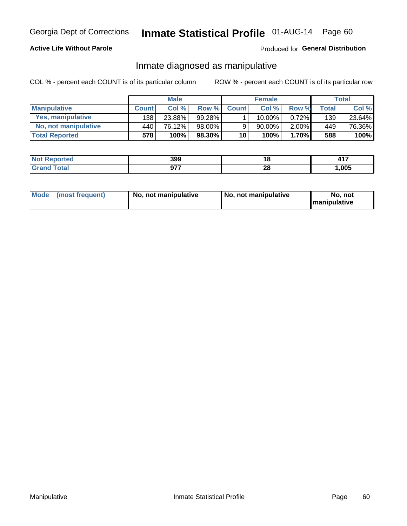### **Active Life Without Parole**

### Produced for General Distribution

## Inmate diagnosed as manipulative

COL % - percent each COUNT is of its particular column

|                          |              | <b>Male</b> |           |                 | <b>Female</b> |          |              | Total  |
|--------------------------|--------------|-------------|-----------|-----------------|---------------|----------|--------------|--------|
| <b>Manipulative</b>      | <b>Count</b> | Col %       | Row %     | <b>Count</b>    | Col %         | Row %    | <b>Total</b> | Col %  |
| <b>Yes, manipulative</b> | 138          | 23.88%      | 99.28%    |                 | $10.00\%$ ,   | 0.72%    | 139          | 23.64% |
| No, not manipulative     | 440          | 76.12%      | 98.00%    | 9               | 90.00%        | $2.00\%$ | 449          | 76.36% |
| <b>Total Reported</b>    | 578          | 100%        | $98.30\%$ | 10 <sup>1</sup> | 100%          | 1.70%    | 588          | 100%   |

| <b>Not Reported</b> | 399 | ı a           | 11 7  |
|---------------------|-----|---------------|-------|
| iotal<br>' Granc    | 677 | ົ<br>Zu<br>__ | 1,005 |

|  | Mode (most frequent) | No, not manipulative | No, not manipulative | No. not<br><b>I</b> manipulative |
|--|----------------------|----------------------|----------------------|----------------------------------|
|--|----------------------|----------------------|----------------------|----------------------------------|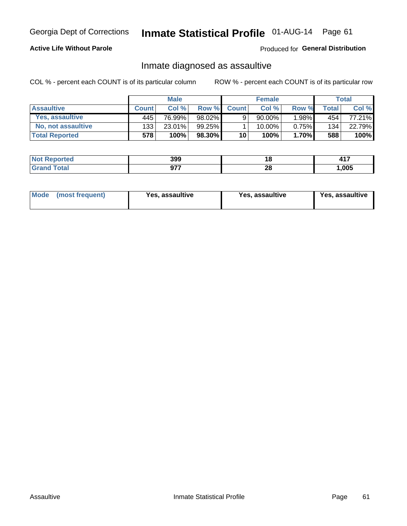# Inmate Statistical Profile 01-AUG-14 Page 61

### **Active Life Without Parole**

Produced for General Distribution

## Inmate diagnosed as assaultive

COL % - percent each COUNT is of its particular column

|                       |              | <b>Male</b> |        |              | <b>Female</b> |          |       | Total  |
|-----------------------|--------------|-------------|--------|--------------|---------------|----------|-------|--------|
| <b>Assaultive</b>     | <b>Count</b> | Col%        | Row %  | <b>Count</b> | Col%          | Row %    | Total | Col %  |
| Yes, assaultive       | 445          | 76.99%      | 98.02% | 9            | $90.00\%$ ,   | $.98\%$  | 454   | 77.21% |
| No, not assaultive    | 133          | 23.01%      | 99.25% |              | $10.00\%$ .   | $0.75\%$ | 134   | 22.79% |
| <b>Total Reported</b> | 578          | 100%        | 98.30% | 10           | 100%          | $1.70\%$ | 588   | 100%   |

| <b>Reported</b><br><b>NO</b> | 399           |          | 147<br><b>TII</b> |
|------------------------------|---------------|----------|-------------------|
| <b>ota</b>                   | 077<br>$\sim$ | ግብ<br>ZO | ,005              |

| Mode (most frequent)<br>Yes, assaultive | Yes, assaultive | <b>Yes, assaultive</b> |
|-----------------------------------------|-----------------|------------------------|
|-----------------------------------------|-----------------|------------------------|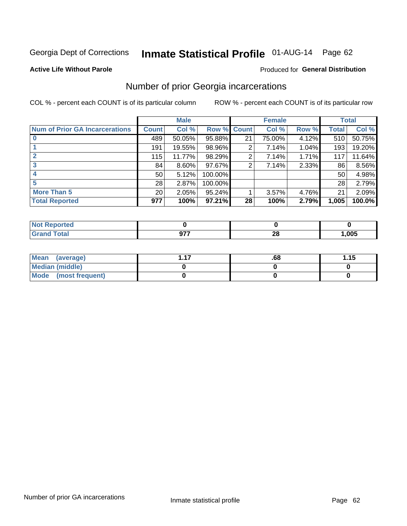# Inmate Statistical Profile 01-AUG-14 Page 62

### **Active Life Without Parole**

### **Produced for General Distribution**

## Number of prior Georgia incarcerations

COL % - percent each COUNT is of its particular column

|                                       |                 | <b>Male</b> |             |    | <b>Female</b> |       |       | <b>Total</b> |
|---------------------------------------|-----------------|-------------|-------------|----|---------------|-------|-------|--------------|
| <b>Num of Prior GA Incarcerations</b> | <b>Count</b>    | Col %       | Row % Count |    | Col %         | Row % | Total | Col %        |
|                                       | 489             | 50.05%      | 95.88%      | 21 | 75.00%        | 4.12% | 510   | 50.75%       |
|                                       | 191             | 19.55%      | 98.96%      | 2  | 7.14%         | 1.04% | 193   | 19.20%       |
|                                       | 115             | 11.77%      | 98.29%      | 2  | 7.14%         | 1.71% | 117   | 11.64%       |
| 3                                     | 84              | 8.60%       | $97.67\%$   | 2  | 7.14%         | 2.33% | 86    | 8.56%        |
|                                       | 50              | 5.12%       | 100.00%     |    |               |       | 50    | 4.98%        |
| 5                                     | 28              | 2.87%       | 100.00%     |    |               |       | 28    | 2.79%        |
| <b>More Than 5</b>                    | 20 <sub>1</sub> | 2.05%       | $95.24\%$   |    | 3.57%         | 4.76% | 21    | 2.09%        |
| <b>Total Reported</b>                 | 977             | 100%        | $97.21\%$   | 28 | 100%          | 2.79% | 1,005 | 100.0%       |

| <b>Reported</b><br><b>NOT</b> |                 |            |      |
|-------------------------------|-----------------|------------|------|
| <b>Total</b>                  | $\sim$ – –<br>◡ | n.<br>24 L | ,005 |

| Mean (average)       | .00 | 1.15 |
|----------------------|-----|------|
| Median (middle)      |     |      |
| Mode (most frequent) |     |      |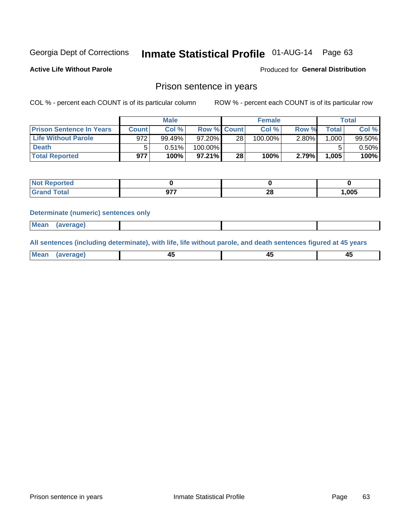# Inmate Statistical Profile 01-AUG-14 Page 63

**Active Life Without Parole** 

Produced for General Distribution

### Prison sentence in years

COL % - percent each COUNT is of its particular column

ROW % - percent each COUNT is of its particular row

|                                 |         | <b>Male</b> |           |                    | <b>Female</b> |       |              | Total     |
|---------------------------------|---------|-------------|-----------|--------------------|---------------|-------|--------------|-----------|
| <b>Prison Sentence In Years</b> | Count l | Col %       |           | <b>Row % Count</b> | Col %         | Row % | <b>Total</b> | Col %     |
| <b>Life Without Parole</b>      | 972     | 99.49%      | $97.20\%$ | 28                 | $100.00\%$    | 2.80% | 1,000        | $99.50\%$ |
| <b>Death</b>                    |         | 0.51%       | 100.00%   |                    |               |       |              | $0.50\%$  |
| <b>Total Reported</b>           | 977     | 100%        | $97.21\%$ | 28                 | 100%          | 2.79% | 1,005        | 100%      |

| ported       |          |          |       |
|--------------|----------|----------|-------|
| <b>Total</b> | 077<br>. | ററ<br>20 | 1,005 |

### **Determinate (numeric) sentences only**

| ' Mea<br><b>Service</b> A<br>ЯМА. |  |  |  |
|-----------------------------------|--|--|--|
|                                   |  |  |  |

All sentences (including determinate), with life, life without parole, and death sentences figured at 45 years

| l Mea<br>חר<br> | ᠇៶<br>$\sim$ | $\sim$ | ╌ |
|-----------------|--------------|--------|---|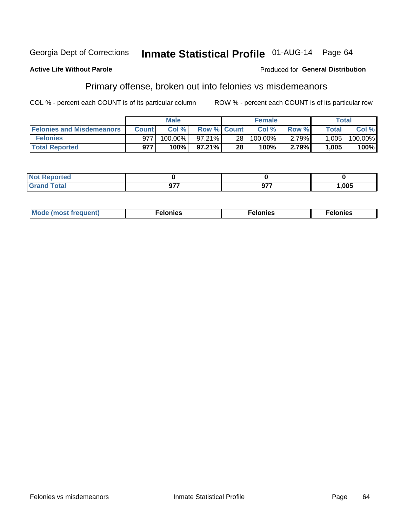### **Active Life Without Parole**

### Produced for General Distribution

## Primary offense, broken out into felonies vs misdemeanors

COL % - percent each COUNT is of its particular column

|                                  |              | <b>Male</b> |                    |                 | <b>Female</b> |       |              | Total   |
|----------------------------------|--------------|-------------|--------------------|-----------------|---------------|-------|--------------|---------|
| <b>Felonies and Misdemeanors</b> | <b>Count</b> | Col%        | <b>Row % Count</b> |                 | Col%          | Row % | <b>Total</b> | Col %   |
| <b>Felonies</b>                  | 977          | 100.00%     | $97.21\%$          | 28 <sub>1</sub> | 100.00%       | 2.79% | 1,005        | 100.00% |
| <b>Total Reported</b>            | 977          | 100%        | $97.21\%$          | 28              | 100%          | 2.79% | 1,005        | 100%    |

| <b>Not Reported</b>   |                      |                |             |
|-----------------------|----------------------|----------------|-------------|
| Total<br>Grano<br>uuu | $\sim$ $\sim$ $\sim$ | ^77<br>ъ.<br>◡ | <b>005,</b> |

| $Mc$<br>equent)<br>нез<br>$\sim$<br>. | onies<br>. | <b>onies</b><br>. |
|---------------------------------------|------------|-------------------|
|---------------------------------------|------------|-------------------|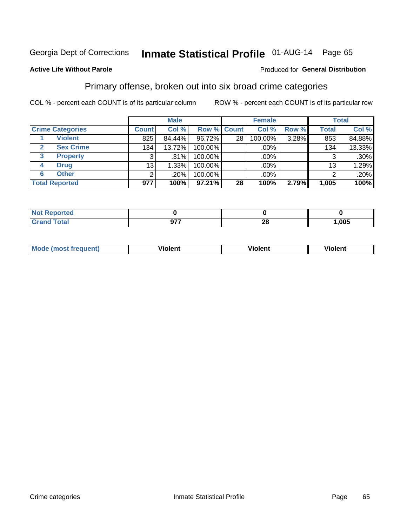## Inmate Statistical Profile 01-AUG-14 Page 65

### **Active Life Without Parole**

### Produced for General Distribution

## Primary offense, broken out into six broad crime categories

COL % - percent each COUNT is of its particular column

|                         |              | <b>Male</b> |             |    | <b>Female</b> |       |                 | <b>Total</b> |
|-------------------------|--------------|-------------|-------------|----|---------------|-------|-----------------|--------------|
| <b>Crime Categories</b> | <b>Count</b> | Col %       | Row % Count |    | Col %         | Row % | <b>Total</b>    | Col %        |
| <b>Violent</b>          | 825          | 84.44%      | 96.72%      | 28 | 100.00%       | 3.28% | 853             | 84.88%       |
| <b>Sex Crime</b>        | 134          | 13.72%      | 100.00%     |    | .00%          |       | 134             | 13.33%       |
| 3<br><b>Property</b>    | 3            | $.31\%$     | 100.00%     |    | .00%          |       |                 | $.30\%$      |
| <b>Drug</b><br>4        | 13           | 1.33%       | 100.00%     |    | .00%          |       | 13 <sub>1</sub> | 1.29%        |
| <b>Other</b><br>6       | 2            | .20%        | 100.00%     |    | $.00\%$       |       |                 | .20%         |
| <b>Total Reported</b>   | 977          | 100%        | 97.21%      | 28 | 100%          | 2.79% | 1,005           | 100%         |

| <b>Not Reported</b> |     |          |      |
|---------------------|-----|----------|------|
| Total               | 077 | ^^<br>ZU | ,005 |

| M | . | 40 O |
|---|---|------|
|   |   |      |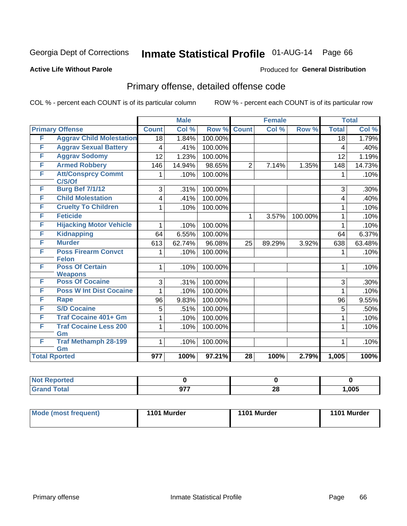# Inmate Statistical Profile 01-AUG-14 Page 66

### **Active Life Without Parole**

### Produced for General Distribution

## Primary offense, detailed offense code

COL % - percent each COUNT is of its particular column

|                      |                                            |                  | <b>Male</b> |         |                 | <b>Female</b> |         |              | <b>Total</b> |
|----------------------|--------------------------------------------|------------------|-------------|---------|-----------------|---------------|---------|--------------|--------------|
|                      | <b>Primary Offense</b>                     | <b>Count</b>     | Col %       | Row %   | <b>Count</b>    | Col %         | Row %   | <b>Total</b> | Col %        |
| F                    | <b>Aggrav Child Molestation</b>            | 18               | 1.84%       | 100.00% |                 |               |         | 18           | 1.79%        |
| F                    | <b>Aggrav Sexual Battery</b>               | 4                | .41%        | 100.00% |                 |               |         | 4            | .40%         |
| F                    | <b>Aggrav Sodomy</b>                       | 12               | 1.23%       | 100.00% |                 |               |         | 12           | 1.19%        |
| F                    | <b>Armed Robbery</b>                       | 146              | 14.94%      | 98.65%  | $\overline{2}$  | 7.14%         | 1.35%   | 148          | 14.73%       |
| F                    | <b>Att/Consprcy Commt</b><br>C/S/Of        | 1                | .10%        | 100.00% |                 |               |         | 1            | .10%         |
| F                    | <b>Burg Bef 7/1/12</b>                     | 3                | .31%        | 100.00% |                 |               |         | 3            | .30%         |
| F                    | <b>Child Molestation</b>                   | 4                | .41%        | 100.00% |                 |               |         | 4            | .40%         |
| F                    | <b>Cruelty To Children</b>                 | 1                | .10%        | 100.00% |                 |               |         | 1            | .10%         |
| F                    | <b>Feticide</b>                            |                  |             |         | 1               | 3.57%         | 100.00% | 1            | .10%         |
| F                    | <b>Hijacking Motor Vehicle</b>             | 1                | .10%        | 100.00% |                 |               |         | 1            | .10%         |
| F                    | <b>Kidnapping</b>                          | 64               | 6.55%       | 100.00% |                 |               |         | 64           | 6.37%        |
| F                    | <b>Murder</b>                              | 613              | 62.74%      | 96.08%  | 25              | 89.29%        | 3.92%   | 638          | 63.48%       |
| F                    | <b>Poss Firearm Convct</b><br><b>Felon</b> | 1                | .10%        | 100.00% |                 |               |         | 1            | .10%         |
| F                    | <b>Poss Of Certain</b><br><b>Weapons</b>   | 1                | .10%        | 100.00% |                 |               |         | 1            | .10%         |
| F                    | <b>Poss Of Cocaine</b>                     | 3                | .31%        | 100.00% |                 |               |         | 3            | $.30\%$      |
| F                    | <b>Poss W Int Dist Cocaine</b>             | 1                | .10%        | 100.00% |                 |               |         | 1            | .10%         |
| F                    | <b>Rape</b>                                | 96               | 9.83%       | 100.00% |                 |               |         | 96           | 9.55%        |
| F                    | <b>S/D Cocaine</b>                         | 5                | .51%        | 100.00% |                 |               |         | 5            | .50%         |
| F                    | <b>Traf Cocaine 401+ Gm</b>                | 1                | .10%        | 100.00% |                 |               |         | 1            | .10%         |
| F                    | <b>Traf Cocaine Less 200</b><br>Gm         | 1                | .10%        | 100.00% |                 |               |         | 1            | .10%         |
| F                    | <b>Traf Methamph 28-199</b><br>Gm          | 1                | .10%        | 100.00% |                 |               |         | 1            | .10%         |
| <b>Total Rported</b> |                                            | $\overline{977}$ | 100%        | 97.21%  | $\overline{28}$ | 100%          | 2.79%   | 1,005        | 100%         |

| rted  |           |         |       |
|-------|-----------|---------|-------|
| 'otal | 077<br>₩. | ഹ<br>ZO | 1,005 |

| <b>Mode (most frequent)</b> | 1101 Murder | 1101 Murder | 1101 Murder |
|-----------------------------|-------------|-------------|-------------|
|                             |             |             |             |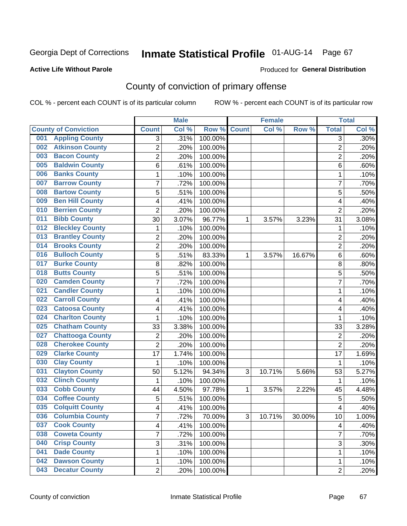### **Active Life Without Parole**

### Produced for **General Distribution**

## County of conviction of primary offense

|                                |                         | <b>Male</b> |         |              | <b>Female</b> |           |                | <b>Total</b> |
|--------------------------------|-------------------------|-------------|---------|--------------|---------------|-----------|----------------|--------------|
| <b>County of Conviction</b>    | <b>Count</b>            | Col %       | Row %   | <b>Count</b> | Col %         | Row %     | <b>Total</b>   | Col %        |
| <b>Appling County</b><br>001   | 3                       | .31%        | 100.00% |              |               |           | 3              | .30%         |
| <b>Atkinson County</b><br>002  | $\overline{2}$          | .20%        | 100.00% |              |               |           | $\overline{2}$ | .20%         |
| <b>Bacon County</b><br>003     | $\overline{c}$          | .20%        | 100.00% |              |               |           | $\overline{2}$ | .20%         |
| <b>Baldwin County</b><br>005   | 6                       | .61%        | 100.00% |              |               |           | 6              | .60%         |
| <b>Banks County</b><br>006     | $\mathbf{1}$            | .10%        | 100.00% |              |               |           | $\mathbf{1}$   | .10%         |
| <b>Barrow County</b><br>007    | $\overline{7}$          | .72%        | 100.00% |              |               |           | $\overline{7}$ | .70%         |
| <b>Bartow County</b><br>008    | 5                       | .51%        | 100.00% |              |               |           | 5              | .50%         |
| <b>Ben Hill County</b><br>009  | 4                       | .41%        | 100.00% |              |               |           | 4              | .40%         |
| <b>Berrien County</b><br>010   | $\overline{2}$          | .20%        | 100.00% |              |               |           | $\overline{2}$ | .20%         |
| <b>Bibb County</b><br>011      | 30                      | 3.07%       | 96.77%  | 1            | 3.57%         | 3.23%     | 31             | 3.08%        |
| <b>Bleckley County</b><br>012  | 1                       | .10%        | 100.00% |              |               |           | 1              | .10%         |
| <b>Brantley County</b><br>013  | $\overline{2}$          | .20%        | 100.00% |              |               |           | $\overline{2}$ | .20%         |
| <b>Brooks County</b><br>014    | $\overline{c}$          | .20%        | 100.00% |              |               |           | $\overline{2}$ | .20%         |
| <b>Bulloch County</b><br>016   | 5                       | .51%        | 83.33%  | 1            | 3.57%         | 16.67%    | 6              | .60%         |
| <b>Burke County</b><br>017     | 8                       | .82%        | 100.00% |              |               |           | 8              | .80%         |
| <b>Butts County</b><br>018     | 5                       | .51%        | 100.00% |              |               |           | 5              | .50%         |
| <b>Camden County</b><br>020    | 7                       | .72%        | 100.00% |              |               |           | $\overline{7}$ | .70%         |
| <b>Candler County</b><br>021   | $\mathbf{1}$            | .10%        | 100.00% |              |               |           | 1              | .10%         |
| <b>Carroll County</b><br>022   | 4                       | .41%        | 100.00% |              |               |           | 4              | .40%         |
| <b>Catoosa County</b><br>023   | 4                       | .41%        | 100.00% |              |               |           | 4              | .40%         |
| <b>Charlton County</b><br>024  | 1                       | .10%        | 100.00% |              |               |           | 1              | .10%         |
| <b>Chatham County</b><br>025   | 33                      | 3.38%       | 100.00% |              |               |           | 33             | 3.28%        |
| <b>Chattooga County</b><br>027 | $\overline{2}$          | .20%        | 100.00% |              |               |           | $\overline{2}$ | .20%         |
| <b>Cherokee County</b><br>028  | $\overline{2}$          | .20%        | 100.00% |              |               |           | $\overline{2}$ | .20%         |
| <b>Clarke County</b><br>029    | 17                      | 1.74%       | 100.00% |              |               |           | 17             | 1.69%        |
| <b>Clay County</b><br>030      | $\mathbf{1}$            | .10%        | 100.00% |              |               |           | 1              | .10%         |
| <b>Clayton County</b><br>031   | 50                      | 5.12%       | 94.34%  | 3            | 10.71%        | 5.66%     | 53             | 5.27%        |
| <b>Clinch County</b><br>032    | 1                       | .10%        | 100.00% |              |               |           | 1              | .10%         |
| <b>Cobb County</b><br>033      | 44                      | 4.50%       | 97.78%  | 1            | 3.57%         | 2.22%     | 45             | 4.48%        |
| <b>Coffee County</b><br>034    | 5                       | .51%        | 100.00% |              |               |           | 5              | .50%         |
| <b>Colquitt County</b><br>035  | 4                       | .41%        | 100.00% |              |               |           | 4              | .40%         |
| <b>Columbia County</b><br>036  | 7                       | .72%        | 70.00%  | 3            | 10.71%        | $30.00\%$ | 10             | 1.00%        |
| <b>Cook County</b><br>037      | $\overline{\mathbf{4}}$ | .41%        | 100.00% |              |               |           | $\overline{4}$ | .40%         |
| <b>Coweta County</b><br>038    | 7                       | .72%        | 100.00% |              |               |           | $\overline{7}$ | .70%         |
| <b>Crisp County</b><br>040     | 3                       | .31%        | 100.00% |              |               |           | 3              | .30%         |
| <b>Dade County</b><br>041      | 1                       | .10%        | 100.00% |              |               |           | $\mathbf{1}$   | .10%         |
| <b>Dawson County</b><br>042    | 1                       | .10%        | 100.00% |              |               |           | 1              | .10%         |
| <b>Decatur County</b><br>043   | $\overline{2}$          | .20%        | 100.00% |              |               |           | $\overline{2}$ | .20%         |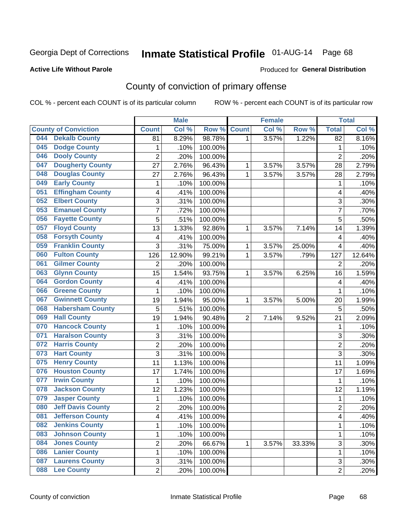### **Active Life Without Parole**

### Produced for **General Distribution**

## County of conviction of primary offense

|     |                             |                         | <b>Male</b> |         |                | <b>Female</b> |        |                 | <b>Total</b> |
|-----|-----------------------------|-------------------------|-------------|---------|----------------|---------------|--------|-----------------|--------------|
|     | <b>County of Conviction</b> | <b>Count</b>            | Col %       | Row %   | <b>Count</b>   | Col %         | Row %  | <b>Total</b>    | Col %        |
| 044 | <b>Dekalb County</b>        | 81                      | 8.29%       | 98.78%  | 1              | 3.57%         | 1.22%  | $\overline{82}$ | 8.16%        |
| 045 | <b>Dodge County</b>         | $\mathbf{1}$            | .10%        | 100.00% |                |               |        | 1               | .10%         |
| 046 | <b>Dooly County</b>         | $\overline{2}$          | .20%        | 100.00% |                |               |        | $\overline{2}$  | .20%         |
| 047 | <b>Dougherty County</b>     | 27                      | 2.76%       | 96.43%  | 1              | 3.57%         | 3.57%  | 28              | 2.79%        |
| 048 | <b>Douglas County</b>       | 27                      | 2.76%       | 96.43%  | $\mathbf{1}$   | 3.57%         | 3.57%  | 28              | 2.79%        |
| 049 | <b>Early County</b>         | 1                       | .10%        | 100.00% |                |               |        | 1               | .10%         |
| 051 | <b>Effingham County</b>     | 4                       | .41%        | 100.00% |                |               |        | 4               | .40%         |
| 052 | <b>Elbert County</b>        | 3                       | .31%        | 100.00% |                |               |        | 3               | .30%         |
| 053 | <b>Emanuel County</b>       | $\overline{7}$          | .72%        | 100.00% |                |               |        | 7               | .70%         |
| 056 | <b>Fayette County</b>       | 5                       | .51%        | 100.00% |                |               |        | 5               | .50%         |
| 057 | <b>Floyd County</b>         | 13                      | 1.33%       | 92.86%  | 1              | 3.57%         | 7.14%  | 14              | 1.39%        |
| 058 | <b>Forsyth County</b>       | 4                       | .41%        | 100.00% |                |               |        | 4               | .40%         |
| 059 | <b>Franklin County</b>      | 3                       | .31%        | 75.00%  | 1              | 3.57%         | 25.00% | 4               | .40%         |
| 060 | <b>Fulton County</b>        | 126                     | 12.90%      | 99.21%  | 1              | 3.57%         | .79%   | 127             | 12.64%       |
| 061 | <b>Gilmer County</b>        | $\overline{2}$          | .20%        | 100.00% |                |               |        | $\overline{2}$  | .20%         |
| 063 | <b>Glynn County</b>         | 15                      | 1.54%       | 93.75%  | 1              | 3.57%         | 6.25%  | 16              | 1.59%        |
| 064 | <b>Gordon County</b>        | 4                       | .41%        | 100.00% |                |               |        | 4               | .40%         |
| 066 | <b>Greene County</b>        | $\mathbf{1}$            | .10%        | 100.00% |                |               |        | $\mathbf{1}$    | .10%         |
| 067 | <b>Gwinnett County</b>      | 19                      | 1.94%       | 95.00%  | 1              | 3.57%         | 5.00%  | 20              | 1.99%        |
| 068 | <b>Habersham County</b>     | 5                       | .51%        | 100.00% |                |               |        | 5               | .50%         |
| 069 | <b>Hall County</b>          | 19                      | 1.94%       | 90.48%  | $\overline{2}$ | 7.14%         | 9.52%  | 21              | 2.09%        |
| 070 | <b>Hancock County</b>       | $\mathbf{1}$            | .10%        | 100.00% |                |               |        | $\mathbf{1}$    | .10%         |
| 071 | <b>Haralson County</b>      | 3                       | .31%        | 100.00% |                |               |        | 3               | .30%         |
| 072 | <b>Harris County</b>        | $\overline{c}$          | .20%        | 100.00% |                |               |        | $\overline{2}$  | .20%         |
| 073 | <b>Hart County</b>          | 3                       | .31%        | 100.00% |                |               |        | 3               | .30%         |
| 075 | <b>Henry County</b>         | 11                      | 1.13%       | 100.00% |                |               |        | 11              | 1.09%        |
| 076 | <b>Houston County</b>       | 17                      | 1.74%       | 100.00% |                |               |        | 17              | 1.69%        |
| 077 | <b>Irwin County</b>         | 1                       | .10%        | 100.00% |                |               |        | 1               | .10%         |
| 078 | <b>Jackson County</b>       | 12                      | 1.23%       | 100.00% |                |               |        | 12              | 1.19%        |
| 079 | <b>Jasper County</b>        | 1                       | .10%        | 100.00% |                |               |        | $\mathbf{1}$    | .10%         |
| 080 | <b>Jeff Davis County</b>    | $\overline{c}$          | .20%        | 100.00% |                |               |        | $\overline{2}$  | .20%         |
| 081 | <b>Jefferson County</b>     | 4                       | .41%        | 100.00% |                |               |        | 4               | $.40\%$      |
| 082 | <b>Jenkins County</b>       | 1                       | .10%        | 100.00% |                |               |        | $\mathbf{1}$    | .10%         |
| 083 | <b>Johnson County</b>       | 1                       | .10%        | 100.00% |                |               |        | $\mathbf{1}$    | .10%         |
| 084 | <b>Jones County</b>         | $\overline{\mathbf{c}}$ | .20%        | 66.67%  | 1              | 3.57%         | 33.33% | $\overline{3}$  | .30%         |
| 086 | <b>Lanier County</b>        | 1                       | .10%        | 100.00% |                |               |        | 1               | .10%         |
| 087 | <b>Laurens County</b>       | 3                       | .31%        | 100.00% |                |               |        | 3               | .30%         |
| 088 | <b>Lee County</b>           | $\overline{2}$          | .20%        | 100.00% |                |               |        | $\overline{2}$  | .20%         |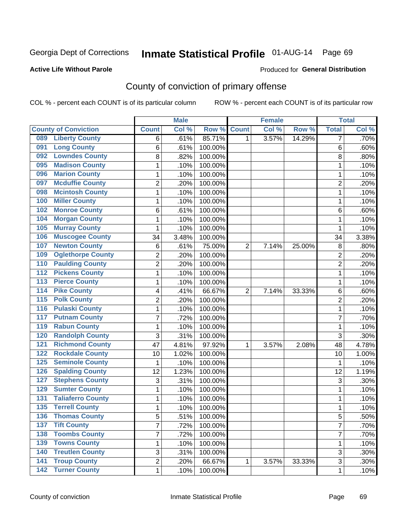### **Active Life Without Parole**

### Produced for **General Distribution**

## County of conviction of primary offense

|                                          |                           | <b>Male</b> |         |                | <b>Female</b> |        |                | <b>Total</b> |
|------------------------------------------|---------------------------|-------------|---------|----------------|---------------|--------|----------------|--------------|
| <b>County of Conviction</b>              | <b>Count</b>              | Col%        | Row %   | <b>Count</b>   | Col %         | Row %  | <b>Total</b>   | Col %        |
| <b>Liberty County</b><br>089             | 6                         | .61%        | 85.71%  | 1              | 3.57%         | 14.29% | 7              | .70%         |
| <b>Long County</b><br>091                | 6                         | .61%        | 100.00% |                |               |        | 6              | .60%         |
| <b>Lowndes County</b><br>092             | 8                         | .82%        | 100.00% |                |               |        | 8              | .80%         |
| <b>Madison County</b><br>095             | 1                         | .10%        | 100.00% |                |               |        | 1              | .10%         |
| <b>Marion County</b><br>096              | 1                         | .10%        | 100.00% |                |               |        | 1              | .10%         |
| <b>Mcduffie County</b><br>097            | $\overline{2}$            | .20%        | 100.00% |                |               |        | $\overline{2}$ | .20%         |
| <b>Mcintosh County</b><br>098            | 1                         | .10%        | 100.00% |                |               |        | 1              | .10%         |
| <b>Miller County</b><br>100              | 1                         | .10%        | 100.00% |                |               |        | 1              | .10%         |
| <b>Monroe County</b><br>102              | 6                         | .61%        | 100.00% |                |               |        | 6              | .60%         |
| <b>Morgan County</b><br>104              | $\mathbf{1}$              | .10%        | 100.00% |                |               |        | $\mathbf{1}$   | .10%         |
| <b>Murray County</b><br>105              | 1                         | .10%        | 100.00% |                |               |        | 1              | .10%         |
| <b>Muscogee County</b><br>106            | 34                        | 3.48%       | 100.00% |                |               |        | 34             | 3.38%        |
| <b>Newton County</b><br>107              | 6                         | .61%        | 75.00%  | $\overline{2}$ | 7.14%         | 25.00% | 8              | .80%         |
| <b>Oglethorpe County</b><br>109          | $\overline{2}$            | .20%        | 100.00% |                |               |        | $\overline{2}$ | .20%         |
| <b>Paulding County</b><br>110            | $\overline{2}$            | .20%        | 100.00% |                |               |        | $\overline{2}$ | .20%         |
| <b>Pickens County</b><br>112             | $\mathbf{1}$              | .10%        | 100.00% |                |               |        | $\mathbf{1}$   | .10%         |
| <b>Pierce County</b><br>$\overline{113}$ | $\mathbf{1}$              | .10%        | 100.00% |                |               |        | 1              | .10%         |
| <b>Pike County</b><br>114                | 4                         | .41%        | 66.67%  | $\overline{2}$ | 7.14%         | 33.33% | 6              | .60%         |
| <b>Polk County</b><br>$\overline{115}$   | $\overline{c}$            | .20%        | 100.00% |                |               |        | $\overline{2}$ | .20%         |
| <b>Pulaski County</b><br>116             | $\mathbf 1$               | .10%        | 100.00% |                |               |        | 1              | .10%         |
| <b>Putnam County</b><br>117              | 7                         | .72%        | 100.00% |                |               |        | 7              | .70%         |
| <b>Rabun County</b><br>119               | $\mathbf{1}$              | .10%        | 100.00% |                |               |        | $\mathbf{1}$   | .10%         |
| <b>Randolph County</b><br>120            | 3                         | .31%        | 100.00% |                |               |        | 3              | .30%         |
| <b>Richmond County</b><br>121            | 47                        | 4.81%       | 97.92%  | 1              | 3.57%         | 2.08%  | 48             | 4.78%        |
| <b>Rockdale County</b><br>122            | 10                        | 1.02%       | 100.00% |                |               |        | 10             | 1.00%        |
| 125<br><b>Seminole County</b>            | $\mathbf{1}$              | .10%        | 100.00% |                |               |        | 1              | .10%         |
| <b>Spalding County</b><br>126            | 12                        | 1.23%       | 100.00% |                |               |        | 12             | 1.19%        |
| <b>Stephens County</b><br>127            | $\ensuremath{\mathsf{3}}$ | .31%        | 100.00% |                |               |        | $\sqrt{3}$     | .30%         |
| <b>Sumter County</b><br>129              | $\mathbf{1}$              | .10%        | 100.00% |                |               |        | $\mathbf{1}$   | .10%         |
| <b>Taliaferro County</b><br>131          | 1                         | .10%        | 100.00% |                |               |        | $\mathbf{1}$   | .10%         |
| <b>Terrell County</b><br>135             | $\mathbf{1}$              | .10%        | 100.00% |                |               |        | 1              | .10%         |
| <b>Thomas County</b><br>136              | 5                         | .51%        | 100.00% |                |               |        | 5              | .50%         |
| <b>Tift County</b><br>137                | $\overline{7}$            | .72%        | 100.00% |                |               |        | $\overline{7}$ | .70%         |
| <b>Toombs County</b><br>138              | $\overline{7}$            | .72%        | 100.00% |                |               |        | $\overline{7}$ | .70%         |
| <b>Towns County</b><br>139               | 1                         | .10%        | 100.00% |                |               |        | 1              | .10%         |
| <b>Treutlen County</b><br>140            | 3                         | .31%        | 100.00% |                |               |        | 3              | .30%         |
| <b>Troup County</b><br>141               | $\overline{c}$            | .20%        | 66.67%  | 1              | 3.57%         | 33.33% | 3              | .30%         |
| <b>Turner County</b><br>$\overline{142}$ | $\mathbf 1$               | .10%        | 100.00% |                |               |        | $\mathbf 1$    | .10%         |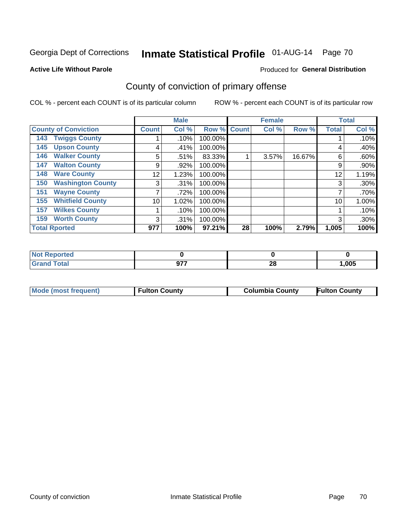### **Active Life Without Parole**

### Produced for **General Distribution**

## County of conviction of primary offense

|                                 |              | <b>Male</b> |             |    | <b>Female</b> |        |              | <b>Total</b> |
|---------------------------------|--------------|-------------|-------------|----|---------------|--------|--------------|--------------|
| <b>County of Conviction</b>     | <b>Count</b> | Col %       | Row % Count |    | Col %         | Row %  | <b>Total</b> | Col %        |
| <b>Twiggs County</b><br>143     |              | .10%        | 100.00%     |    |               |        |              | .10%         |
| <b>Upson County</b><br>145      | 4            | .41%        | 100.00%     |    |               |        | 4            | .40%         |
| <b>Walker County</b><br>146     | 5            | .51%        | 83.33%      |    | 3.57%         | 16.67% | 6            | .60%         |
| <b>Walton County</b><br>147     | 9            | .92%        | 100.00%     |    |               |        | 9            | $.90\%$      |
| <b>Ware County</b><br>148       | 12           | 1.23%       | 100.00%     |    |               |        | 12           | 1.19%        |
| <b>Washington County</b><br>150 | 3            | .31%        | 100.00%     |    |               |        | 3            | .30%         |
| <b>Wayne County</b><br>151      | 7            | .72%        | 100.00%     |    |               |        |              | .70%         |
| <b>Whitfield County</b><br>155  | 10           | 1.02%       | 100.00%     |    |               |        | 10           | 1.00%        |
| <b>Wilkes County</b><br>157     |              | .10%        | 100.00%     |    |               |        |              | .10%         |
| <b>Worth County</b><br>159      | 3            | .31%        | 100.00%     |    |               |        | 3            | .30%         |
| <b>Total Rported</b>            | 977          | 100%        | 97.21%      | 28 | 100%          | 2.79%  | 1,005        | 100%         |

| ted:              |     |    |       |
|-------------------|-----|----|-------|
| <b>otal</b><br>-- | ヘラフ | 40 | 1,005 |

| <b>Mode (most frequent)</b><br><b>Fulton County</b> | <b>Columbia County</b> | <b>Fulton County</b> |
|-----------------------------------------------------|------------------------|----------------------|
|-----------------------------------------------------|------------------------|----------------------|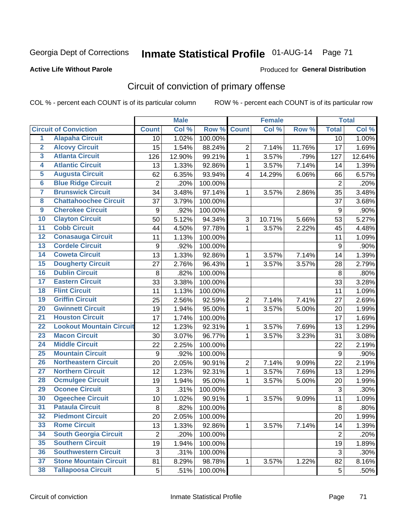### **Active Life Without Parole**

### Produced for **General Distribution**

## Circuit of conviction of primary offense

|                         |                                 |                | <b>Male</b> |         |                         | <b>Female</b> |        |                  | <b>Total</b> |
|-------------------------|---------------------------------|----------------|-------------|---------|-------------------------|---------------|--------|------------------|--------------|
|                         | <b>Circuit of Conviction</b>    | <b>Count</b>   | Col %       | Row %   | <b>Count</b>            | Col%          | Row %  | <b>Total</b>     | Col %        |
| 1                       | <b>Alapaha Circuit</b>          | 10             | 1.02%       | 100.00% |                         |               |        | 10               | 1.00%        |
| $\overline{2}$          | <b>Alcovy Circuit</b>           | 15             | 1.54%       | 88.24%  | $\overline{2}$          | 7.14%         | 11.76% | 17               | 1.69%        |
| $\overline{\mathbf{3}}$ | <b>Atlanta Circuit</b>          | 126            | 12.90%      | 99.21%  | $\mathbf{1}$            | 3.57%         | .79%   | 127              | 12.64%       |
| 4                       | <b>Atlantic Circuit</b>         | 13             | 1.33%       | 92.86%  | 1                       | 3.57%         | 7.14%  | 14               | 1.39%        |
| $\overline{5}$          | <b>Augusta Circuit</b>          | 62             | 6.35%       | 93.94%  | $\overline{\mathbf{4}}$ | 14.29%        | 6.06%  | 66               | 6.57%        |
| $\overline{6}$          | <b>Blue Ridge Circuit</b>       | $\overline{c}$ | .20%        | 100.00% |                         |               |        | $\overline{2}$   | .20%         |
| 7                       | <b>Brunswick Circuit</b>        | 34             | 3.48%       | 97.14%  | 1                       | 3.57%         | 2.86%  | 35               | 3.48%        |
| $\overline{\mathbf{8}}$ | <b>Chattahoochee Circuit</b>    | 37             | 3.79%       | 100.00% |                         |               |        | 37               | 3.68%        |
| $\overline{9}$          | <b>Cherokee Circuit</b>         | 9              | .92%        | 100.00% |                         |               |        | 9                | .90%         |
| 10                      | <b>Clayton Circuit</b>          | 50             | 5.12%       | 94.34%  | 3                       | 10.71%        | 5.66%  | 53               | 5.27%        |
| $\overline{11}$         | <b>Cobb Circuit</b>             | 44             | 4.50%       | 97.78%  | $\mathbf{1}$            | 3.57%         | 2.22%  | 45               | 4.48%        |
| $\overline{12}$         | <b>Conasauga Circuit</b>        | 11             | 1.13%       | 100.00% |                         |               |        | 11               | 1.09%        |
| $\overline{13}$         | <b>Cordele Circuit</b>          | 9              | .92%        | 100.00% |                         |               |        | $\boldsymbol{9}$ | .90%         |
| $\overline{14}$         | <b>Coweta Circuit</b>           | 13             | 1.33%       | 92.86%  | $\mathbf{1}$            | 3.57%         | 7.14%  | 14               | 1.39%        |
| $\overline{15}$         | <b>Dougherty Circuit</b>        | 27             | 2.76%       | 96.43%  | 1                       | 3.57%         | 3.57%  | 28               | 2.79%        |
| 16                      | <b>Dublin Circuit</b>           | 8              | .82%        | 100.00% |                         |               |        | 8                | .80%         |
| $\overline{17}$         | <b>Eastern Circuit</b>          | 33             | 3.38%       | 100.00% |                         |               |        | 33               | 3.28%        |
| 18                      | <b>Flint Circuit</b>            | 11             | 1.13%       | 100.00% |                         |               |        | 11               | 1.09%        |
| 19                      | <b>Griffin Circuit</b>          | 25             | 2.56%       | 92.59%  | $\overline{2}$          | 7.14%         | 7.41%  | 27               | 2.69%        |
| $\overline{20}$         | <b>Gwinnett Circuit</b>         | 19             | 1.94%       | 95.00%  | 1                       | 3.57%         | 5.00%  | 20               | 1.99%        |
| $\overline{21}$         | <b>Houston Circuit</b>          | 17             | 1.74%       | 100.00% |                         |               |        | 17               | 1.69%        |
| $\overline{22}$         | <b>Lookout Mountain Circuit</b> | 12             | 1.23%       | 92.31%  | 1                       | 3.57%         | 7.69%  | 13               | 1.29%        |
| $\overline{23}$         | <b>Macon Circuit</b>            | 30             | 3.07%       | 96.77%  | 1                       | 3.57%         | 3.23%  | 31               | 3.08%        |
| $\overline{24}$         | <b>Middle Circuit</b>           | 22             | 2.25%       | 100.00% |                         |               |        | 22               | 2.19%        |
| $\overline{25}$         | <b>Mountain Circuit</b>         | 9              | .92%        | 100.00% |                         |               |        | 9                | .90%         |
| 26                      | <b>Northeastern Circuit</b>     | 20             | 2.05%       | 90.91%  | 2                       | 7.14%         | 9.09%  | 22               | 2.19%        |
| $\overline{27}$         | <b>Northern Circuit</b>         | 12             | 1.23%       | 92.31%  | 1                       | 3.57%         | 7.69%  | 13               | 1.29%        |
| 28                      | <b>Ocmulgee Circuit</b>         | 19             | 1.94%       | 95.00%  | 1                       | 3.57%         | 5.00%  | 20               | 1.99%        |
| 29                      | <b>Oconee Circuit</b>           | 3              | .31%        | 100.00% |                         |               |        | 3                | .30%         |
| 30                      | <b>Ogeechee Circuit</b>         | 10             | 1.02%       | 90.91%  | $\mathbf{1}$            | 3.57%         | 9.09%  | 11               | 1.09%        |
| $\overline{31}$         | <b>Pataula Circuit</b>          | 8              | .82%        | 100.00% |                         |               |        | 8                | .80%         |
| 32                      | <b>Piedmont Circuit</b>         | 20             | 2.05%       | 100.00% |                         |               |        | 20               | 1.99%        |
| 33                      | <b>Rome Circuit</b>             | 13             | 1.33%       | 92.86%  | $\mathbf{1}$            | 3.57%         | 7.14%  | 14               | 1.39%        |
| 34                      | <b>South Georgia Circuit</b>    | $\overline{2}$ | .20%        | 100.00% |                         |               |        | $\overline{2}$   | .20%         |
| 35                      | <b>Southern Circuit</b>         | 19             | 1.94%       | 100.00% |                         |               |        | 19               | 1.89%        |
| 36                      | <b>Southwestern Circuit</b>     | 3              | .31%        | 100.00% |                         |               |        | 3                | .30%         |
| 37                      | <b>Stone Mountain Circuit</b>   | 81             | 8.29%       | 98.78%  | 1                       | 3.57%         | 1.22%  | 82               | 8.16%        |
| 38                      | <b>Tallapoosa Circuit</b>       | 5              | .51%        | 100.00% |                         |               |        | 5                | .50%         |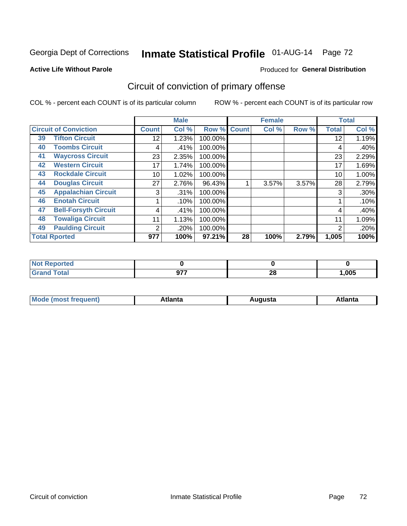### **Active Life Without Parole**

### Produced for **General Distribution**

## Circuit of conviction of primary offense

|    |                              |              | <b>Male</b> |         |              | <b>Female</b> |       |              | <b>Total</b> |
|----|------------------------------|--------------|-------------|---------|--------------|---------------|-------|--------------|--------------|
|    | <b>Circuit of Conviction</b> | <b>Count</b> | Col %       | Row %   | <b>Count</b> | Col %         | Row % | <b>Total</b> | Col %        |
| 39 | <b>Tifton Circuit</b>        | 12           | 1.23%       | 100.00% |              |               |       | 12           | 1.19%        |
| 40 | <b>Toombs Circuit</b>        | 4            | .41%        | 100.00% |              |               |       | 4            | .40%         |
| 41 | <b>Waycross Circuit</b>      | 23           | 2.35%       | 100.00% |              |               |       | 23           | 2.29%        |
| 42 | <b>Western Circuit</b>       | 17           | 1.74%       | 100.00% |              |               |       | 17           | 1.69%        |
| 43 | <b>Rockdale Circuit</b>      | 10           | 1.02%       | 100.00% |              |               |       | 10           | 1.00%        |
| 44 | <b>Douglas Circuit</b>       | 27           | 2.76%       | 96.43%  |              | 3.57%         | 3.57% | 28           | 2.79%        |
| 45 | <b>Appalachian Circuit</b>   | 3            | .31%        | 100.00% |              |               |       | 3            | .30%         |
| 46 | <b>Enotah Circuit</b>        |              | .10%        | 100.00% |              |               |       |              | .10%         |
| 47 | <b>Bell-Forsyth Circuit</b>  | 4            | $.41\%$     | 100.00% |              |               |       | 4            | .40%         |
| 48 | <b>Towaliga Circuit</b>      | 11           | 1.13%       | 100.00% |              |               |       | 11           | 1.09%        |
| 49 | <b>Paulding Circuit</b>      | 2            | .20%        | 100.00% |              |               |       | 2            | .20%         |
|    | <b>Total Rported</b>         | 977          | 100%        | 97.21%  | 28           | 100%          | 2.79% | 1,005        | 100%         |

| orted       |            |          |       |
|-------------|------------|----------|-------|
| <b>otal</b> | 077<br>J11 | ററ<br>zo | 1,005 |

| М<br>. In n tr<br>.<br>.<br>wanta<br>ााद्व<br>31.<br>$\sim$ $\sim$ $\sim$ |
|---------------------------------------------------------------------------|
|---------------------------------------------------------------------------|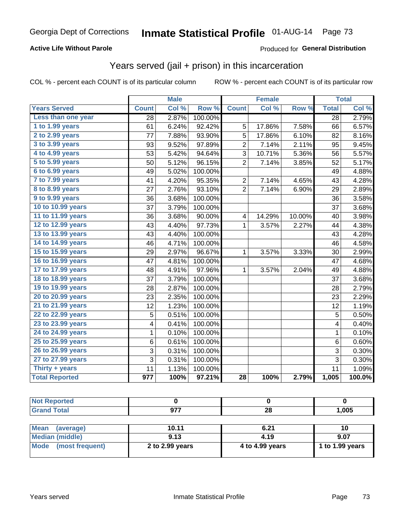### **Active Life Without Parole**

#### Produced for **General Distribution**

## Years served (jail + prison) in this incarceration

| <b>Years Served</b><br>Less than one year<br>1 to 1.99 years<br>2 to 2.99 years<br>3 to 3.99 years<br>4 to 4.99 years | <b>Count</b><br>28<br>61<br>77<br>93 | Col %<br>2.87%<br>6.24%<br>7.88% | Row %<br>100.00%<br>92.42%<br>93.90% | <b>Count</b><br>5 | Col %  | Row %  | <b>Total</b><br>$\overline{28}$ | Col %<br>2.79% |
|-----------------------------------------------------------------------------------------------------------------------|--------------------------------------|----------------------------------|--------------------------------------|-------------------|--------|--------|---------------------------------|----------------|
|                                                                                                                       |                                      |                                  |                                      |                   |        |        |                                 |                |
|                                                                                                                       |                                      |                                  |                                      |                   |        |        |                                 |                |
|                                                                                                                       |                                      |                                  |                                      |                   | 17.86% | 7.58%  | 66                              | 6.57%          |
|                                                                                                                       |                                      |                                  |                                      | $\overline{5}$    | 17.86% | 6.10%  | 82                              | 8.16%          |
|                                                                                                                       |                                      | 9.52%                            | 97.89%                               | $\overline{2}$    | 7.14%  | 2.11%  | 95                              | 9.45%          |
|                                                                                                                       | 53                                   | 5.42%                            | 94.64%                               | 3                 | 10.71% | 5.36%  | 56                              | 5.57%          |
| 5 to 5.99 years                                                                                                       | 50                                   | 5.12%                            | 96.15%                               | $\overline{2}$    | 7.14%  | 3.85%  | 52                              | 5.17%          |
| 6 to 6.99 years                                                                                                       | 49                                   | 5.02%                            | 100.00%                              |                   |        |        | 49                              | 4.88%          |
| 7 to 7.99 years                                                                                                       | 41                                   | 4.20%                            | 95.35%                               | $\overline{c}$    | 7.14%  | 4.65%  | 43                              | 4.28%          |
| 8 to 8.99 years                                                                                                       | 27                                   | 2.76%                            | 93.10%                               | $\overline{2}$    | 7.14%  | 6.90%  | 29                              | 2.89%          |
| 9 to 9.99 years                                                                                                       | 36                                   | 3.68%                            | 100.00%                              |                   |        |        | 36                              | 3.58%          |
| 10 to 10.99 years                                                                                                     | 37                                   | 3.79%                            | 100.00%                              |                   |        |        | 37                              | 3.68%          |
| 11 to 11.99 years                                                                                                     | 36                                   | 3.68%                            | 90.00%                               | 4                 | 14.29% | 10.00% | 40                              | 3.98%          |
| 12 to 12.99 years                                                                                                     | 43                                   | 4.40%                            | 97.73%                               | $\mathbf{1}$      | 3.57%  | 2.27%  | 44                              | 4.38%          |
| 13 to 13.99 years                                                                                                     | 43                                   | 4.40%                            | 100.00%                              |                   |        |        | 43                              | 4.28%          |
| 14 to 14.99 years                                                                                                     | 46                                   | 4.71%                            | 100.00%                              |                   |        |        | 46                              | 4.58%          |
| 15 to 15.99 years                                                                                                     | 29                                   | 2.97%                            | 96.67%                               | 1                 | 3.57%  | 3.33%  | 30                              | 2.99%          |
| 16 to 16.99 years                                                                                                     | 47                                   | 4.81%                            | 100.00%                              |                   |        |        | 47                              | 4.68%          |
| 17 to 17.99 years                                                                                                     | 48                                   | 4.91%                            | 97.96%                               | 1                 | 3.57%  | 2.04%  | 49                              | 4.88%          |
| 18 to 18.99 years                                                                                                     | 37                                   | 3.79%                            | 100.00%                              |                   |        |        | 37                              | 3.68%          |
| 19 to 19.99 years                                                                                                     | 28                                   | 2.87%                            | 100.00%                              |                   |        |        | 28                              | 2.79%          |
| 20 to 20.99 years                                                                                                     | 23                                   | 2.35%                            | 100.00%                              |                   |        |        | 23                              | 2.29%          |
| 21 to 21.99 years                                                                                                     | 12                                   | 1.23%                            | 100.00%                              |                   |        |        | 12                              | 1.19%          |
| 22 to 22.99 years                                                                                                     | 5                                    | 0.51%                            | 100.00%                              |                   |        |        | 5                               | 0.50%          |
| 23 to 23.99 years                                                                                                     | 4                                    | 0.41%                            | 100.00%                              |                   |        |        | 4                               | 0.40%          |
| 24 to 24.99 years                                                                                                     | 1                                    | 0.10%                            | 100.00%                              |                   |        |        | 1                               | 0.10%          |
| 25 to 25.99 years                                                                                                     | 6                                    | 0.61%                            | 100.00%                              |                   |        |        | 6                               | 0.60%          |
| 26 to 26.99 years                                                                                                     | 3                                    | 0.31%                            | 100.00%                              |                   |        |        | 3                               | 0.30%          |
| 27 to 27.99 years                                                                                                     | 3                                    | 0.31%                            | 100.00%                              |                   |        |        | 3                               | 0.30%          |
| Thirty + years                                                                                                        | 11                                   | 1.13%                            | 100.00%                              |                   |        |        | 11                              | 1.09%          |
| <b>Total Reported</b>                                                                                                 | $\overline{977}$                     | 100%                             | 97.21%                               | $\overline{28}$   | 100%   | 2.79%  | 1,005                           | 100.0%         |

| <b>Not Reported</b>            |                 |                 |                 |
|--------------------------------|-----------------|-----------------|-----------------|
| <b>Grand Total</b>             | 977             | 28              | 1,005           |
|                                |                 |                 |                 |
| <b>Mean</b><br>(average)       | 10.11           | 6.21            | 10              |
| <b>Median (middle)</b>         | 9.13            | 4.19            | 9.07            |
| <b>Mode</b><br>(most frequent) | 2 to 2.99 years | 4 to 4.99 years | 1 to 1.99 years |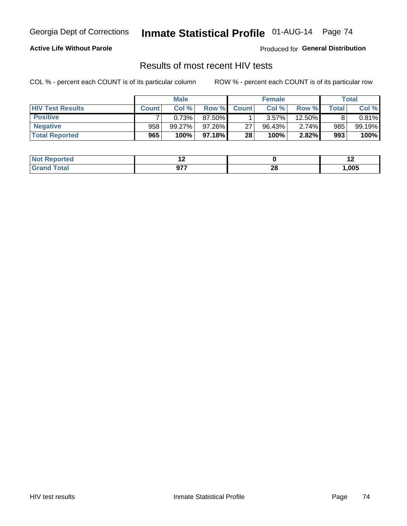#### **Active Life Without Parole**

Produced for **General Distribution**

## Results of most recent HIV tests

|                         | <b>Male</b>  |           |           | <b>Female</b> |        |          | Total |        |
|-------------------------|--------------|-----------|-----------|---------------|--------|----------|-------|--------|
| <b>HIV Test Results</b> | <b>Count</b> | Col%      | Row %     | <b>Count</b>  | Col %  | Row %I   | Total | Col %  |
| <b>Positive</b>         |              | 0.73%     | 87.50%    |               | 3.57%  | 12.50%   |       | 0.81%  |
| <b>Negative</b>         | 958          | $99.27\%$ | $97.26\%$ | 27            | 96.43% | $2.74\%$ | 985   | 99.19% |
| <b>Total Reported</b>   | 965          | 100%      | 97.18% I  | 28            | 100%   | 2.82%    | 993   | 100%   |

| <b>Not Reported</b> |                            |    | . .  |
|---------------------|----------------------------|----|------|
| <b>Total</b>        | ヘフフ<br>,,<br>$\sim$ $\sim$ | 28 | ,005 |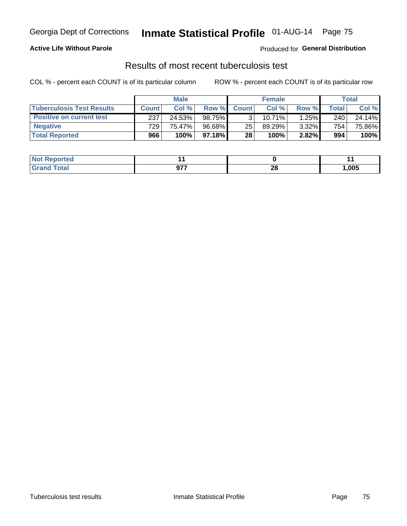### **Active Life Without Parole**

Produced for **General Distribution**

## Results of most recent tuberculosis test

|                                  | <b>Male</b>  |        |           | <b>Female</b> |        |       | Total            |        |
|----------------------------------|--------------|--------|-----------|---------------|--------|-------|------------------|--------|
| <b>Tuberculosis Test Results</b> | <b>Count</b> | Col%   | Row %I    | <b>Count</b>  | Col%   | Row % | Total            | Col %  |
| <b>Positive on current test</b>  | 237          | 24.53% | 98.75%    |               | 10.71% | 1.25% | 240              | 24.14% |
| <b>Negative</b>                  | 729          | 75.47% | $96.68\%$ | 25            | 89.29% | 3.32% | 754 <sub>1</sub> | 75.86% |
| <b>Total Reported</b>            | 966          | 100%   | $97.18\%$ | 28            | 100%   | 2.82% | 994              | 100%   |

| <b>Not Reported</b> |                     |         | . .   |
|---------------------|---------------------|---------|-------|
| <b>Total</b>        | 677<br>v.<br>$\sim$ | റ<br>zo | 1,005 |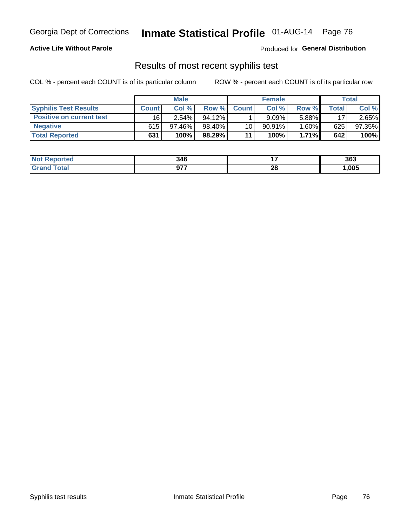### **Active Life Without Parole**

Produced for **General Distribution**

## Results of most recent syphilis test

|                                 | <b>Male</b>  |           |           | <b>Female</b> |           |          | Total |        |
|---------------------------------|--------------|-----------|-----------|---------------|-----------|----------|-------|--------|
| <b>Syphilis Test Results</b>    | <b>Count</b> | Col%      | Row %I    | <b>Count</b>  | Col%      | Row %    | Total | Col %  |
| <b>Positive on current test</b> | 16'          | $2.54\%$  | $94.12\%$ |               | 9.09%     | 5.88%    | 17    | 2.65%  |
| <b>Negative</b>                 | 615          | $97.46\%$ | 98.40%    | 10            | $90.91\%$ | $1.60\%$ | 625   | 97.35% |
| <b>Total Reported</b>           | 631          | 100%      | 98.29%    | 11            | 100%      | $1.71\%$ | 642   | 100%   |

| <b>Not Reported</b> | 346                         |    | 363  |
|---------------------|-----------------------------|----|------|
| <b>Total</b>        | 677<br>J1.<br>$\sim$ $\sim$ | 28 | ,005 |